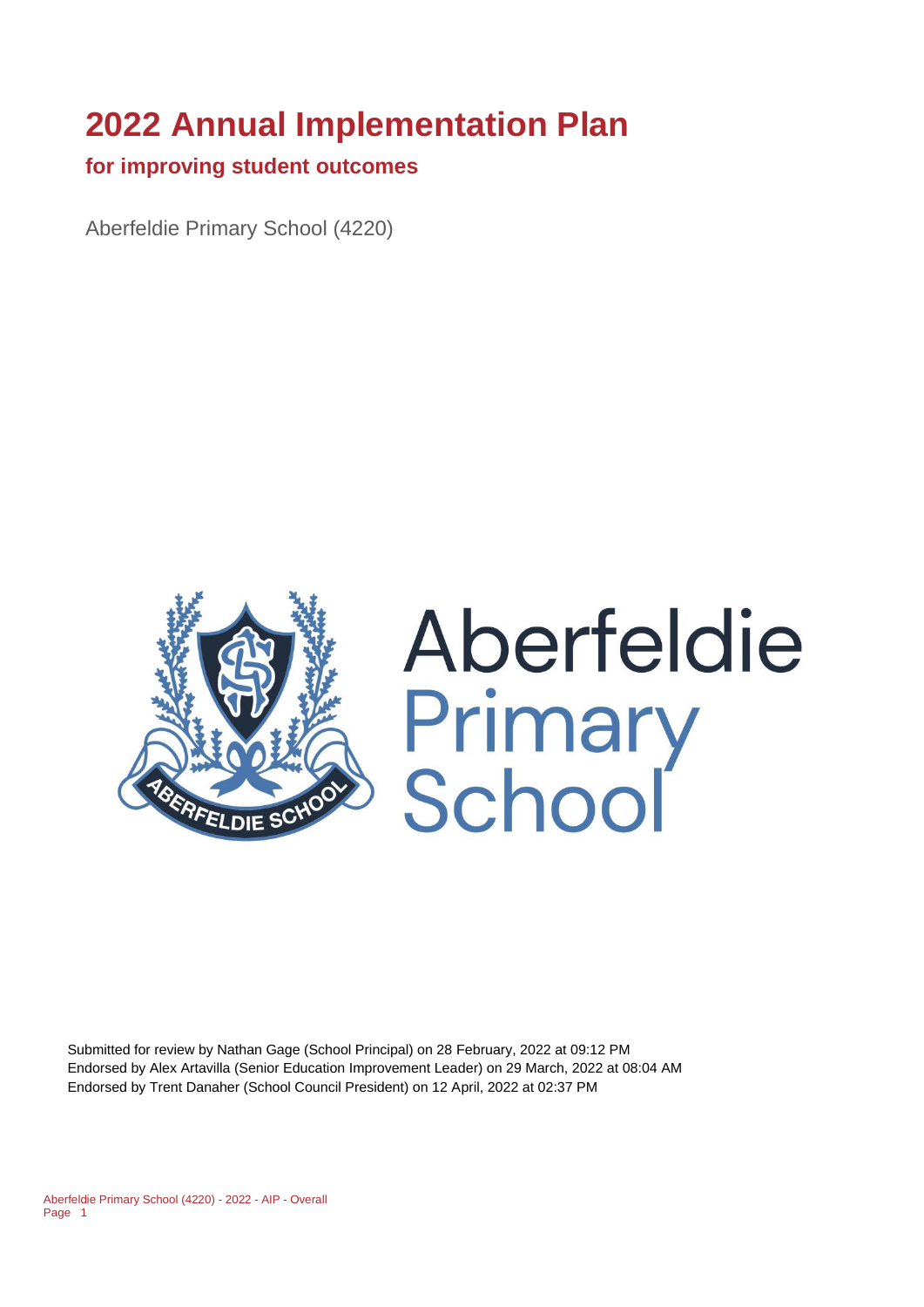# **2022 Annual Implementation Plan**

#### **for improving student outcomes**

Aberfeldie Primary School (4220)



Submitted for review by Nathan Gage (School Principal) on 28 February, 2022 at 09:12 PM Endorsed by Alex Artavilla (Senior Education Improvement Leader) on 29 March, 2022 at 08:04 AM Endorsed by Trent Danaher (School Council President) on 12 April, 2022 at 02:37 PM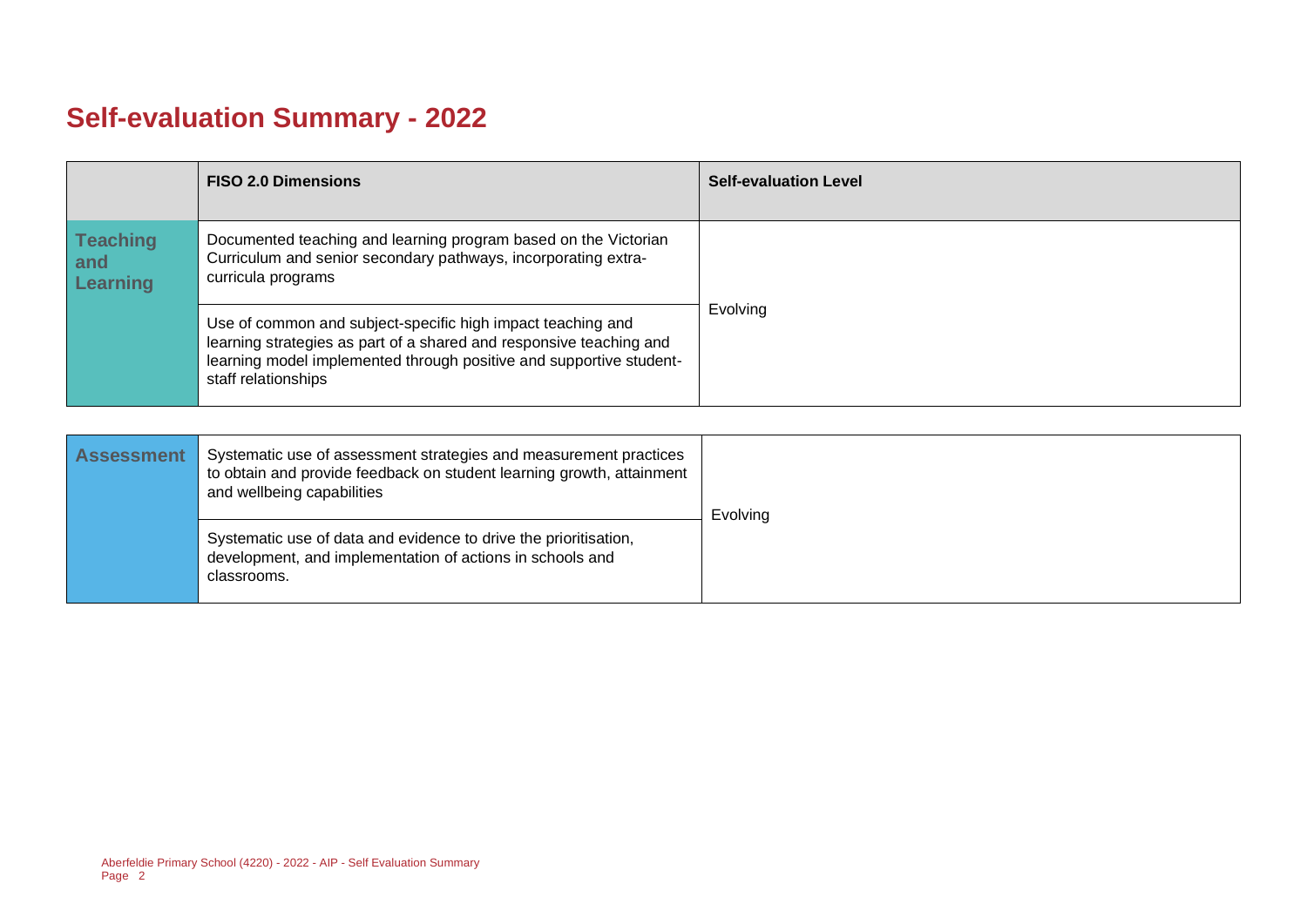## **Self-evaluation Summary - 2022**

|                                    | <b>FISO 2.0 Dimensions</b>                                                                                                                                                                                                       | <b>Self-evaluation Level</b> |
|------------------------------------|----------------------------------------------------------------------------------------------------------------------------------------------------------------------------------------------------------------------------------|------------------------------|
| <b>Teaching</b><br>and<br>Learning | Documented teaching and learning program based on the Victorian<br>Curriculum and senior secondary pathways, incorporating extra-<br>curricula programs                                                                          |                              |
|                                    | Use of common and subject-specific high impact teaching and<br>learning strategies as part of a shared and responsive teaching and<br>learning model implemented through positive and supportive student-<br>staff relationships | <b>Evolving</b>              |

| <b>Assessment</b> | Systematic use of assessment strategies and measurement practices<br>to obtain and provide feedback on student learning growth, attainment<br>and wellbeing capabilities | Evolving |
|-------------------|--------------------------------------------------------------------------------------------------------------------------------------------------------------------------|----------|
|                   | Systematic use of data and evidence to drive the prioritisation,<br>development, and implementation of actions in schools and<br>classrooms.                             |          |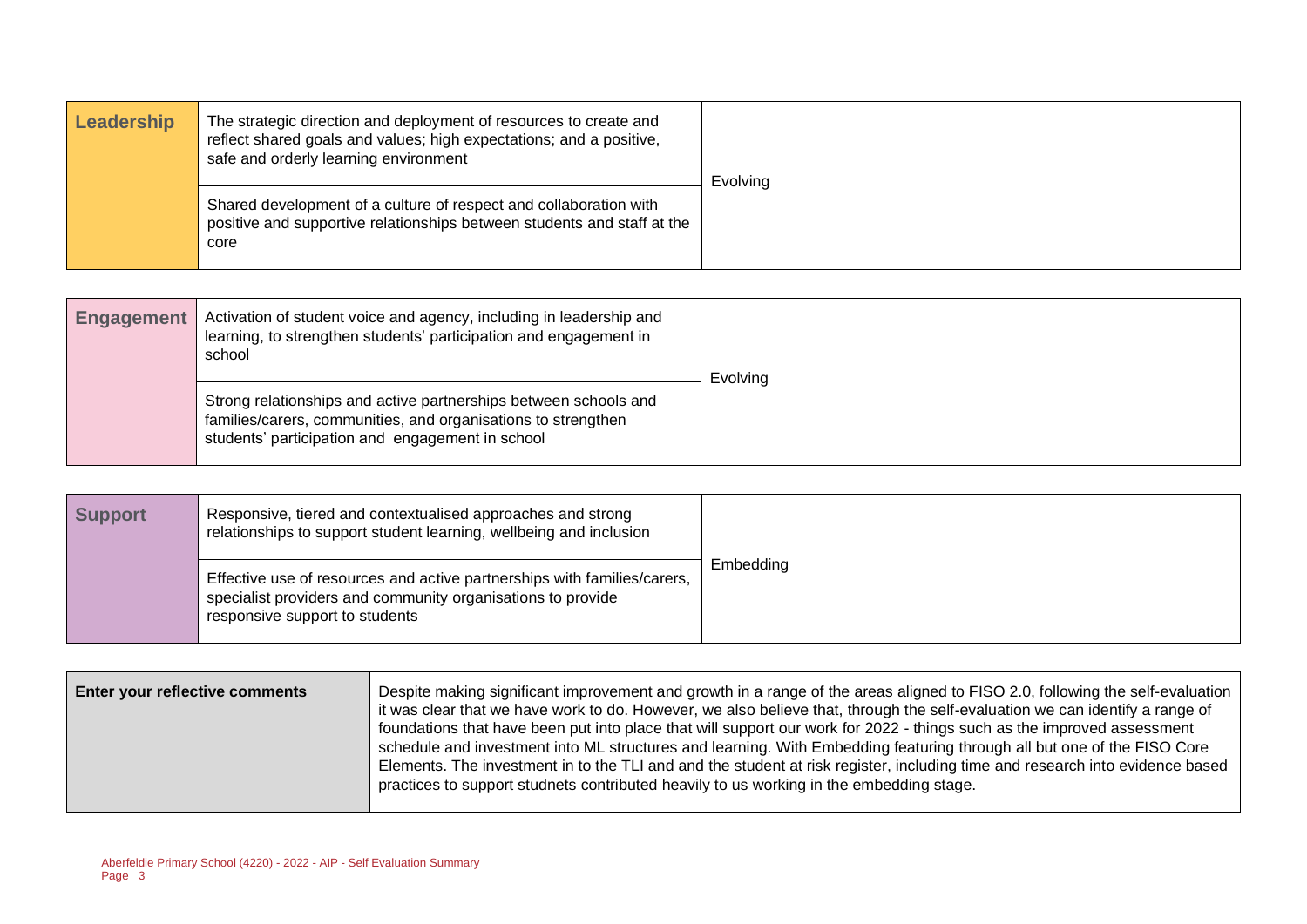| Leadership | The strategic direction and deployment of resources to create and<br>reflect shared goals and values; high expectations; and a positive,<br>safe and orderly learning environment | Evolving |
|------------|-----------------------------------------------------------------------------------------------------------------------------------------------------------------------------------|----------|
|            | Shared development of a culture of respect and collaboration with<br>positive and supportive relationships between students and staff at the<br>core                              |          |

| <b>Engagement</b> | Activation of student voice and agency, including in leadership and<br>learning, to strengthen students' participation and engagement in<br>school                                    | Evolving |  |
|-------------------|---------------------------------------------------------------------------------------------------------------------------------------------------------------------------------------|----------|--|
|                   | Strong relationships and active partnerships between schools and<br>families/carers, communities, and organisations to strengthen<br>students' participation and engagement in school |          |  |

| <b>Support</b> | Responsive, tiered and contextualised approaches and strong<br>relationships to support student learning, wellbeing and inclusion                                         |           |  |
|----------------|---------------------------------------------------------------------------------------------------------------------------------------------------------------------------|-----------|--|
|                | Effective use of resources and active partnerships with families/carers,<br>specialist providers and community organisations to provide<br>responsive support to students | Embedding |  |

| Enter your reflective comments | Despite making significant improvement and growth in a range of the areas aligned to FISO 2.0, following the self-evaluation<br>it was clear that we have work to do. However, we also believe that, through the self-evaluation we can identify a range of<br>foundations that have been put into place that will support our work for 2022 - things such as the improved assessment<br>schedule and investment into ML structures and learning. With Embedding featuring through all but one of the FISO Core<br>Elements. The investment in to the TLI and and the student at risk register, including time and research into evidence based<br>practices to support studnets contributed heavily to us working in the embedding stage. |
|--------------------------------|--------------------------------------------------------------------------------------------------------------------------------------------------------------------------------------------------------------------------------------------------------------------------------------------------------------------------------------------------------------------------------------------------------------------------------------------------------------------------------------------------------------------------------------------------------------------------------------------------------------------------------------------------------------------------------------------------------------------------------------------|
|                                |                                                                                                                                                                                                                                                                                                                                                                                                                                                                                                                                                                                                                                                                                                                                            |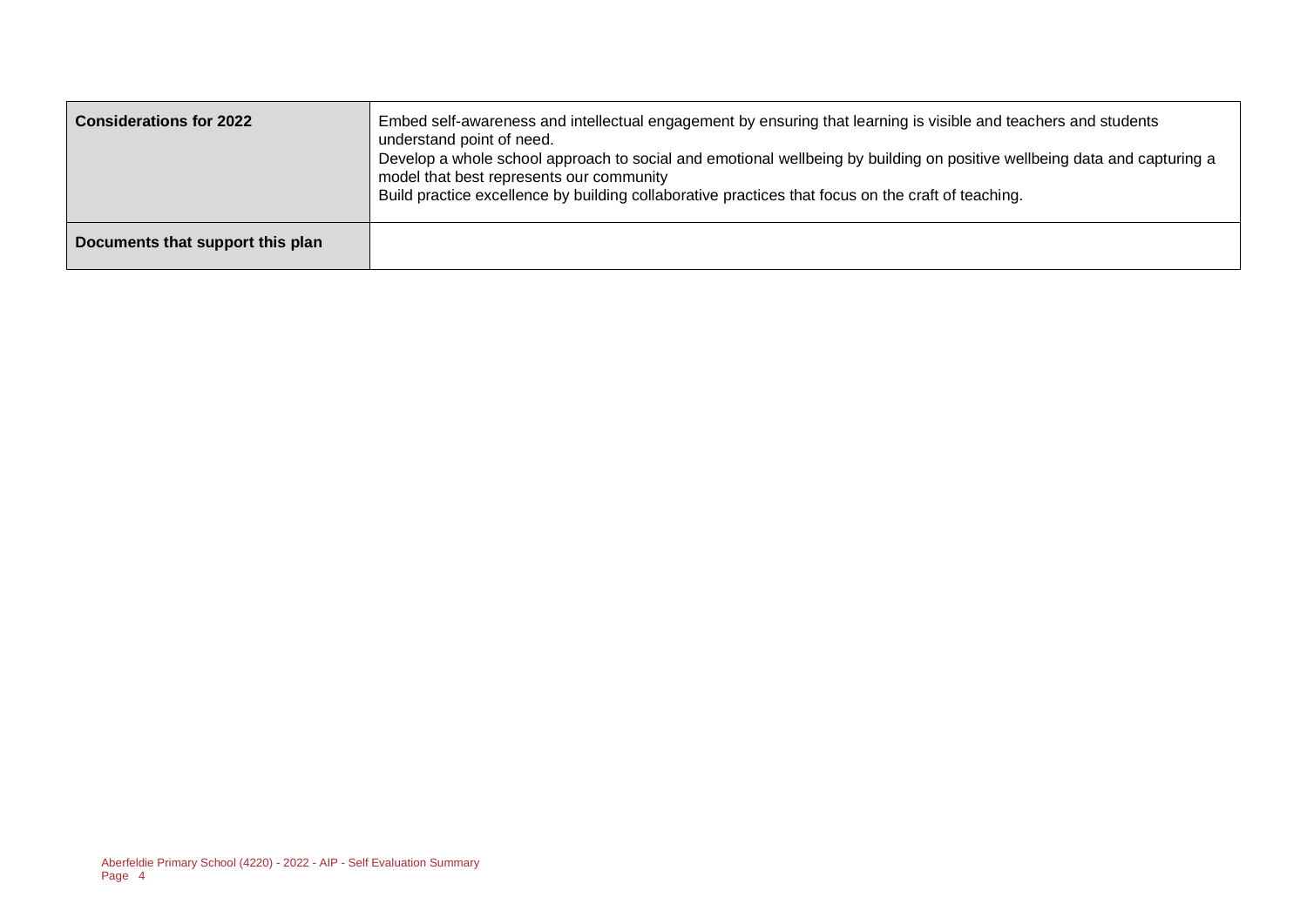| <b>Considerations for 2022</b>   | Embed self-awareness and intellectual engagement by ensuring that learning is visible and teachers and students<br>understand point of need.<br>Develop a whole school approach to social and emotional wellbeing by building on positive wellbeing data and capturing a<br>model that best represents our community<br>Build practice excellence by building collaborative practices that focus on the craft of teaching. |
|----------------------------------|----------------------------------------------------------------------------------------------------------------------------------------------------------------------------------------------------------------------------------------------------------------------------------------------------------------------------------------------------------------------------------------------------------------------------|
| Documents that support this plan |                                                                                                                                                                                                                                                                                                                                                                                                                            |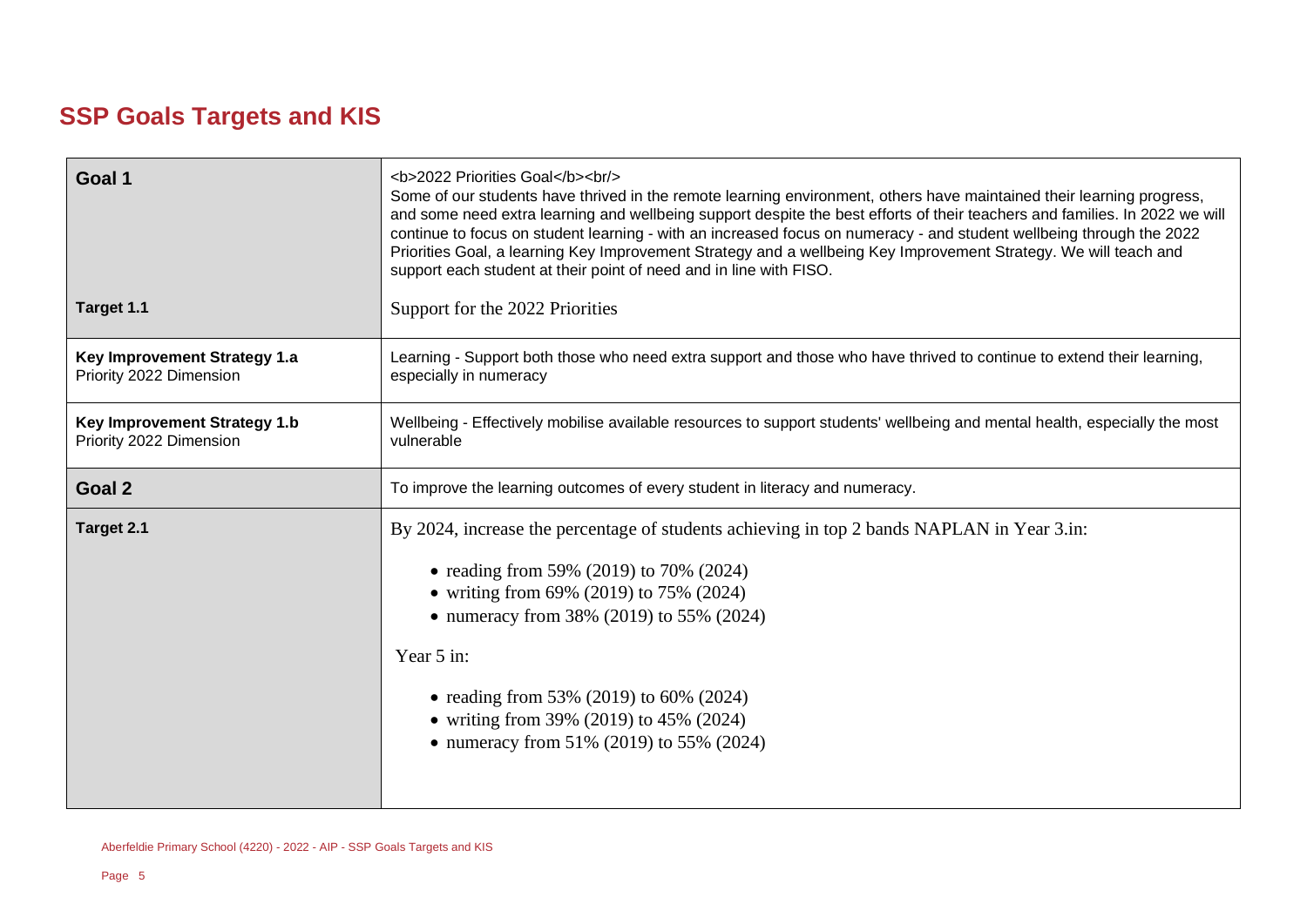## **SSP Goals Targets and KIS**

| Goal 1                                                         | <b>2022 Priorities Goal</b><br><br><br>Some of our students have thrived in the remote learning environment, others have maintained their learning progress,<br>and some need extra learning and wellbeing support despite the best efforts of their teachers and families. In 2022 we will<br>continue to focus on student learning - with an increased focus on numeracy - and student wellbeing through the 2022<br>Priorities Goal, a learning Key Improvement Strategy and a wellbeing Key Improvement Strategy. We will teach and<br>support each student at their point of need and in line with FISO. |
|----------------------------------------------------------------|---------------------------------------------------------------------------------------------------------------------------------------------------------------------------------------------------------------------------------------------------------------------------------------------------------------------------------------------------------------------------------------------------------------------------------------------------------------------------------------------------------------------------------------------------------------------------------------------------------------|
| Target 1.1                                                     | Support for the 2022 Priorities                                                                                                                                                                                                                                                                                                                                                                                                                                                                                                                                                                               |
| Key Improvement Strategy 1.a<br>Priority 2022 Dimension        | Learning - Support both those who need extra support and those who have thrived to continue to extend their learning,<br>especially in numeracy                                                                                                                                                                                                                                                                                                                                                                                                                                                               |
| <b>Key Improvement Strategy 1.b</b><br>Priority 2022 Dimension | Wellbeing - Effectively mobilise available resources to support students' wellbeing and mental health, especially the most<br>vulnerable                                                                                                                                                                                                                                                                                                                                                                                                                                                                      |
| Goal 2                                                         | To improve the learning outcomes of every student in literacy and numeracy.                                                                                                                                                                                                                                                                                                                                                                                                                                                                                                                                   |
| Target 2.1                                                     | By 2024, increase the percentage of students achieving in top 2 bands NAPLAN in Year 3.in:<br>• reading from 59% (2019) to 70% (2024)<br>• writing from 69% (2019) to $75\%$ (2024)<br>• numeracy from 38% (2019) to 55% (2024)<br>Year 5 in:<br>• reading from 53% (2019) to 60% (2024)<br>• writing from 39% (2019) to 45% (2024)<br>• numeracy from 51% (2019) to 55% (2024)                                                                                                                                                                                                                               |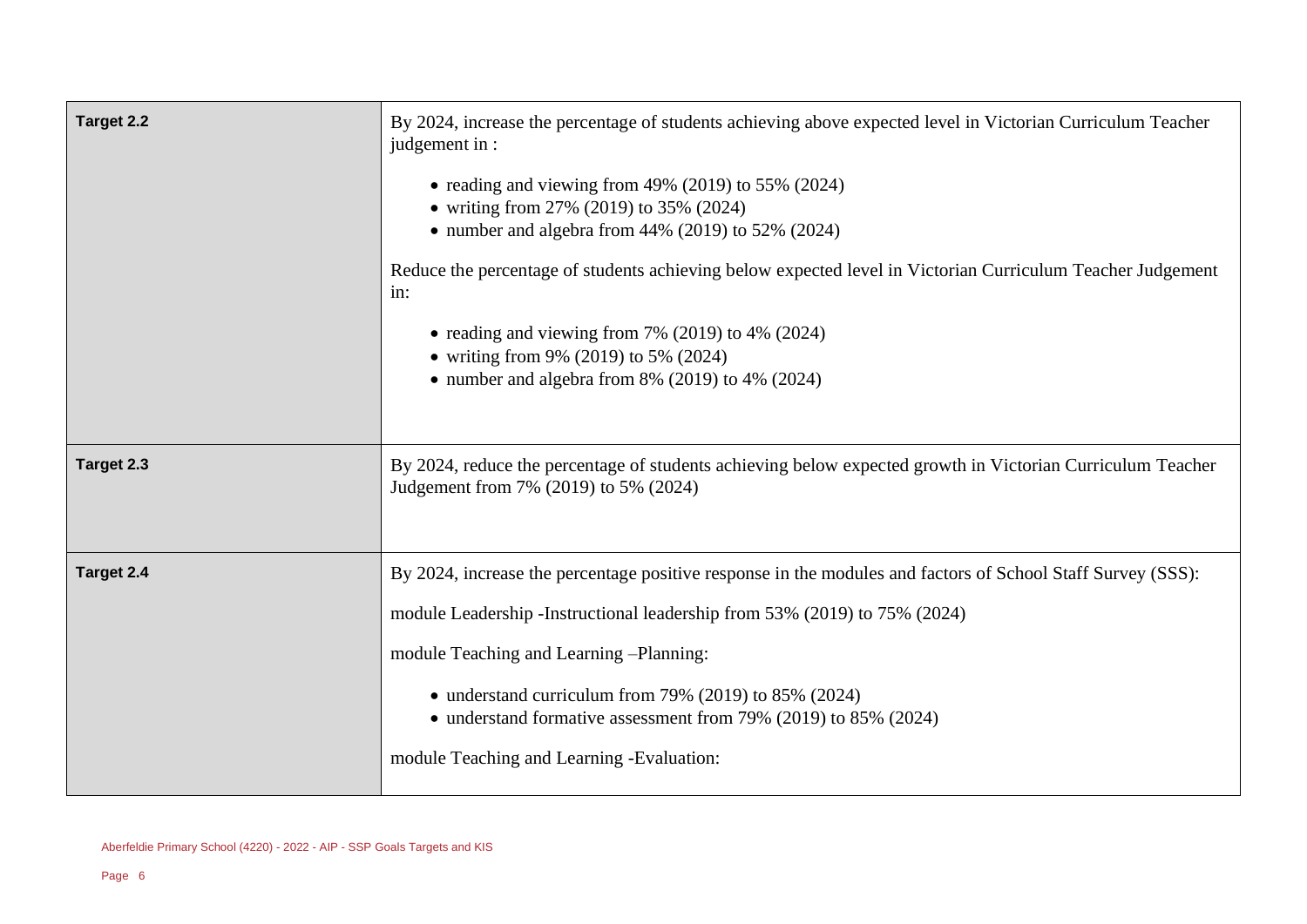| Target 2.2 | By 2024, increase the percentage of students achieving above expected level in Victorian Curriculum Teacher<br>judgement in :                           |
|------------|---------------------------------------------------------------------------------------------------------------------------------------------------------|
|            | • reading and viewing from 49% (2019) to 55% (2024)<br>• writing from 27% (2019) to 35% (2024)<br>• number and algebra from $44\%$ (2019) to 52% (2024) |
|            | Reduce the percentage of students achieving below expected level in Victorian Curriculum Teacher Judgement<br>in:                                       |
|            | • reading and viewing from $7\%$ (2019) to 4% (2024)                                                                                                    |
|            | • writing from 9% (2019) to 5% (2024)                                                                                                                   |
|            | • number and algebra from $8\%$ (2019) to $4\%$ (2024)                                                                                                  |
| Target 2.3 | By 2024, reduce the percentage of students achieving below expected growth in Victorian Curriculum Teacher<br>Judgement from 7% (2019) to 5% (2024)     |
| Target 2.4 | By 2024, increase the percentage positive response in the modules and factors of School Staff Survey (SSS):                                             |
|            | module Leadership -Instructional leadership from 53% (2019) to 75% (2024)                                                                               |
|            | module Teaching and Learning --Planning:                                                                                                                |
|            | $\bullet$ understand curriculum from 79% (2019) to 85% (2024)<br>• understand formative assessment from 79% (2019) to 85% (2024)                        |
|            | module Teaching and Learning - Evaluation:                                                                                                              |
|            |                                                                                                                                                         |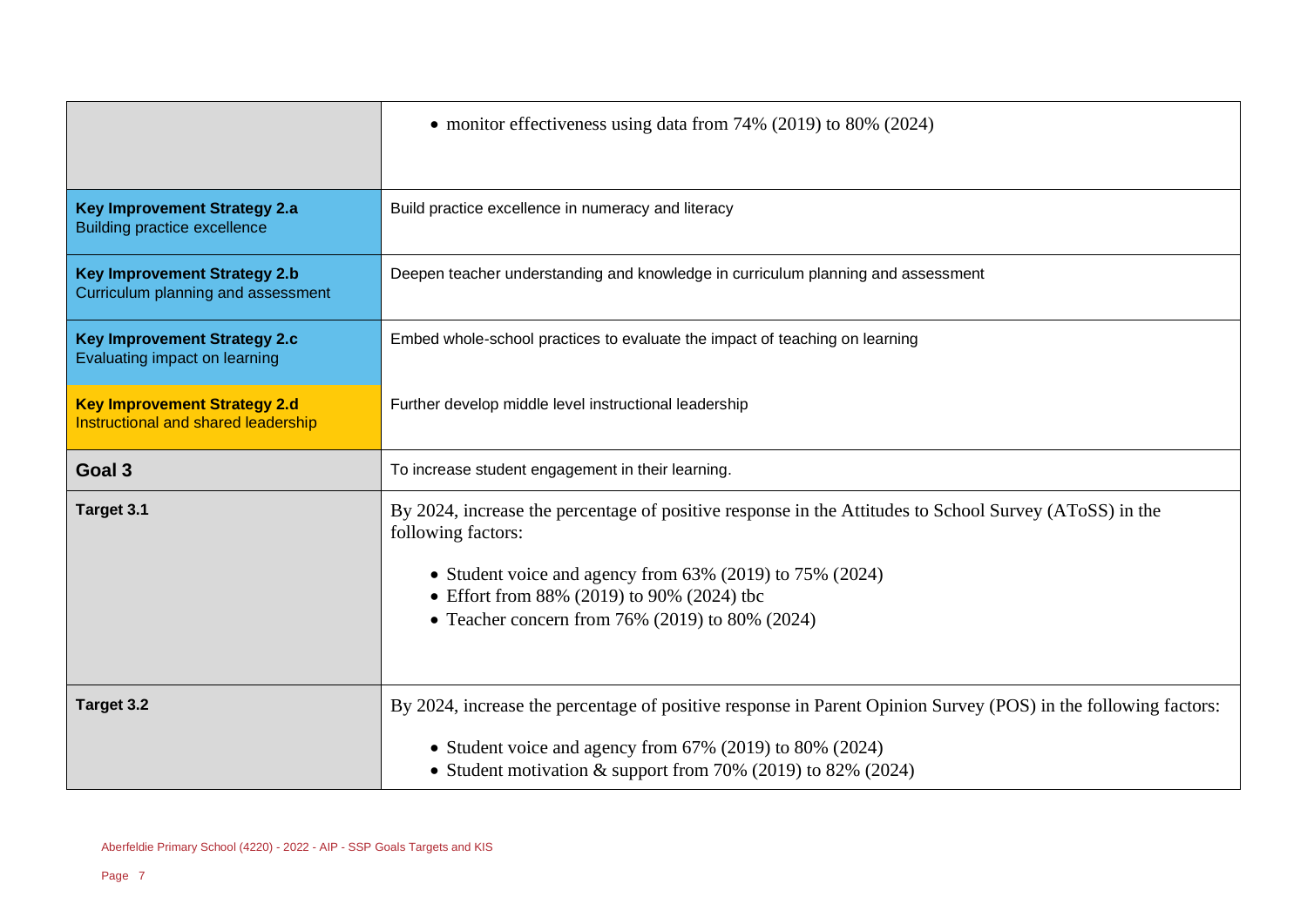|                                                                            | • monitor effectiveness using data from 74% (2019) to 80% (2024)                                                                                                                                                                                                                             |
|----------------------------------------------------------------------------|----------------------------------------------------------------------------------------------------------------------------------------------------------------------------------------------------------------------------------------------------------------------------------------------|
|                                                                            |                                                                                                                                                                                                                                                                                              |
| <b>Key Improvement Strategy 2.a</b><br><b>Building practice excellence</b> | Build practice excellence in numeracy and literacy                                                                                                                                                                                                                                           |
| <b>Key Improvement Strategy 2.b</b><br>Curriculum planning and assessment  | Deepen teacher understanding and knowledge in curriculum planning and assessment                                                                                                                                                                                                             |
| <b>Key Improvement Strategy 2.c</b><br>Evaluating impact on learning       | Embed whole-school practices to evaluate the impact of teaching on learning                                                                                                                                                                                                                  |
| <b>Key Improvement Strategy 2.d</b><br>Instructional and shared leadership | Further develop middle level instructional leadership                                                                                                                                                                                                                                        |
| Goal 3                                                                     | To increase student engagement in their learning.                                                                                                                                                                                                                                            |
| Target 3.1                                                                 | By 2024, increase the percentage of positive response in the Attitudes to School Survey (AToSS) in the<br>following factors:<br>• Student voice and agency from 63% (2019) to 75% (2024)<br>• Effort from 88% (2019) to 90% (2024) tbc<br>• Teacher concern from $76\%$ (2019) to 80% (2024) |
| Target 3.2                                                                 | By 2024, increase the percentage of positive response in Parent Opinion Survey (POS) in the following factors:                                                                                                                                                                               |
|                                                                            | • Student voice and agency from 67% (2019) to 80% (2024)<br>• Student motivation & support from 70% (2019) to 82% (2024)                                                                                                                                                                     |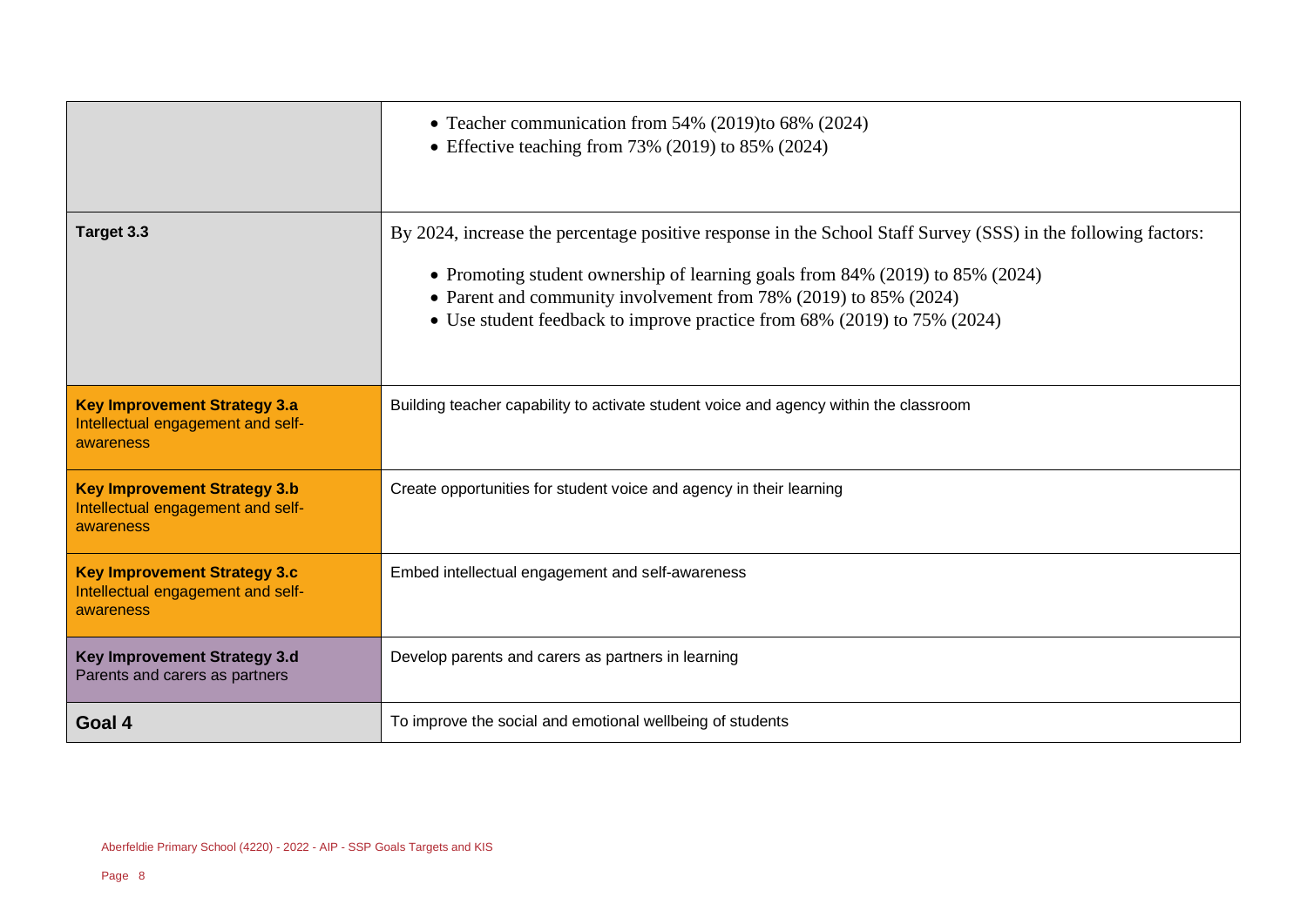|                                                                                       | • Teacher communication from 54% (2019) to 68% (2024)<br>• Effective teaching from $73\%$ (2019) to 85% (2024)                                                                                                                                                                                                                                 |
|---------------------------------------------------------------------------------------|------------------------------------------------------------------------------------------------------------------------------------------------------------------------------------------------------------------------------------------------------------------------------------------------------------------------------------------------|
| Target 3.3                                                                            | By 2024, increase the percentage positive response in the School Staff Survey (SSS) in the following factors:<br>• Promoting student ownership of learning goals from 84% (2019) to 85% (2024)<br>• Parent and community involvement from 78% (2019) to 85% (2024)<br>• Use student feedback to improve practice from 68% (2019) to 75% (2024) |
| <b>Key Improvement Strategy 3.a</b><br>Intellectual engagement and self-<br>awareness | Building teacher capability to activate student voice and agency within the classroom                                                                                                                                                                                                                                                          |
| <b>Key Improvement Strategy 3.b</b><br>Intellectual engagement and self-<br>awareness | Create opportunities for student voice and agency in their learning                                                                                                                                                                                                                                                                            |
| <b>Key Improvement Strategy 3.c</b><br>Intellectual engagement and self-<br>awareness | Embed intellectual engagement and self-awareness                                                                                                                                                                                                                                                                                               |
| Key Improvement Strategy 3.d<br>Parents and carers as partners                        | Develop parents and carers as partners in learning                                                                                                                                                                                                                                                                                             |
| Goal 4                                                                                | To improve the social and emotional wellbeing of students                                                                                                                                                                                                                                                                                      |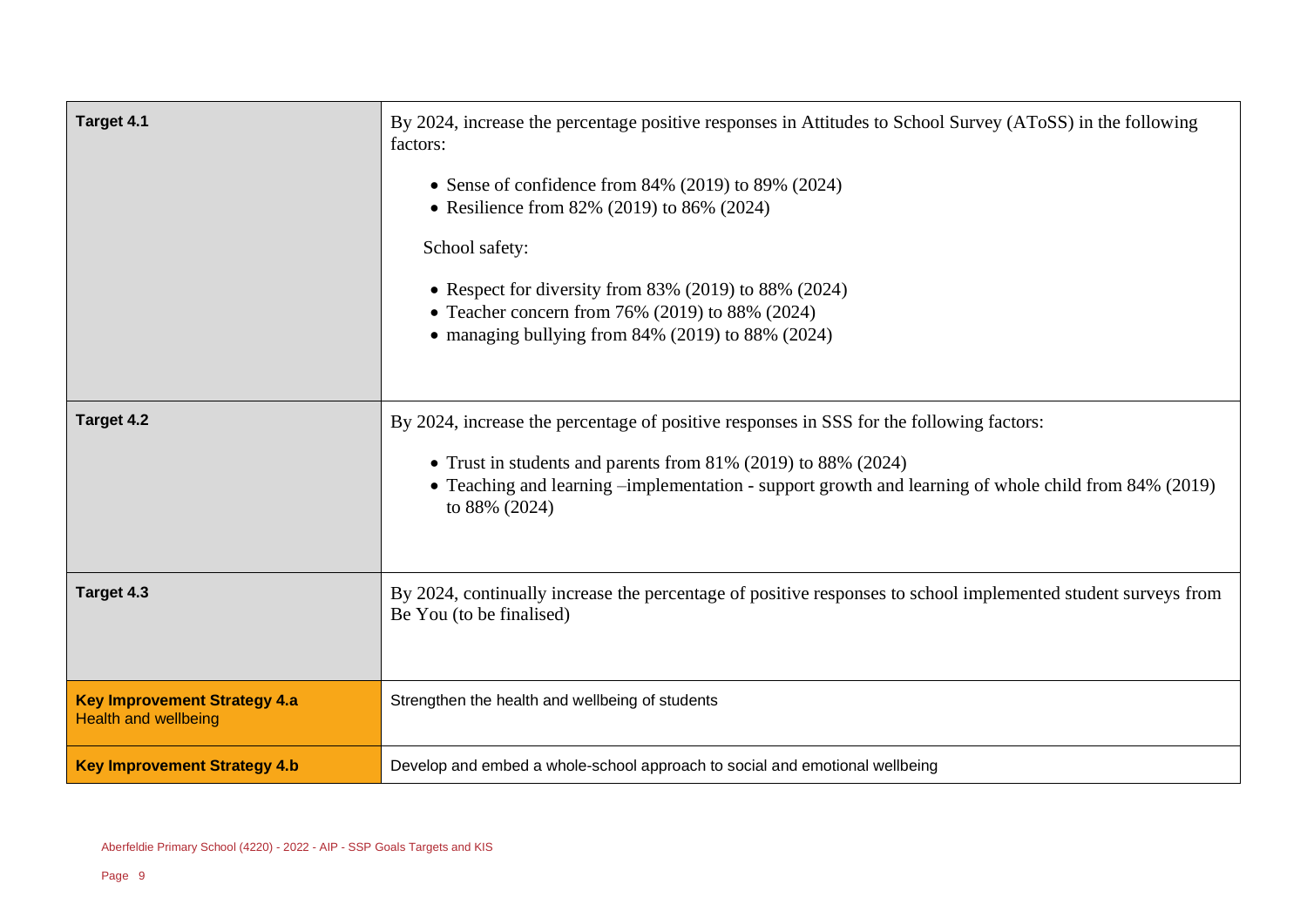| Target 4.1                                                         | By 2024, increase the percentage positive responses in Attitudes to School Survey (AToSS) in the following<br>factors:<br>• Sense of confidence from $84\%$ (2019) to $89\%$ (2024)<br>• Resilience from $82\%$ (2019) to $86\%$ (2024)<br>School safety:<br>• Respect for diversity from 83% (2019) to 88% (2024)<br>• Teacher concern from $76\%$ (2019) to 88% (2024)<br>• managing bullying from $84\%$ (2019) to $88\%$ (2024) |
|--------------------------------------------------------------------|-------------------------------------------------------------------------------------------------------------------------------------------------------------------------------------------------------------------------------------------------------------------------------------------------------------------------------------------------------------------------------------------------------------------------------------|
| Target 4.2                                                         | By 2024, increase the percentage of positive responses in SSS for the following factors:<br>• Trust in students and parents from 81% (2019) to 88% (2024)<br>• Teaching and learning -implementation - support growth and learning of whole child from 84% (2019)<br>to 88% (2024)                                                                                                                                                  |
| Target 4.3                                                         | By 2024, continually increase the percentage of positive responses to school implemented student surveys from<br>Be You (to be finalised)                                                                                                                                                                                                                                                                                           |
| <b>Key Improvement Strategy 4.a</b><br><b>Health and wellbeing</b> | Strengthen the health and wellbeing of students                                                                                                                                                                                                                                                                                                                                                                                     |
| <b>Key Improvement Strategy 4.b</b>                                | Develop and embed a whole-school approach to social and emotional wellbeing                                                                                                                                                                                                                                                                                                                                                         |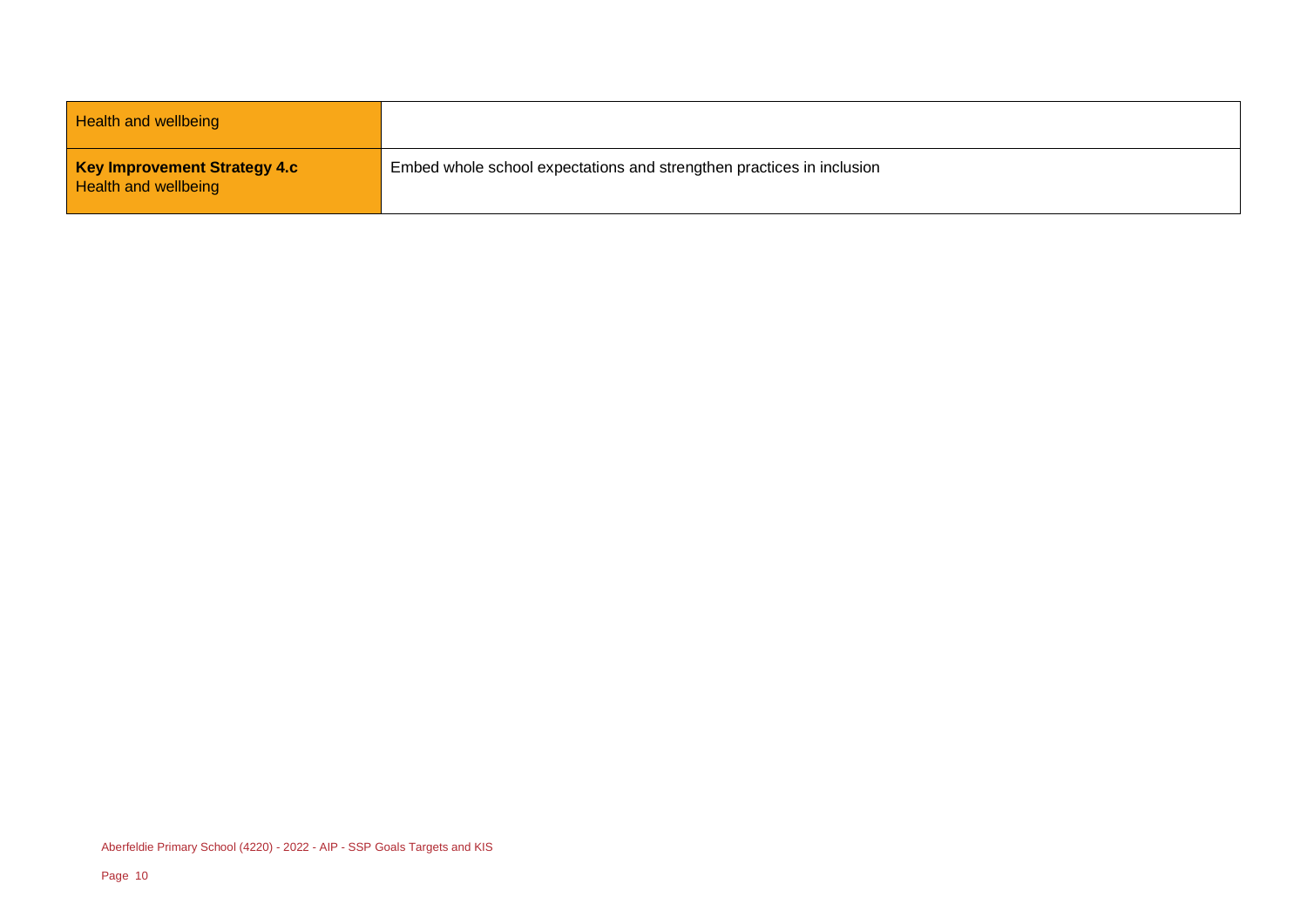| Health and wellbeing                                               |                                                                       |
|--------------------------------------------------------------------|-----------------------------------------------------------------------|
| <b>Key Improvement Strategy 4.c</b><br><b>Health and wellbeing</b> | Embed whole school expectations and strengthen practices in inclusion |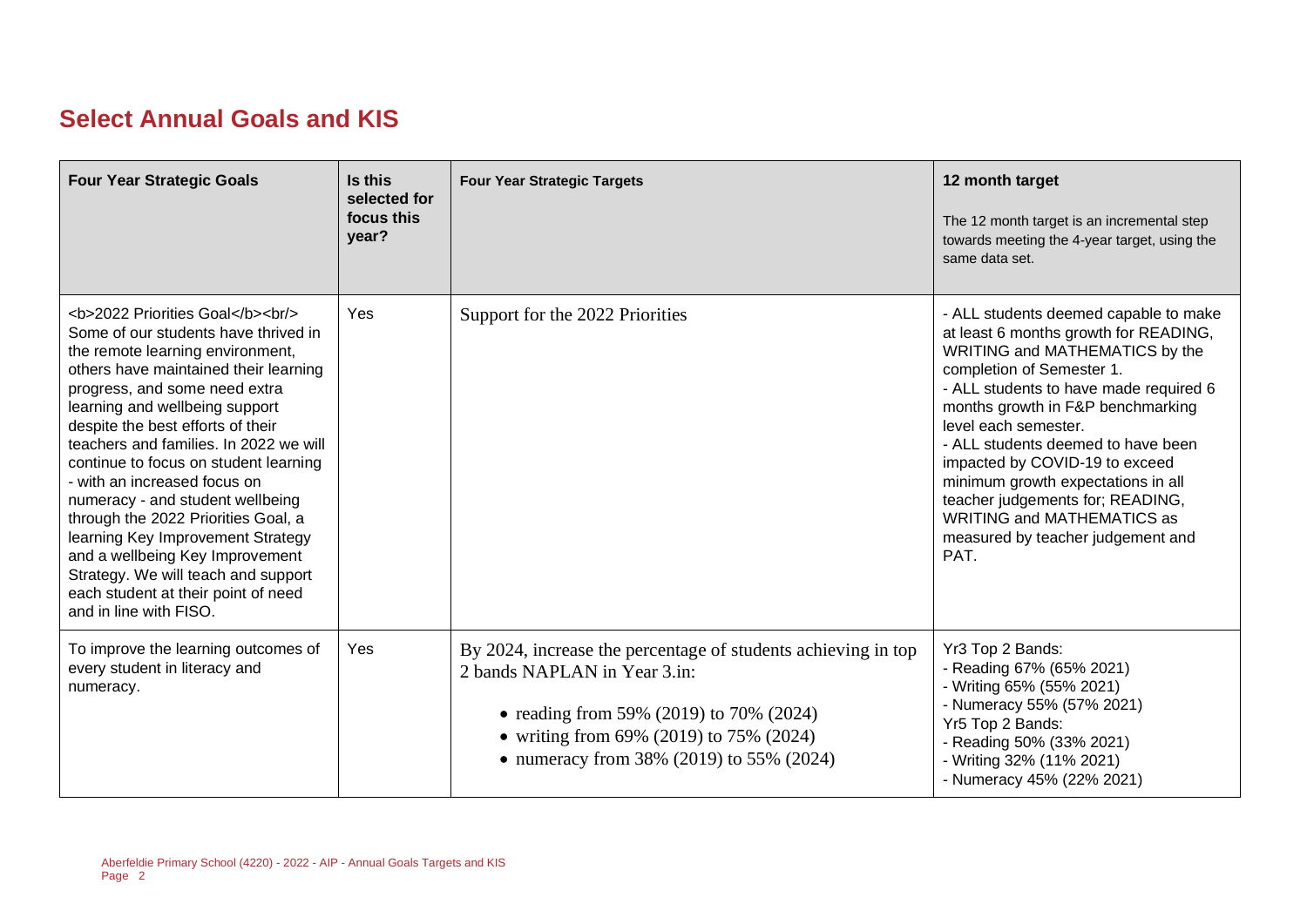## **Select Annual Goals and KIS**

| <b>Four Year Strategic Goals</b>                                                                                                                                                              | Is this<br>selected for<br>focus this<br>year? | <b>Four Year Strategic Targets</b>                                                                                                                                                                                              | 12 month target<br>The 12 month target is an incremental step<br>towards meeting the 4-year target, using the<br>same data set.                                                                                                                                                                                                                                                                                                                                                          |
|-----------------------------------------------------------------------------------------------------------------------------------------------------------------------------------------------|------------------------------------------------|---------------------------------------------------------------------------------------------------------------------------------------------------------------------------------------------------------------------------------|------------------------------------------------------------------------------------------------------------------------------------------------------------------------------------------------------------------------------------------------------------------------------------------------------------------------------------------------------------------------------------------------------------------------------------------------------------------------------------------|
| <b>2022 Priorities Goal</b><br><br><br>Some of our students have thrived in<br>the remote learning environment,<br>others have maintained their learning<br>progress, and some need extra<br> | Yes                                            | Support for the 2022 Priorities                                                                                                                                                                                                 | - ALL students deemed capable to make<br>at least 6 months growth for READING,<br>WRITING and MATHEMATICS by the<br>completion of Semester 1.<br>- ALL students to have made required 6<br>months growth in F&P benchmarking<br>level each semester.<br>- ALL students deemed to have been<br>impacted by COVID-19 to exceed<br>minimum growth expectations in all<br>teacher judgements for; READING,<br><b>WRITING and MATHEMATICS as</b><br>measured by teacher judgement and<br>PAT. |
| To improve the learning outcomes of<br>every student in literacy and<br>numeracy.                                                                                                             | Yes                                            | By 2024, increase the percentage of students achieving in top<br>2 bands NAPLAN in Year 3.in:<br>• reading from 59% (2019) to 70% (2024)<br>• writing from 69% (2019) to 75% (2024)<br>• numeracy from 38% (2019) to 55% (2024) | Yr3 Top 2 Bands:<br>- Reading 67% (65% 2021)<br>- Writing 65% (55% 2021)<br>- Numeracy 55% (57% 2021)<br>Yr5 Top 2 Bands:<br>- Reading 50% (33% 2021)<br>- Writing 32% (11% 2021)<br>- Numeracy 45% (22% 2021)                                                                                                                                                                                                                                                                           |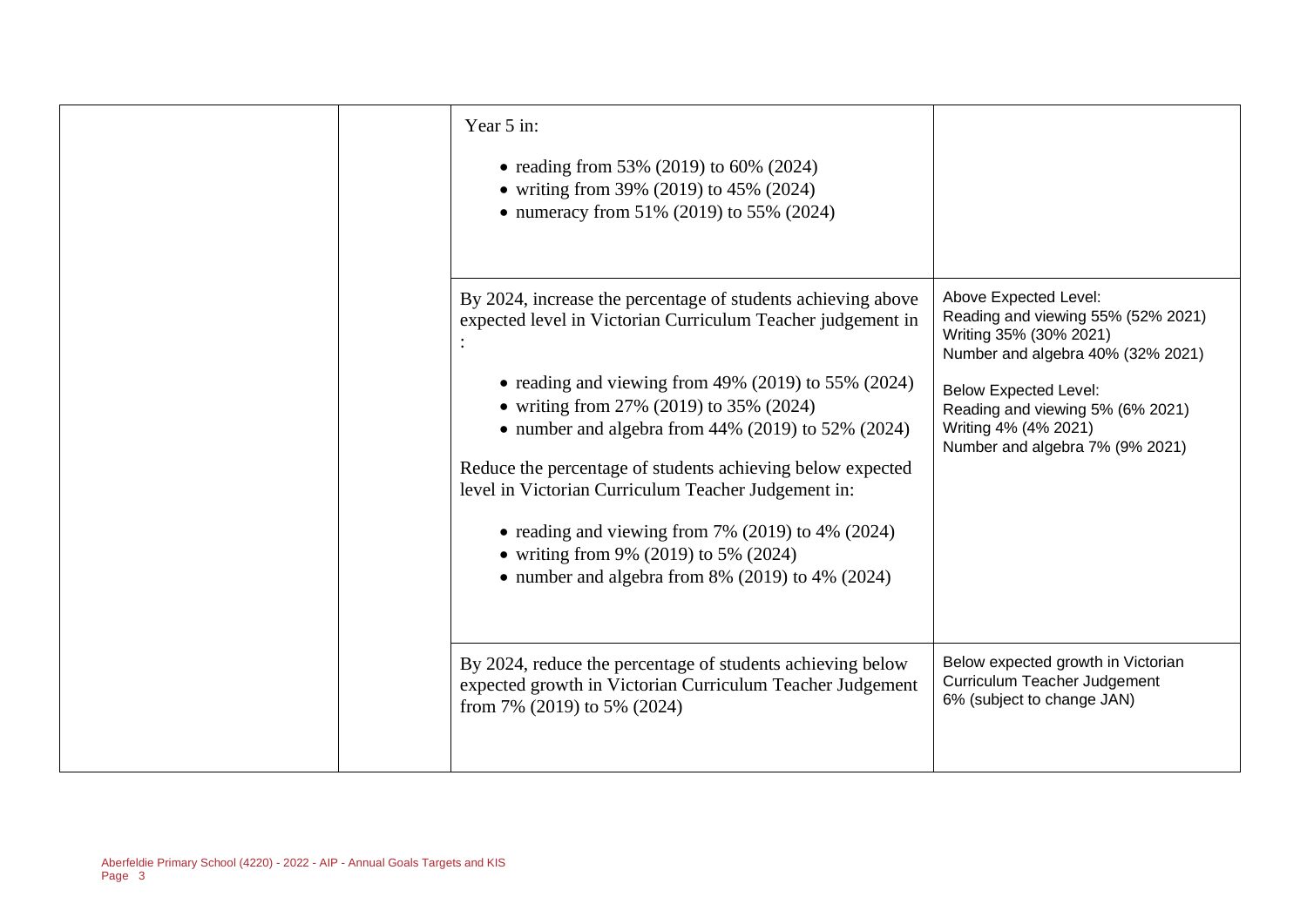| Year 5 in:<br>• reading from 53% (2019) to 60% (2024)<br>• writing from 39% (2019) to 45% (2024)<br>• numeracy from 51% (2019) to 55% (2024)                                                                                                                                                                                                                                                                                                                                                                                                                           |                                                                                                                                                                                                                                                           |
|------------------------------------------------------------------------------------------------------------------------------------------------------------------------------------------------------------------------------------------------------------------------------------------------------------------------------------------------------------------------------------------------------------------------------------------------------------------------------------------------------------------------------------------------------------------------|-----------------------------------------------------------------------------------------------------------------------------------------------------------------------------------------------------------------------------------------------------------|
| By 2024, increase the percentage of students achieving above<br>expected level in Victorian Curriculum Teacher judgement in<br>• reading and viewing from 49% (2019) to 55% (2024)<br>• writing from 27% (2019) to 35% (2024)<br>• number and algebra from $44\%$ (2019) to 52% (2024)<br>Reduce the percentage of students achieving below expected<br>level in Victorian Curriculum Teacher Judgement in:<br>• reading and viewing from $7\%$ (2019) to 4% (2024)<br>• writing from 9% (2019) to 5% (2024)<br>• number and algebra from $8\%$ (2019) to $4\%$ (2024) | Above Expected Level:<br>Reading and viewing 55% (52% 2021)<br>Writing 35% (30% 2021)<br>Number and algebra 40% (32% 2021)<br><b>Below Expected Level:</b><br>Reading and viewing 5% (6% 2021)<br>Writing 4% (4% 2021)<br>Number and algebra 7% (9% 2021) |
| By 2024, reduce the percentage of students achieving below<br>expected growth in Victorian Curriculum Teacher Judgement<br>from 7% $(2019)$ to 5% $(2024)$                                                                                                                                                                                                                                                                                                                                                                                                             | Below expected growth in Victorian<br><b>Curriculum Teacher Judgement</b><br>6% (subject to change JAN)                                                                                                                                                   |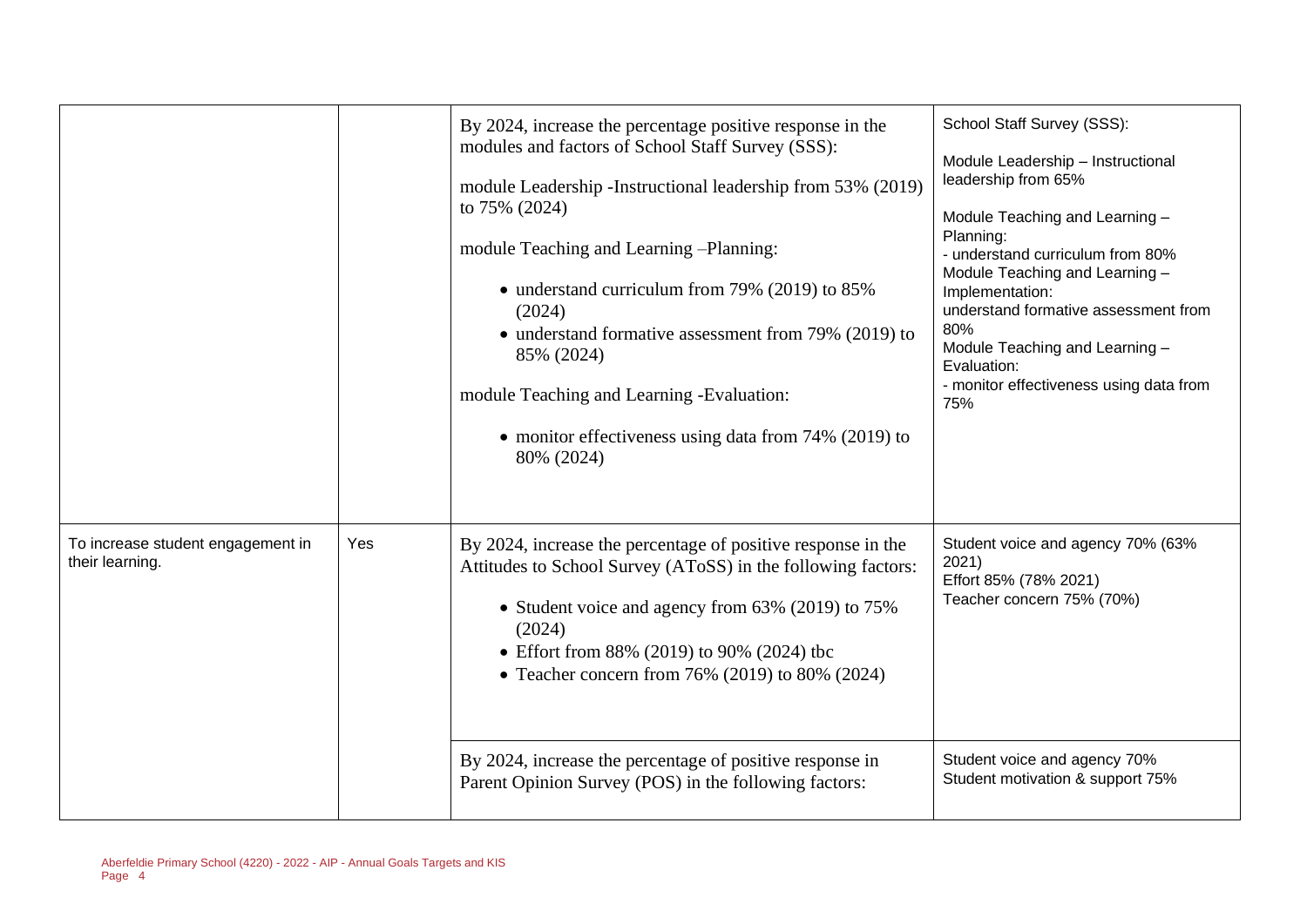|                                                      |     | By 2024, increase the percentage positive response in the<br>modules and factors of School Staff Survey (SSS):<br>module Leadership -Instructional leadership from 53% (2019)<br>to $75\%$ (2024)<br>module Teaching and Learning -Planning:<br>• understand curriculum from 79% (2019) to 85%<br>(2024)<br>• understand formative assessment from 79% (2019) to<br>85% (2024)<br>module Teaching and Learning -Evaluation:<br>• monitor effectiveness using data from $74\%$ (2019) to<br>80% (2024) | School Staff Survey (SSS):<br>Module Leadership - Instructional<br>leadership from 65%<br>Module Teaching and Learning -<br>Planning:<br>- understand curriculum from 80%<br>Module Teaching and Learning -<br>Implementation:<br>understand formative assessment from<br>80%<br>Module Teaching and Learning -<br>Evaluation:<br>- monitor effectiveness using data from<br>75% |
|------------------------------------------------------|-----|-------------------------------------------------------------------------------------------------------------------------------------------------------------------------------------------------------------------------------------------------------------------------------------------------------------------------------------------------------------------------------------------------------------------------------------------------------------------------------------------------------|----------------------------------------------------------------------------------------------------------------------------------------------------------------------------------------------------------------------------------------------------------------------------------------------------------------------------------------------------------------------------------|
| To increase student engagement in<br>their learning. | Yes | By 2024, increase the percentage of positive response in the<br>Attitudes to School Survey (AToSS) in the following factors:<br>• Student voice and agency from 63% (2019) to 75%<br>(2024)<br>• Effort from 88% (2019) to 90% (2024) tbc<br>• Teacher concern from 76% (2019) to 80% (2024)<br>By 2024, increase the percentage of positive response in<br>Parent Opinion Survey (POS) in the following factors:                                                                                     | Student voice and agency 70% (63%<br>2021)<br>Effort 85% (78% 2021)<br>Teacher concern 75% (70%)<br>Student voice and agency 70%<br>Student motivation & support 75%                                                                                                                                                                                                             |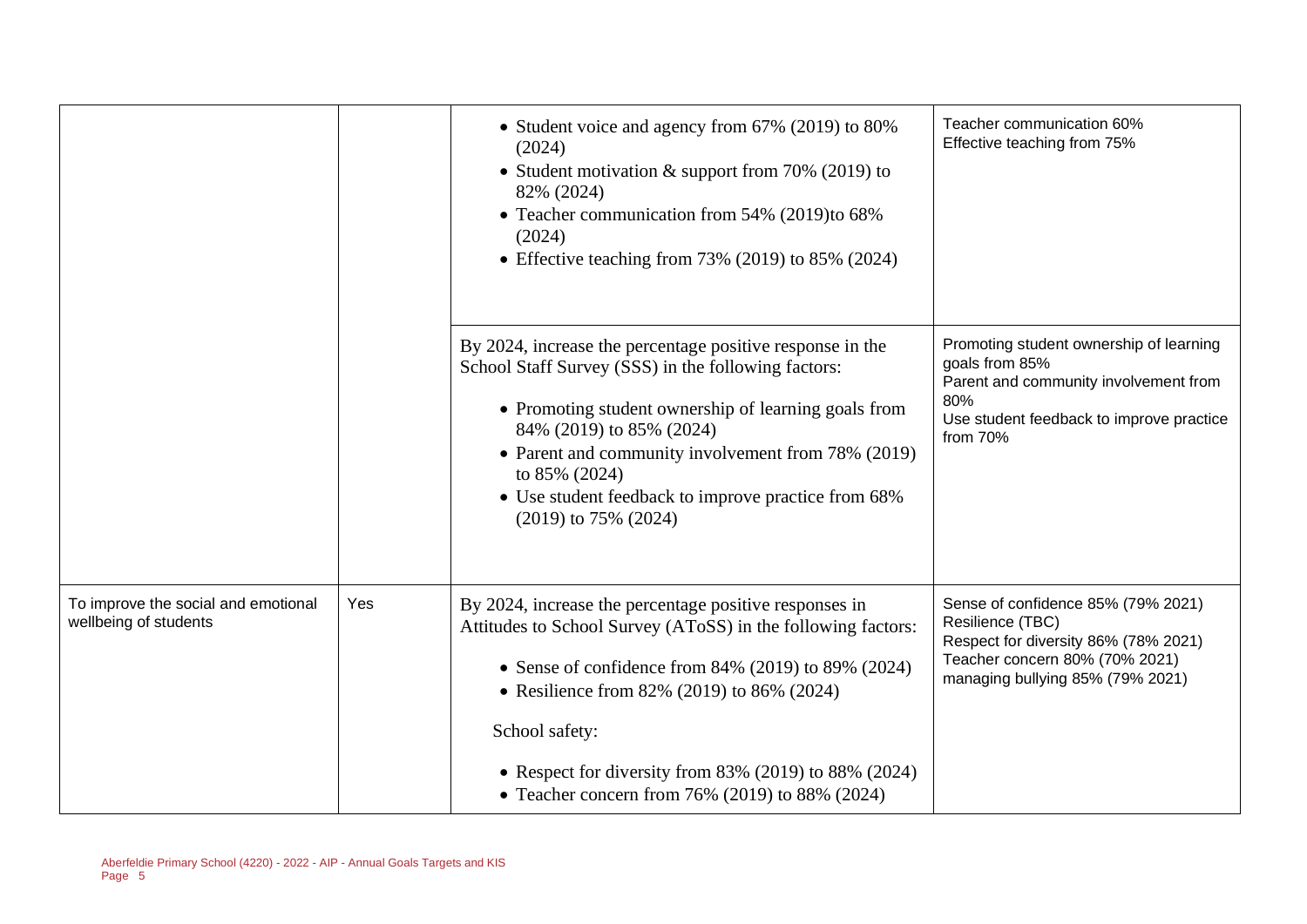|                                                              |     | • Student voice and agency from 67% (2019) to 80%<br>(2024)<br>• Student motivation $\&$ support from 70% (2019) to<br>82% (2024)<br>• Teacher communication from 54% (2019) to 68%<br>(2024)<br>• Effective teaching from $73\%$ (2019) to 85% (2024)                                                                                                          | Teacher communication 60%<br>Effective teaching from 75%                                                                                                             |
|--------------------------------------------------------------|-----|-----------------------------------------------------------------------------------------------------------------------------------------------------------------------------------------------------------------------------------------------------------------------------------------------------------------------------------------------------------------|----------------------------------------------------------------------------------------------------------------------------------------------------------------------|
|                                                              |     | By 2024, increase the percentage positive response in the<br>School Staff Survey (SSS) in the following factors:<br>• Promoting student ownership of learning goals from<br>84% (2019) to 85% (2024)<br>• Parent and community involvement from 78% (2019)<br>to 85% (2024)<br>• Use student feedback to improve practice from 68%<br>$(2019)$ to 75% $(2024)$  | Promoting student ownership of learning<br>goals from 85%<br>Parent and community involvement from<br>80%<br>Use student feedback to improve practice<br>from 70%    |
| To improve the social and emotional<br>wellbeing of students | Yes | By 2024, increase the percentage positive responses in<br>Attitudes to School Survey (AToSS) in the following factors:<br>• Sense of confidence from $84\%$ (2019) to $89\%$ (2024)<br>• Resilience from 82% (2019) to 86% (2024)<br>School safety:<br>• Respect for diversity from 83% (2019) to 88% (2024)<br>• Teacher concern from 76% (2019) to 88% (2024) | Sense of confidence 85% (79% 2021)<br>Resilience (TBC)<br>Respect for diversity 86% (78% 2021)<br>Teacher concern 80% (70% 2021)<br>managing bullying 85% (79% 2021) |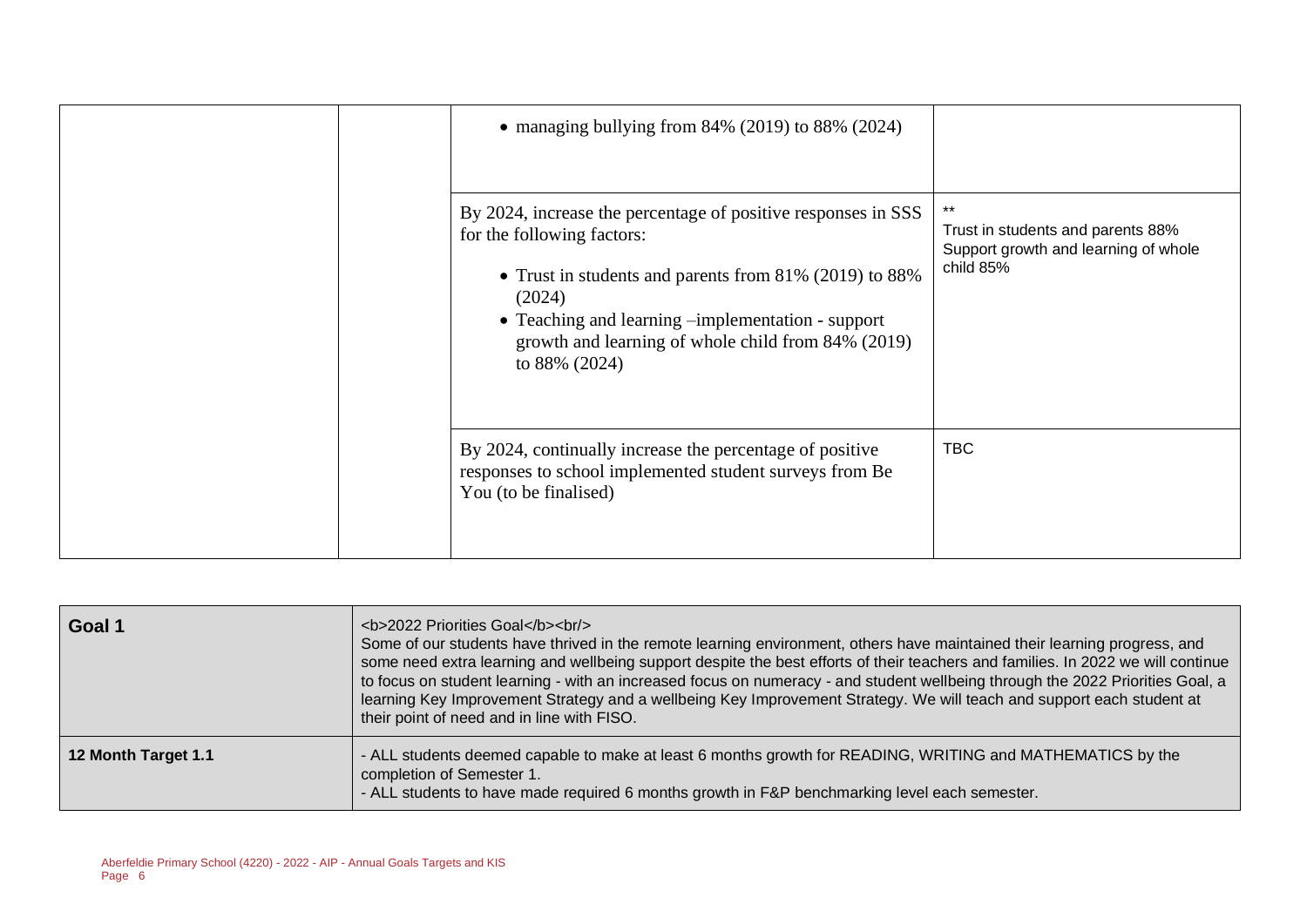| • managing bullying from $84\%$ (2019) to $88\%$ (2024)                                                                                                                                                                                                                                     |                                                                                                 |
|---------------------------------------------------------------------------------------------------------------------------------------------------------------------------------------------------------------------------------------------------------------------------------------------|-------------------------------------------------------------------------------------------------|
| By 2024, increase the percentage of positive responses in SSS<br>for the following factors:<br>• Trust in students and parents from 81% (2019) to 88%<br>(2024)<br>• Teaching and learning -implementation - support<br>growth and learning of whole child from 84% (2019)<br>to 88% (2024) | $***$<br>Trust in students and parents 88%<br>Support growth and learning of whole<br>child 85% |
| By 2024, continually increase the percentage of positive<br>responses to school implemented student surveys from Be<br>You (to be finalised)                                                                                                                                                | <b>TBC</b>                                                                                      |

| Goal 1              | <b>2022 Priorities Goal</b><br><br><br>Some of our students have thrived in the remote learning environment, others have maintained their learning progress, and<br>some need extra learning and wellbeing support despite the best efforts of their teachers and families. In 2022 we will continue<br>to focus on student learning - with an increased focus on numeracy - and student wellbeing through the 2022 Priorities Goal, a<br>learning Key Improvement Strategy and a wellbeing Key Improvement Strategy. We will teach and support each student at<br>their point of need and in line with FISO. |
|---------------------|---------------------------------------------------------------------------------------------------------------------------------------------------------------------------------------------------------------------------------------------------------------------------------------------------------------------------------------------------------------------------------------------------------------------------------------------------------------------------------------------------------------------------------------------------------------------------------------------------------------|
| 12 Month Target 1.1 | - ALL students deemed capable to make at least 6 months growth for READING, WRITING and MATHEMATICS by the<br>completion of Semester 1.<br>- ALL students to have made required 6 months growth in F&P benchmarking level each semester.                                                                                                                                                                                                                                                                                                                                                                      |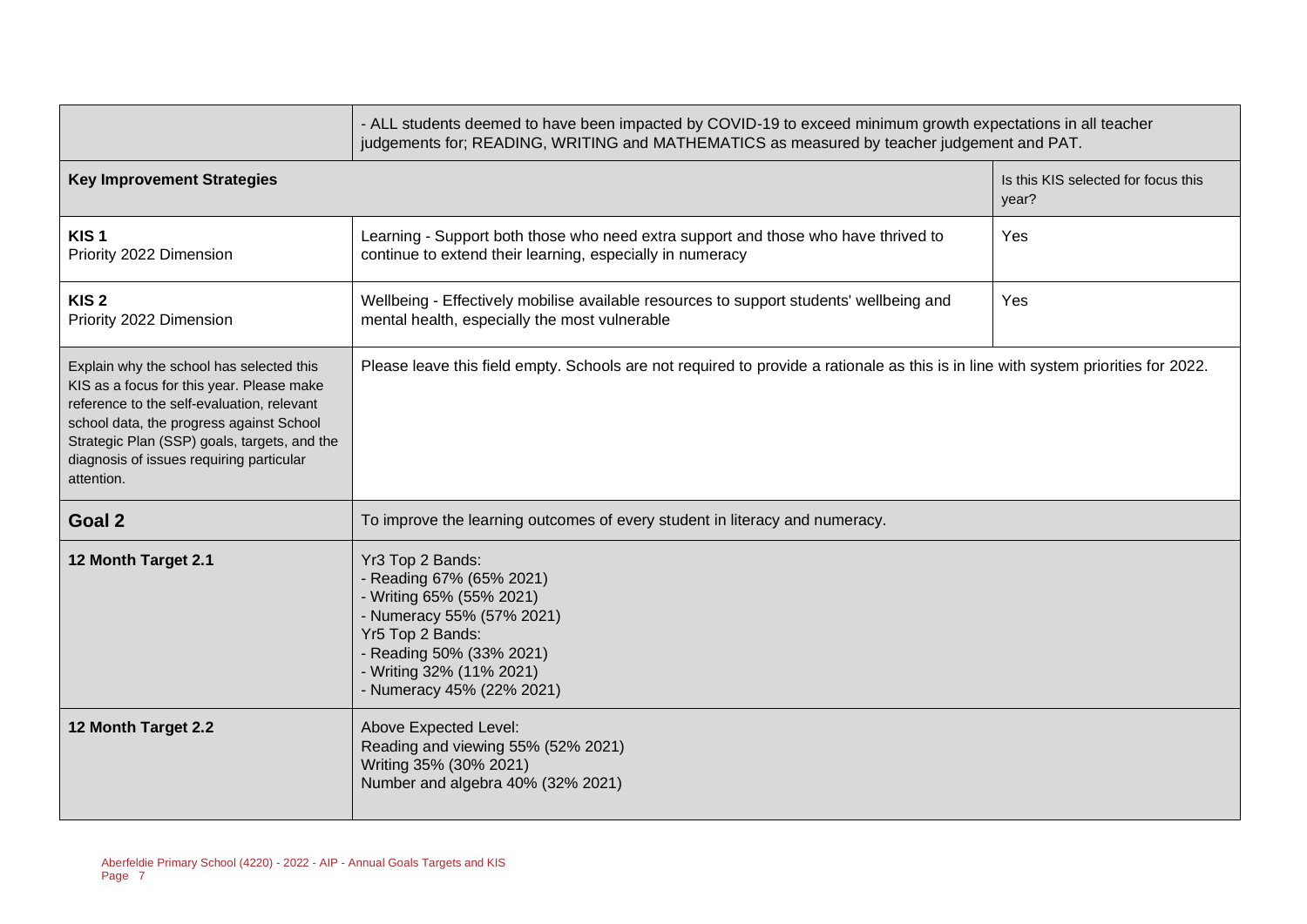|                                                                                                                                                                                                                                                                                           | - ALL students deemed to have been impacted by COVID-19 to exceed minimum growth expectations in all teacher<br>judgements for; READING, WRITING and MATHEMATICS as measured by teacher judgement and PAT.     |                                              |
|-------------------------------------------------------------------------------------------------------------------------------------------------------------------------------------------------------------------------------------------------------------------------------------------|----------------------------------------------------------------------------------------------------------------------------------------------------------------------------------------------------------------|----------------------------------------------|
| <b>Key Improvement Strategies</b>                                                                                                                                                                                                                                                         |                                                                                                                                                                                                                | Is this KIS selected for focus this<br>year? |
| KIS <sub>1</sub><br>Priority 2022 Dimension                                                                                                                                                                                                                                               | Learning - Support both those who need extra support and those who have thrived to<br>continue to extend their learning, especially in numeracy                                                                | Yes                                          |
| KIS <sub>2</sub><br>Priority 2022 Dimension                                                                                                                                                                                                                                               | Wellbeing - Effectively mobilise available resources to support students' wellbeing and<br>mental health, especially the most vulnerable                                                                       | Yes                                          |
| Explain why the school has selected this<br>KIS as a focus for this year. Please make<br>reference to the self-evaluation, relevant<br>school data, the progress against School<br>Strategic Plan (SSP) goals, targets, and the<br>diagnosis of issues requiring particular<br>attention. | Please leave this field empty. Schools are not required to provide a rationale as this is in line with system priorities for 2022.                                                                             |                                              |
| Goal 2                                                                                                                                                                                                                                                                                    | To improve the learning outcomes of every student in literacy and numeracy.                                                                                                                                    |                                              |
| 12 Month Target 2.1                                                                                                                                                                                                                                                                       | Yr3 Top 2 Bands:<br>- Reading 67% (65% 2021)<br>- Writing 65% (55% 2021)<br>- Numeracy 55% (57% 2021)<br>Yr5 Top 2 Bands:<br>- Reading 50% (33% 2021)<br>- Writing 32% (11% 2021)<br>- Numeracy 45% (22% 2021) |                                              |
| 12 Month Target 2.2                                                                                                                                                                                                                                                                       | Above Expected Level:<br>Reading and viewing 55% (52% 2021)<br>Writing 35% (30% 2021)<br>Number and algebra 40% (32% 2021)                                                                                     |                                              |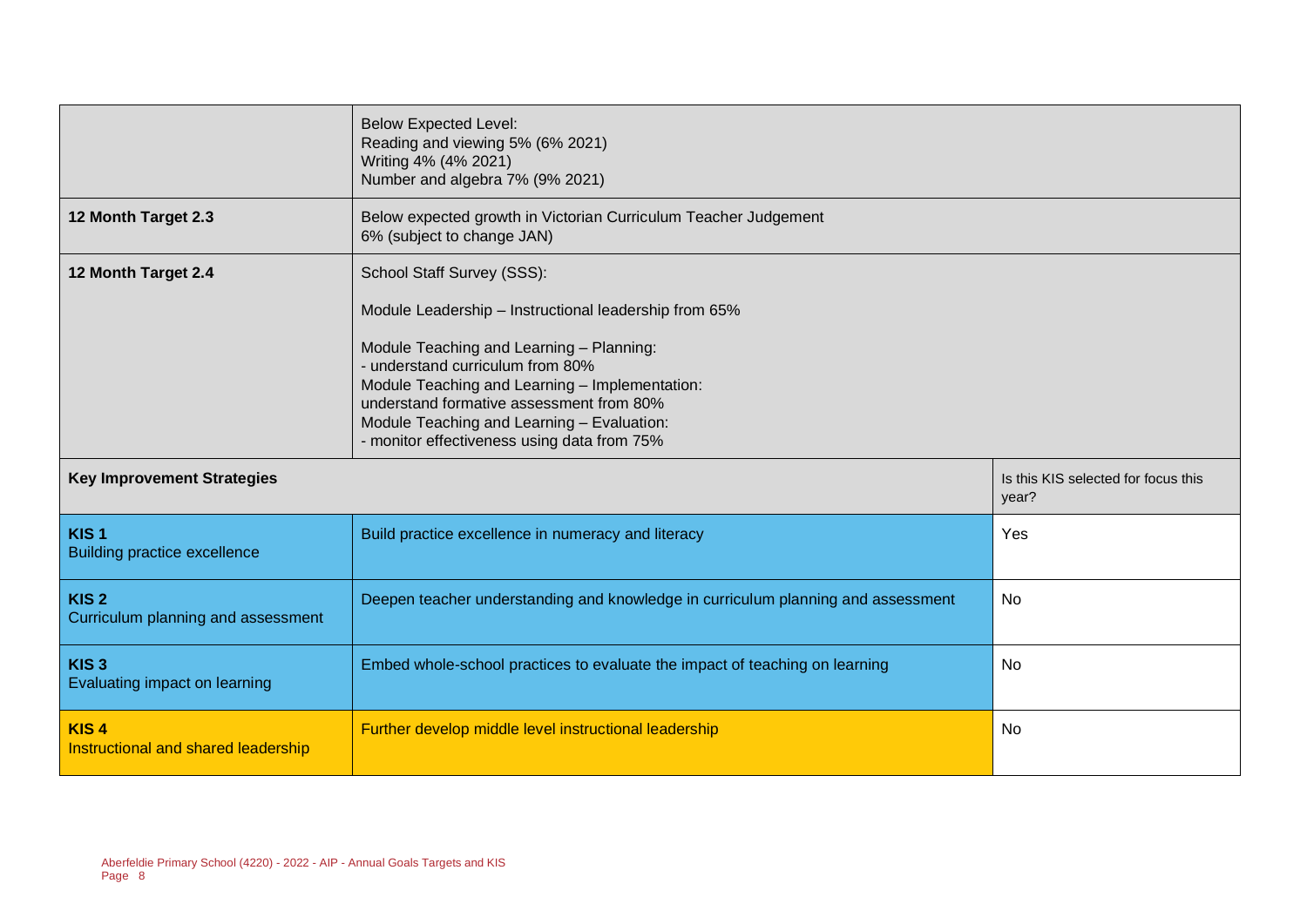|                                                         | <b>Below Expected Level:</b><br>Reading and viewing 5% (6% 2021)<br>Writing 4% (4% 2021)<br>Number and algebra 7% (9% 2021)                                                                                                                                                                                                                                    |                                              |  |
|---------------------------------------------------------|----------------------------------------------------------------------------------------------------------------------------------------------------------------------------------------------------------------------------------------------------------------------------------------------------------------------------------------------------------------|----------------------------------------------|--|
| 12 Month Target 2.3                                     | Below expected growth in Victorian Curriculum Teacher Judgement<br>6% (subject to change JAN)                                                                                                                                                                                                                                                                  |                                              |  |
| 12 Month Target 2.4                                     | School Staff Survey (SSS):<br>Module Leadership - Instructional leadership from 65%<br>Module Teaching and Learning - Planning:<br>- understand curriculum from 80%<br>Module Teaching and Learning - Implementation:<br>understand formative assessment from 80%<br>Module Teaching and Learning - Evaluation:<br>- monitor effectiveness using data from 75% |                                              |  |
| <b>Key Improvement Strategies</b>                       |                                                                                                                                                                                                                                                                                                                                                                | Is this KIS selected for focus this<br>year? |  |
| KIS <sub>1</sub><br><b>Building practice excellence</b> | Build practice excellence in numeracy and literacy                                                                                                                                                                                                                                                                                                             | Yes                                          |  |
| KIS <sub>2</sub><br>Curriculum planning and assessment  | Deepen teacher understanding and knowledge in curriculum planning and assessment                                                                                                                                                                                                                                                                               | <b>No</b>                                    |  |
| KIS <sub>3</sub><br>Evaluating impact on learning       | Embed whole-school practices to evaluate the impact of teaching on learning                                                                                                                                                                                                                                                                                    | No                                           |  |
| KIS <sub>4</sub><br>Instructional and shared leadership | Further develop middle level instructional leadership                                                                                                                                                                                                                                                                                                          | <b>No</b>                                    |  |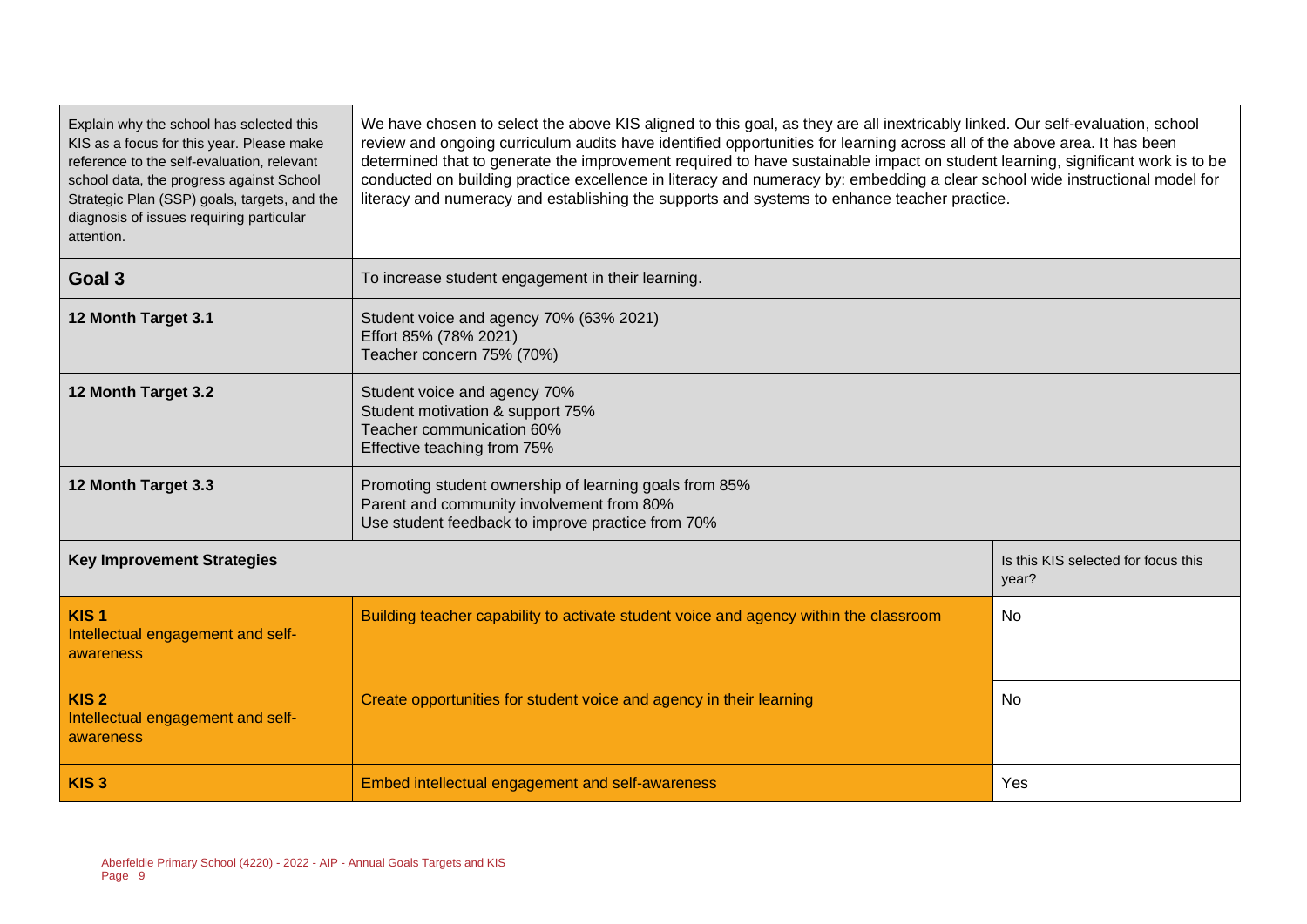| Explain why the school has selected this<br>KIS as a focus for this year. Please make<br>reference to the self-evaluation, relevant<br>school data, the progress against School<br>Strategic Plan (SSP) goals, targets, and the<br>diagnosis of issues requiring particular<br>attention. | We have chosen to select the above KIS aligned to this goal, as they are all inextricably linked. Our self-evaluation, school<br>review and ongoing curriculum audits have identified opportunities for learning across all of the above area. It has been<br>determined that to generate the improvement required to have sustainable impact on student learning, significant work is to be<br>conducted on building practice excellence in literacy and numeracy by: embedding a clear school wide instructional model for<br>literacy and numeracy and establishing the supports and systems to enhance teacher practice. |                                              |  |
|-------------------------------------------------------------------------------------------------------------------------------------------------------------------------------------------------------------------------------------------------------------------------------------------|------------------------------------------------------------------------------------------------------------------------------------------------------------------------------------------------------------------------------------------------------------------------------------------------------------------------------------------------------------------------------------------------------------------------------------------------------------------------------------------------------------------------------------------------------------------------------------------------------------------------------|----------------------------------------------|--|
| Goal 3                                                                                                                                                                                                                                                                                    | To increase student engagement in their learning.                                                                                                                                                                                                                                                                                                                                                                                                                                                                                                                                                                            |                                              |  |
| 12 Month Target 3.1                                                                                                                                                                                                                                                                       | Student voice and agency 70% (63% 2021)<br>Effort 85% (78% 2021)<br>Teacher concern 75% (70%)                                                                                                                                                                                                                                                                                                                                                                                                                                                                                                                                |                                              |  |
| 12 Month Target 3.2                                                                                                                                                                                                                                                                       | Student voice and agency 70%<br>Student motivation & support 75%<br>Teacher communication 60%<br>Effective teaching from 75%                                                                                                                                                                                                                                                                                                                                                                                                                                                                                                 |                                              |  |
| 12 Month Target 3.3                                                                                                                                                                                                                                                                       | Promoting student ownership of learning goals from 85%<br>Parent and community involvement from 80%<br>Use student feedback to improve practice from 70%                                                                                                                                                                                                                                                                                                                                                                                                                                                                     |                                              |  |
| <b>Key Improvement Strategies</b>                                                                                                                                                                                                                                                         |                                                                                                                                                                                                                                                                                                                                                                                                                                                                                                                                                                                                                              | Is this KIS selected for focus this<br>year? |  |
| KIS <sub>1</sub><br>Intellectual engagement and self-<br>awareness                                                                                                                                                                                                                        | Building teacher capability to activate student voice and agency within the classroom                                                                                                                                                                                                                                                                                                                                                                                                                                                                                                                                        | No                                           |  |
| KIS <sub>2</sub><br>Intellectual engagement and self-<br>awareness                                                                                                                                                                                                                        | Create opportunities for student voice and agency in their learning                                                                                                                                                                                                                                                                                                                                                                                                                                                                                                                                                          | No                                           |  |
| KIS <sub>3</sub>                                                                                                                                                                                                                                                                          | Embed intellectual engagement and self-awareness                                                                                                                                                                                                                                                                                                                                                                                                                                                                                                                                                                             | Yes                                          |  |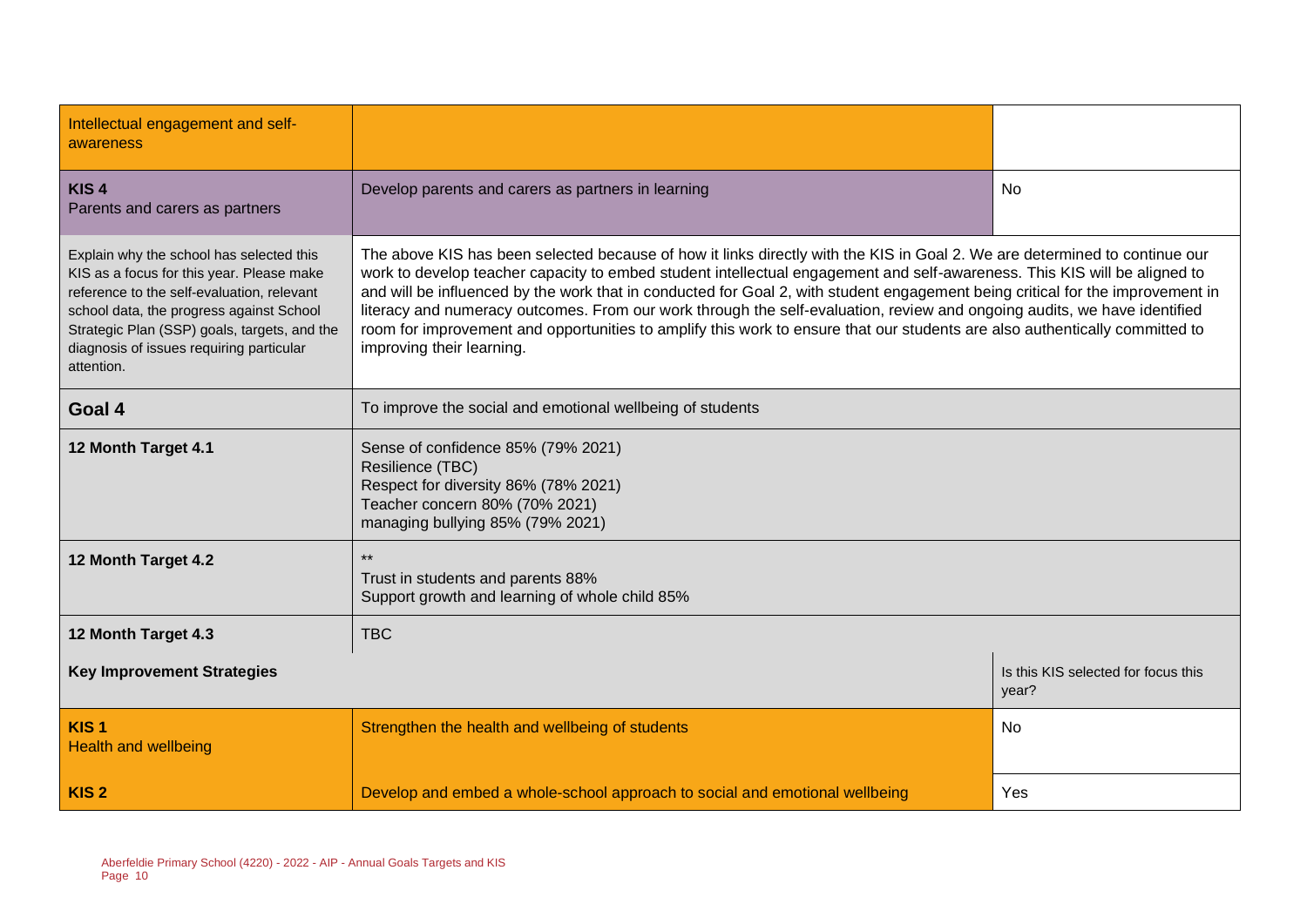| Intellectual engagement and self-<br>awareness                                                                                                                                                                                                                                            |                                                                                                                                                                                                                                                                                                                                                                                                                                                                                                                                                                                                                                                                                   |     |  |
|-------------------------------------------------------------------------------------------------------------------------------------------------------------------------------------------------------------------------------------------------------------------------------------------|-----------------------------------------------------------------------------------------------------------------------------------------------------------------------------------------------------------------------------------------------------------------------------------------------------------------------------------------------------------------------------------------------------------------------------------------------------------------------------------------------------------------------------------------------------------------------------------------------------------------------------------------------------------------------------------|-----|--|
| KIS <sub>4</sub><br>Parents and carers as partners                                                                                                                                                                                                                                        | Develop parents and carers as partners in learning                                                                                                                                                                                                                                                                                                                                                                                                                                                                                                                                                                                                                                | No  |  |
| Explain why the school has selected this<br>KIS as a focus for this year. Please make<br>reference to the self-evaluation, relevant<br>school data, the progress against School<br>Strategic Plan (SSP) goals, targets, and the<br>diagnosis of issues requiring particular<br>attention. | The above KIS has been selected because of how it links directly with the KIS in Goal 2. We are determined to continue our<br>work to develop teacher capacity to embed student intellectual engagement and self-awareness. This KIS will be aligned to<br>and will be influenced by the work that in conducted for Goal 2, with student engagement being critical for the improvement in<br>literacy and numeracy outcomes. From our work through the self-evaluation, review and ongoing audits, we have identified<br>room for improvement and opportunities to amplify this work to ensure that our students are also authentically committed to<br>improving their learning. |     |  |
| Goal 4                                                                                                                                                                                                                                                                                    | To improve the social and emotional wellbeing of students                                                                                                                                                                                                                                                                                                                                                                                                                                                                                                                                                                                                                         |     |  |
| 12 Month Target 4.1                                                                                                                                                                                                                                                                       | Sense of confidence 85% (79% 2021)<br>Resilience (TBC)<br>Respect for diversity 86% (78% 2021)<br>Teacher concern 80% (70% 2021)<br>managing bullying 85% (79% 2021)                                                                                                                                                                                                                                                                                                                                                                                                                                                                                                              |     |  |
| 12 Month Target 4.2                                                                                                                                                                                                                                                                       | $***$<br>Trust in students and parents 88%<br>Support growth and learning of whole child 85%                                                                                                                                                                                                                                                                                                                                                                                                                                                                                                                                                                                      |     |  |
| 12 Month Target 4.3                                                                                                                                                                                                                                                                       | <b>TBC</b>                                                                                                                                                                                                                                                                                                                                                                                                                                                                                                                                                                                                                                                                        |     |  |
| <b>Key Improvement Strategies</b>                                                                                                                                                                                                                                                         | Is this KIS selected for focus this<br>year?                                                                                                                                                                                                                                                                                                                                                                                                                                                                                                                                                                                                                                      |     |  |
| KIS <sub>1</sub><br><b>Health and wellbeing</b>                                                                                                                                                                                                                                           | Strengthen the health and wellbeing of students                                                                                                                                                                                                                                                                                                                                                                                                                                                                                                                                                                                                                                   | No  |  |
| KIS <sub>2</sub>                                                                                                                                                                                                                                                                          | Develop and embed a whole-school approach to social and emotional wellbeing                                                                                                                                                                                                                                                                                                                                                                                                                                                                                                                                                                                                       | Yes |  |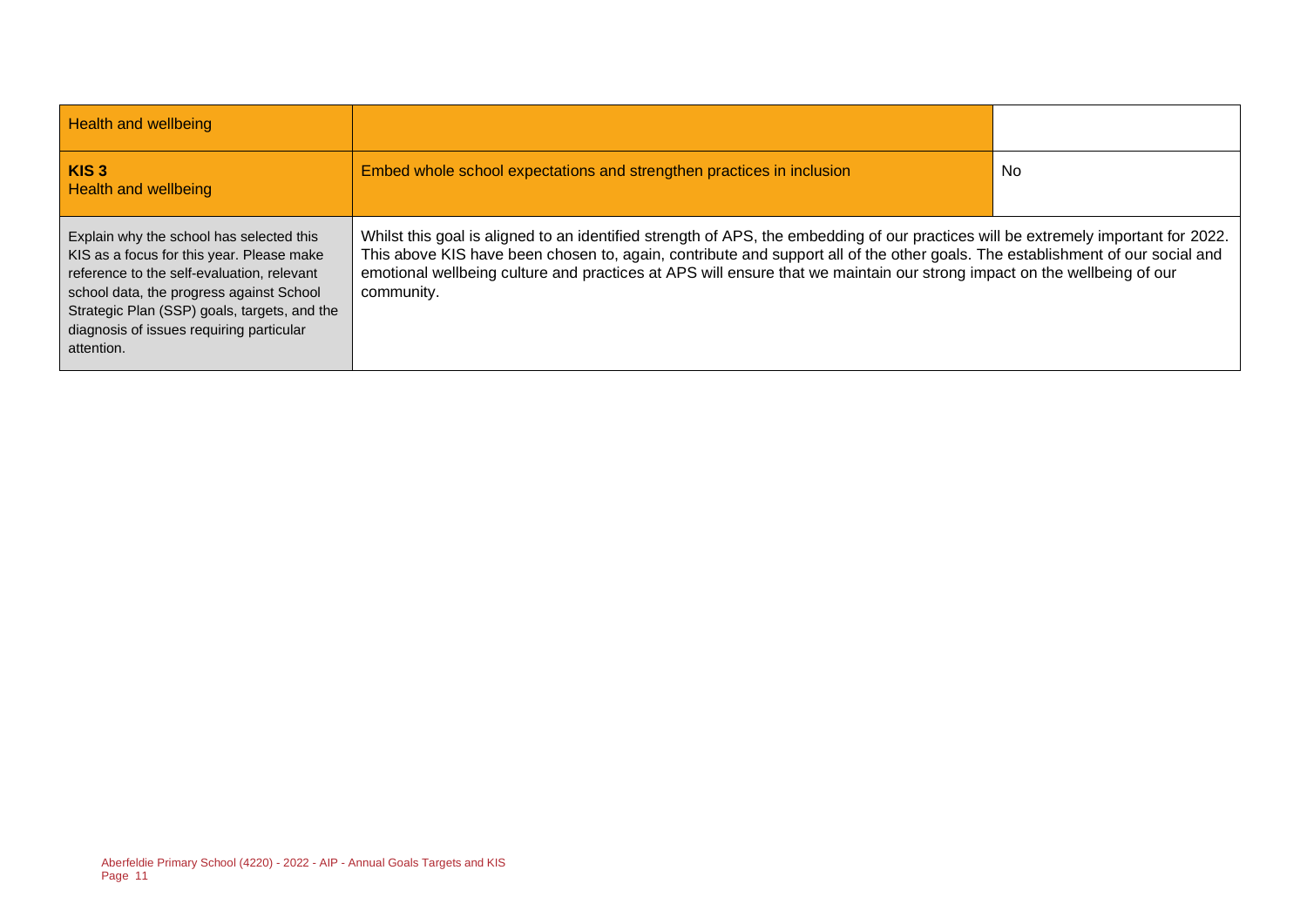| Health and wellbeing                                                                                                                                                                                                                                                                      |                                                                                                                                                                                                                                                                                                                                                                                                              |     |
|-------------------------------------------------------------------------------------------------------------------------------------------------------------------------------------------------------------------------------------------------------------------------------------------|--------------------------------------------------------------------------------------------------------------------------------------------------------------------------------------------------------------------------------------------------------------------------------------------------------------------------------------------------------------------------------------------------------------|-----|
| KIS <sub>3</sub><br><b>Health and wellbeing</b>                                                                                                                                                                                                                                           | Embed whole school expectations and strengthen practices in inclusion                                                                                                                                                                                                                                                                                                                                        | No. |
| Explain why the school has selected this<br>KIS as a focus for this year. Please make<br>reference to the self-evaluation, relevant<br>school data, the progress against School<br>Strategic Plan (SSP) goals, targets, and the<br>diagnosis of issues requiring particular<br>attention. | Whilst this goal is aligned to an identified strength of APS, the embedding of our practices will be extremely important for 2022.<br>This above KIS have been chosen to, again, contribute and support all of the other goals. The establishment of our social and<br>emotional wellbeing culture and practices at APS will ensure that we maintain our strong impact on the wellbeing of our<br>community. |     |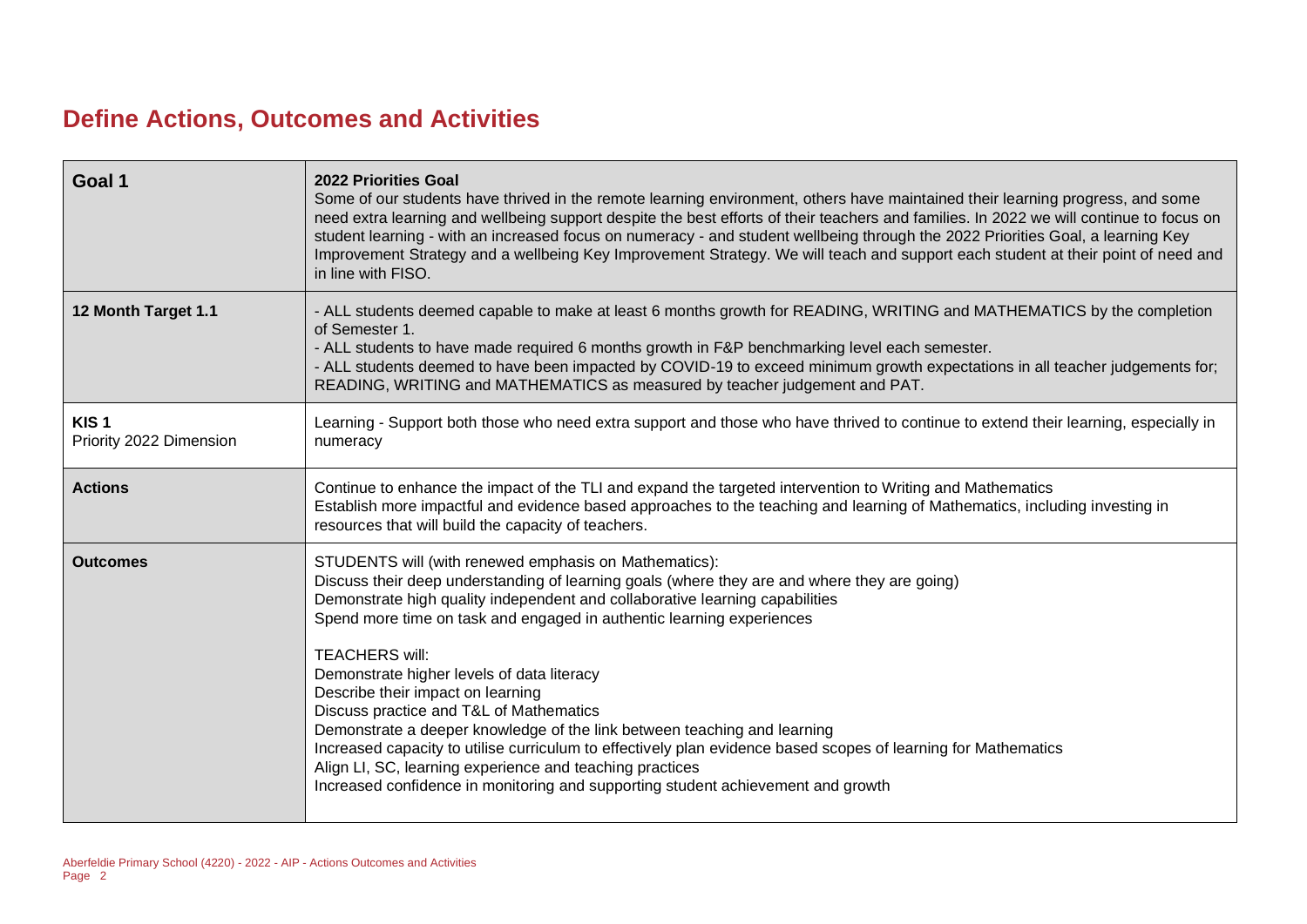## **Define Actions, Outcomes and Activities**

| Goal 1                                      | <b>2022 Priorities Goal</b><br>Some of our students have thrived in the remote learning environment, others have maintained their learning progress, and some<br>need extra learning and wellbeing support despite the best efforts of their teachers and families. In 2022 we will continue to focus on<br>student learning - with an increased focus on numeracy - and student wellbeing through the 2022 Priorities Goal, a learning Key<br>Improvement Strategy and a wellbeing Key Improvement Strategy. We will teach and support each student at their point of need and<br>in line with FISO.                                                                                                                                                                                                               |
|---------------------------------------------|---------------------------------------------------------------------------------------------------------------------------------------------------------------------------------------------------------------------------------------------------------------------------------------------------------------------------------------------------------------------------------------------------------------------------------------------------------------------------------------------------------------------------------------------------------------------------------------------------------------------------------------------------------------------------------------------------------------------------------------------------------------------------------------------------------------------|
| 12 Month Target 1.1                         | - ALL students deemed capable to make at least 6 months growth for READING, WRITING and MATHEMATICS by the completion<br>of Semester 1.<br>- ALL students to have made required 6 months growth in F&P benchmarking level each semester.<br>- ALL students deemed to have been impacted by COVID-19 to exceed minimum growth expectations in all teacher judgements for;<br>READING, WRITING and MATHEMATICS as measured by teacher judgement and PAT.                                                                                                                                                                                                                                                                                                                                                              |
| KIS <sub>1</sub><br>Priority 2022 Dimension | Learning - Support both those who need extra support and those who have thrived to continue to extend their learning, especially in<br>numeracy                                                                                                                                                                                                                                                                                                                                                                                                                                                                                                                                                                                                                                                                     |
| <b>Actions</b>                              | Continue to enhance the impact of the TLI and expand the targeted intervention to Writing and Mathematics<br>Establish more impactful and evidence based approaches to the teaching and learning of Mathematics, including investing in<br>resources that will build the capacity of teachers.                                                                                                                                                                                                                                                                                                                                                                                                                                                                                                                      |
| <b>Outcomes</b>                             | STUDENTS will (with renewed emphasis on Mathematics):<br>Discuss their deep understanding of learning goals (where they are and where they are going)<br>Demonstrate high quality independent and collaborative learning capabilities<br>Spend more time on task and engaged in authentic learning experiences<br><b>TEACHERS will:</b><br>Demonstrate higher levels of data literacy<br>Describe their impact on learning<br>Discuss practice and T&L of Mathematics<br>Demonstrate a deeper knowledge of the link between teaching and learning<br>Increased capacity to utilise curriculum to effectively plan evidence based scopes of learning for Mathematics<br>Align LI, SC, learning experience and teaching practices<br>Increased confidence in monitoring and supporting student achievement and growth |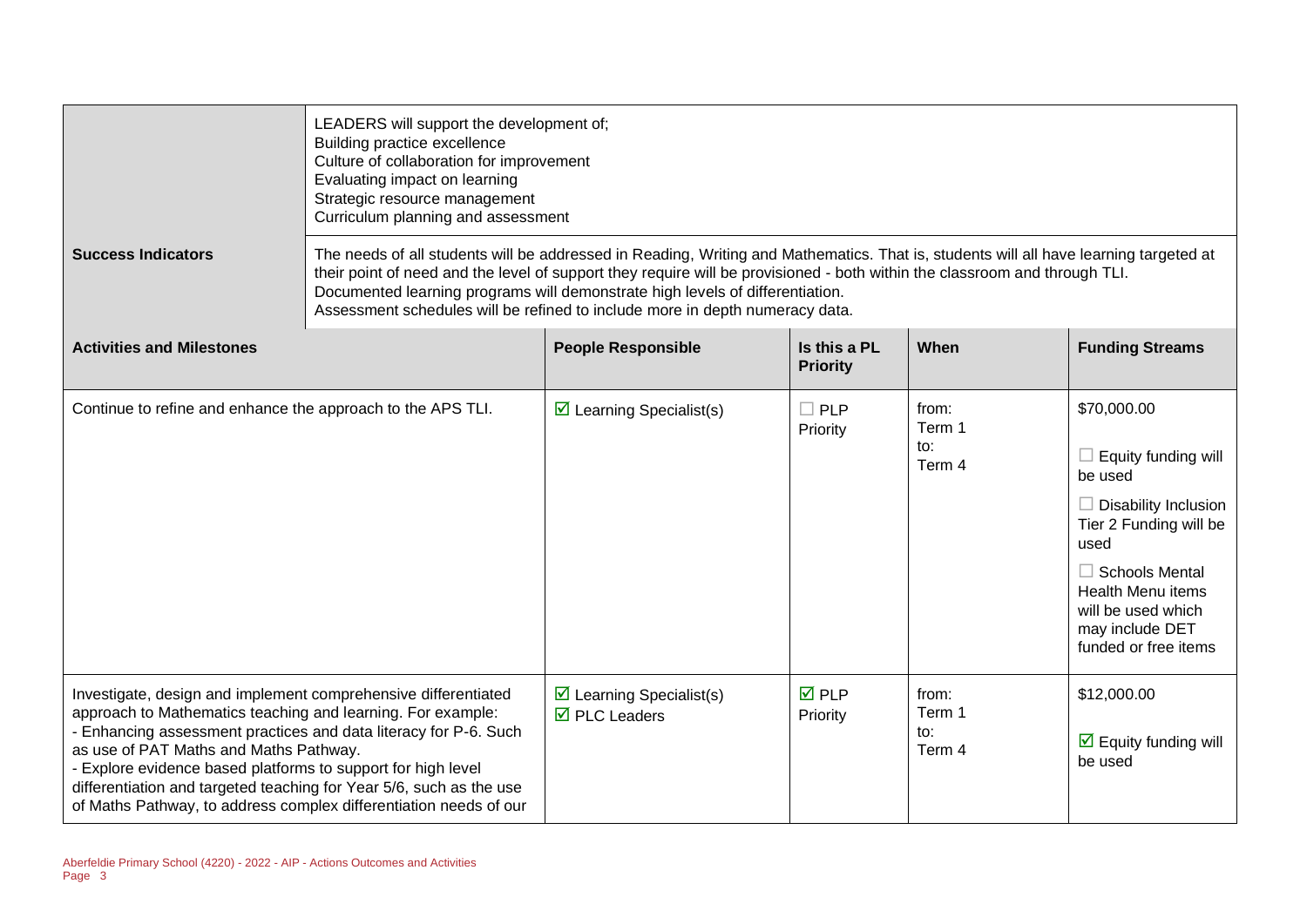|                                                                                                                                                                                                                                                                                                                                                                                                                                                         | LEADERS will support the development of;<br>Building practice excellence<br>Culture of collaboration for improvement<br>Evaluating impact on learning<br>Strategic resource management<br>Curriculum planning and assessment                                                                                                                                                                                                         |                                                                               |                          |                                  |                                                                                                                                                                                                                                             |
|---------------------------------------------------------------------------------------------------------------------------------------------------------------------------------------------------------------------------------------------------------------------------------------------------------------------------------------------------------------------------------------------------------------------------------------------------------|--------------------------------------------------------------------------------------------------------------------------------------------------------------------------------------------------------------------------------------------------------------------------------------------------------------------------------------------------------------------------------------------------------------------------------------|-------------------------------------------------------------------------------|--------------------------|----------------------------------|---------------------------------------------------------------------------------------------------------------------------------------------------------------------------------------------------------------------------------------------|
| <b>Success Indicators</b>                                                                                                                                                                                                                                                                                                                                                                                                                               | The needs of all students will be addressed in Reading, Writing and Mathematics. That is, students will all have learning targeted at<br>their point of need and the level of support they require will be provisioned - both within the classroom and through TLI.<br>Documented learning programs will demonstrate high levels of differentiation.<br>Assessment schedules will be refined to include more in depth numeracy data. |                                                                               |                          |                                  |                                                                                                                                                                                                                                             |
| <b>People Responsible</b><br>Is this a PL<br>When<br><b>Activities and Milestones</b><br><b>Priority</b>                                                                                                                                                                                                                                                                                                                                                |                                                                                                                                                                                                                                                                                                                                                                                                                                      |                                                                               | <b>Funding Streams</b>   |                                  |                                                                                                                                                                                                                                             |
| Continue to refine and enhance the approach to the APS TLI.                                                                                                                                                                                                                                                                                                                                                                                             |                                                                                                                                                                                                                                                                                                                                                                                                                                      | $\triangleright$ Learning Specialist(s)                                       | $\Box$ PLP<br>Priority   | from:<br>Term 1<br>to:<br>Term 4 | \$70,000.00<br>$\Box$ Equity funding will<br>be used<br>$\Box$ Disability Inclusion<br>Tier 2 Funding will be<br>used<br>$\Box$ Schools Mental<br><b>Health Menu items</b><br>will be used which<br>may include DET<br>funded or free items |
| Investigate, design and implement comprehensive differentiated<br>approach to Mathematics teaching and learning. For example:<br>- Enhancing assessment practices and data literacy for P-6. Such<br>as use of PAT Maths and Maths Pathway.<br>- Explore evidence based platforms to support for high level<br>differentiation and targeted teaching for Year 5/6, such as the use<br>of Maths Pathway, to address complex differentiation needs of our |                                                                                                                                                                                                                                                                                                                                                                                                                                      | $\triangleright$ Learning Specialist(s)<br>$\overline{\boxtimes}$ PLC Leaders | <b>☑</b> PLP<br>Priority | from:<br>Term 1<br>to:<br>Term 4 | \$12,000.00<br>$\triangleright$ Equity funding will<br>be used                                                                                                                                                                              |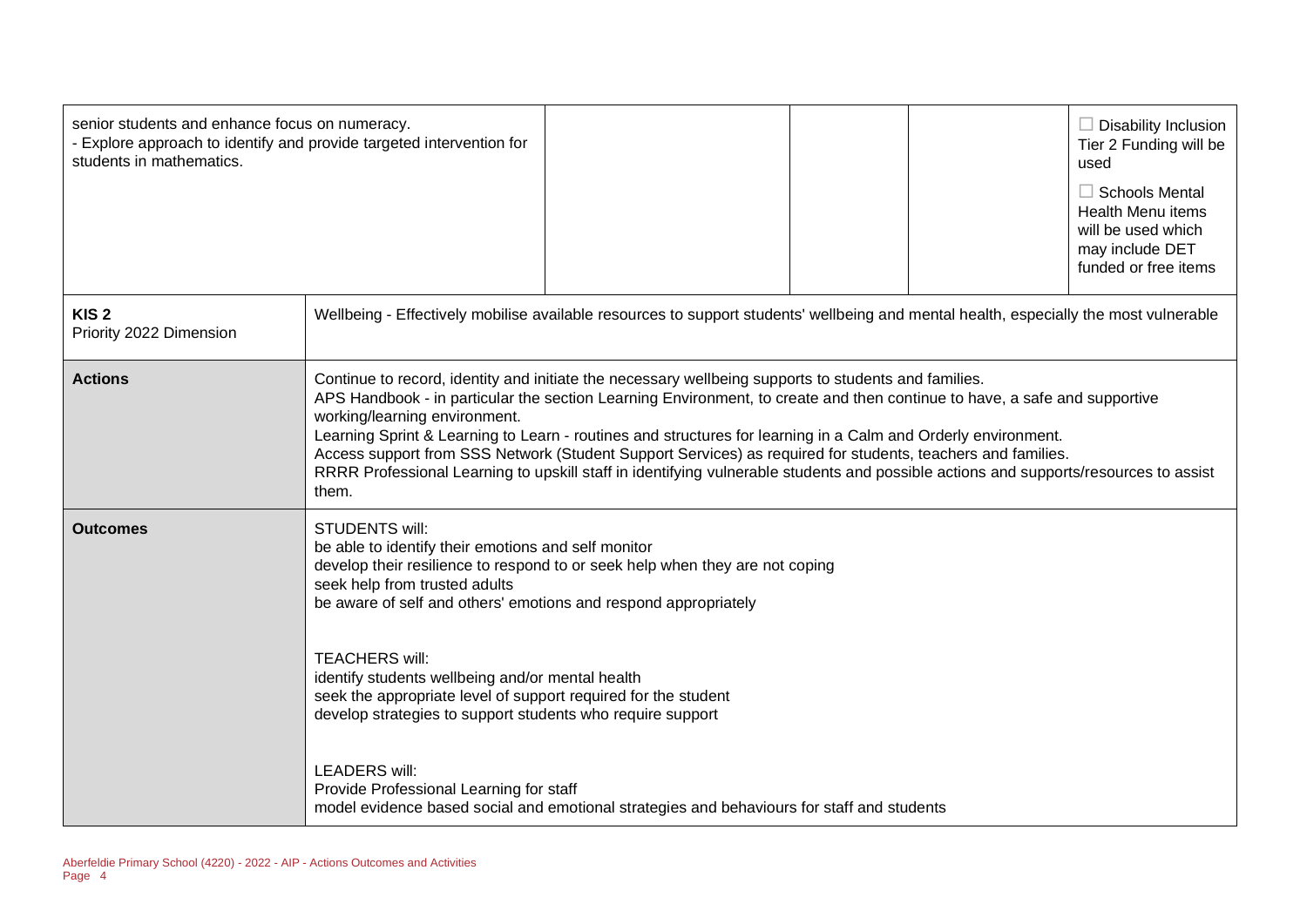| senior students and enhance focus on numeracy.<br>- Explore approach to identify and provide targeted intervention for<br>students in mathematics. |                                                                                                                                                                                                                                                                                                                                                                                                                                                                                                                                                                                                                                                     |                                                                                                                                                                            |  |  | $\Box$ Disability Inclusion<br>Tier 2 Funding will be<br>used<br>$\Box$ Schools Mental<br><b>Health Menu items</b><br>will be used which<br>may include DET<br>funded or free items |
|----------------------------------------------------------------------------------------------------------------------------------------------------|-----------------------------------------------------------------------------------------------------------------------------------------------------------------------------------------------------------------------------------------------------------------------------------------------------------------------------------------------------------------------------------------------------------------------------------------------------------------------------------------------------------------------------------------------------------------------------------------------------------------------------------------------------|----------------------------------------------------------------------------------------------------------------------------------------------------------------------------|--|--|-------------------------------------------------------------------------------------------------------------------------------------------------------------------------------------|
| KIS <sub>2</sub><br>Priority 2022 Dimension                                                                                                        | Wellbeing - Effectively mobilise available resources to support students' wellbeing and mental health, especially the most vulnerable                                                                                                                                                                                                                                                                                                                                                                                                                                                                                                               |                                                                                                                                                                            |  |  |                                                                                                                                                                                     |
| <b>Actions</b>                                                                                                                                     | Continue to record, identity and initiate the necessary wellbeing supports to students and families.<br>APS Handbook - in particular the section Learning Environment, to create and then continue to have, a safe and supportive<br>working/learning environment.<br>Learning Sprint & Learning to Learn - routines and structures for learning in a Calm and Orderly environment.<br>Access support from SSS Network (Student Support Services) as required for students, teachers and families.<br>RRRR Professional Learning to upskill staff in identifying vulnerable students and possible actions and supports/resources to assist<br>them. |                                                                                                                                                                            |  |  |                                                                                                                                                                                     |
| Outcomes                                                                                                                                           | <b>STUDENTS will:</b><br>be able to identify their emotions and self monitor<br>seek help from trusted adults<br>be aware of self and others' emotions and respond appropriately<br><b>TEACHERS will:</b><br>identify students wellbeing and/or mental health<br>seek the appropriate level of support required for the student<br>develop strategies to support students who require support<br><b>LEADERS will:</b><br>Provide Professional Learning for staff                                                                                                                                                                                    | develop their resilience to respond to or seek help when they are not coping<br>model evidence based social and emotional strategies and behaviours for staff and students |  |  |                                                                                                                                                                                     |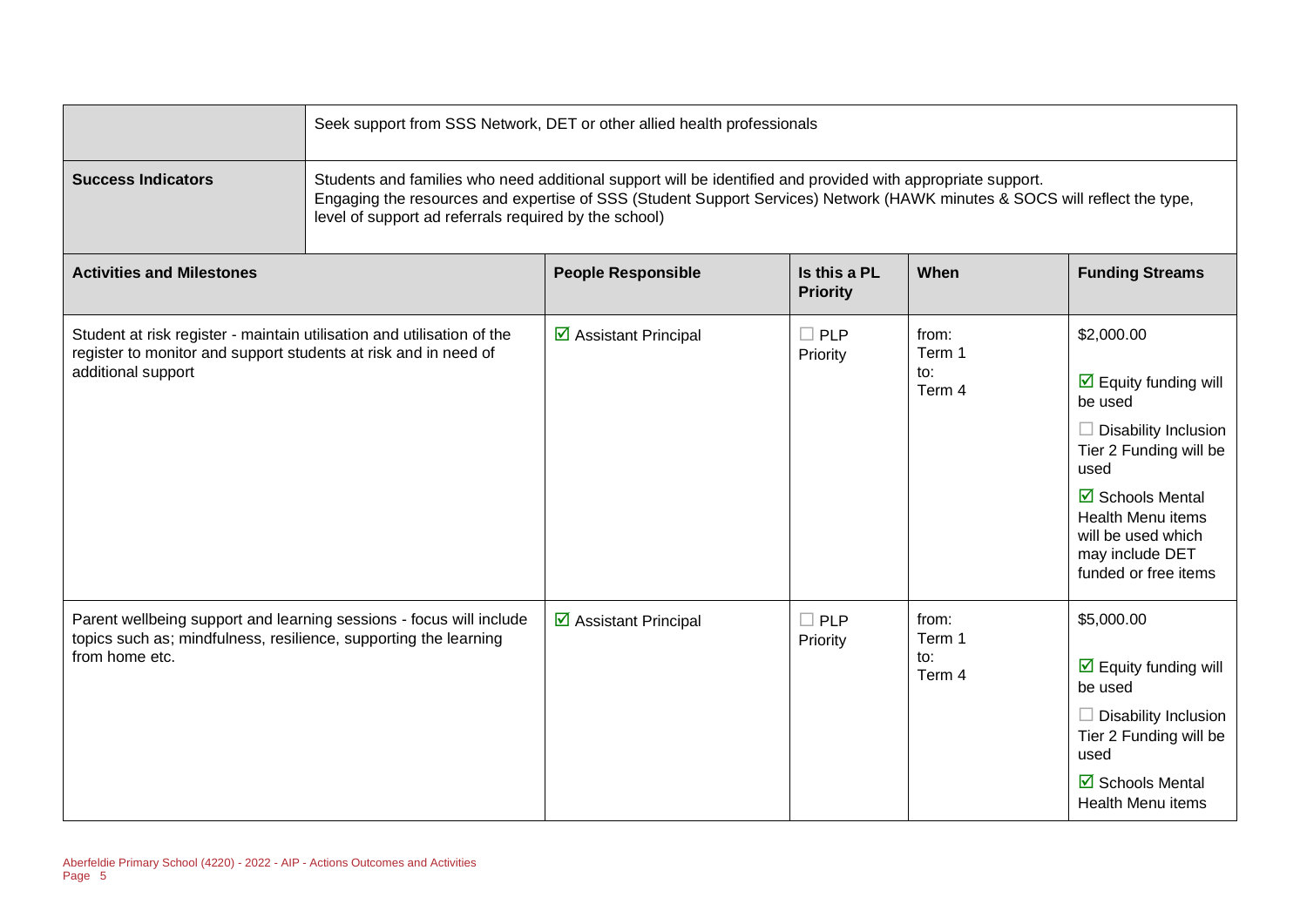|                                                                                                                                                                 | Seek support from SSS Network, DET or other allied health professionals                                                                                                                                                                                                                            |                           |                                 |                                  |                                                                                                                                                                                                                                                        |
|-----------------------------------------------------------------------------------------------------------------------------------------------------------------|----------------------------------------------------------------------------------------------------------------------------------------------------------------------------------------------------------------------------------------------------------------------------------------------------|---------------------------|---------------------------------|----------------------------------|--------------------------------------------------------------------------------------------------------------------------------------------------------------------------------------------------------------------------------------------------------|
| <b>Success Indicators</b>                                                                                                                                       | Students and families who need additional support will be identified and provided with appropriate support.<br>Engaging the resources and expertise of SSS (Student Support Services) Network (HAWK minutes & SOCS will reflect the type,<br>level of support ad referrals required by the school) |                           |                                 |                                  |                                                                                                                                                                                                                                                        |
| <b>Activities and Milestones</b>                                                                                                                                |                                                                                                                                                                                                                                                                                                    | <b>People Responsible</b> | Is this a PL<br><b>Priority</b> | When                             | <b>Funding Streams</b>                                                                                                                                                                                                                                 |
| Student at risk register - maintain utilisation and utilisation of the<br>register to monitor and support students at risk and in need of<br>additional support |                                                                                                                                                                                                                                                                                                    | ☑ Assistant Principal     | $\Box$ PLP<br>Priority          | from:<br>Term 1<br>to:<br>Term 4 | \$2,000.00<br>$\overline{\mathbf{M}}$ Equity funding will<br>be used<br>$\Box$ Disability Inclusion<br>Tier 2 Funding will be<br>used<br>☑ Schools Mental<br><b>Health Menu items</b><br>will be used which<br>may include DET<br>funded or free items |
| Parent wellbeing support and learning sessions - focus will include<br>topics such as; mindfulness, resilience, supporting the learning<br>from home etc.       |                                                                                                                                                                                                                                                                                                    | ☑ Assistant Principal     | $\Box$ PLP<br>Priority          | from:<br>Term 1<br>to:<br>Term 4 | \$5,000.00<br>$\overline{\mathbf{M}}$ Equity funding will<br>be used<br>$\Box$ Disability Inclusion<br>Tier 2 Funding will be<br>used<br>☑ Schools Mental<br><b>Health Menu items</b>                                                                  |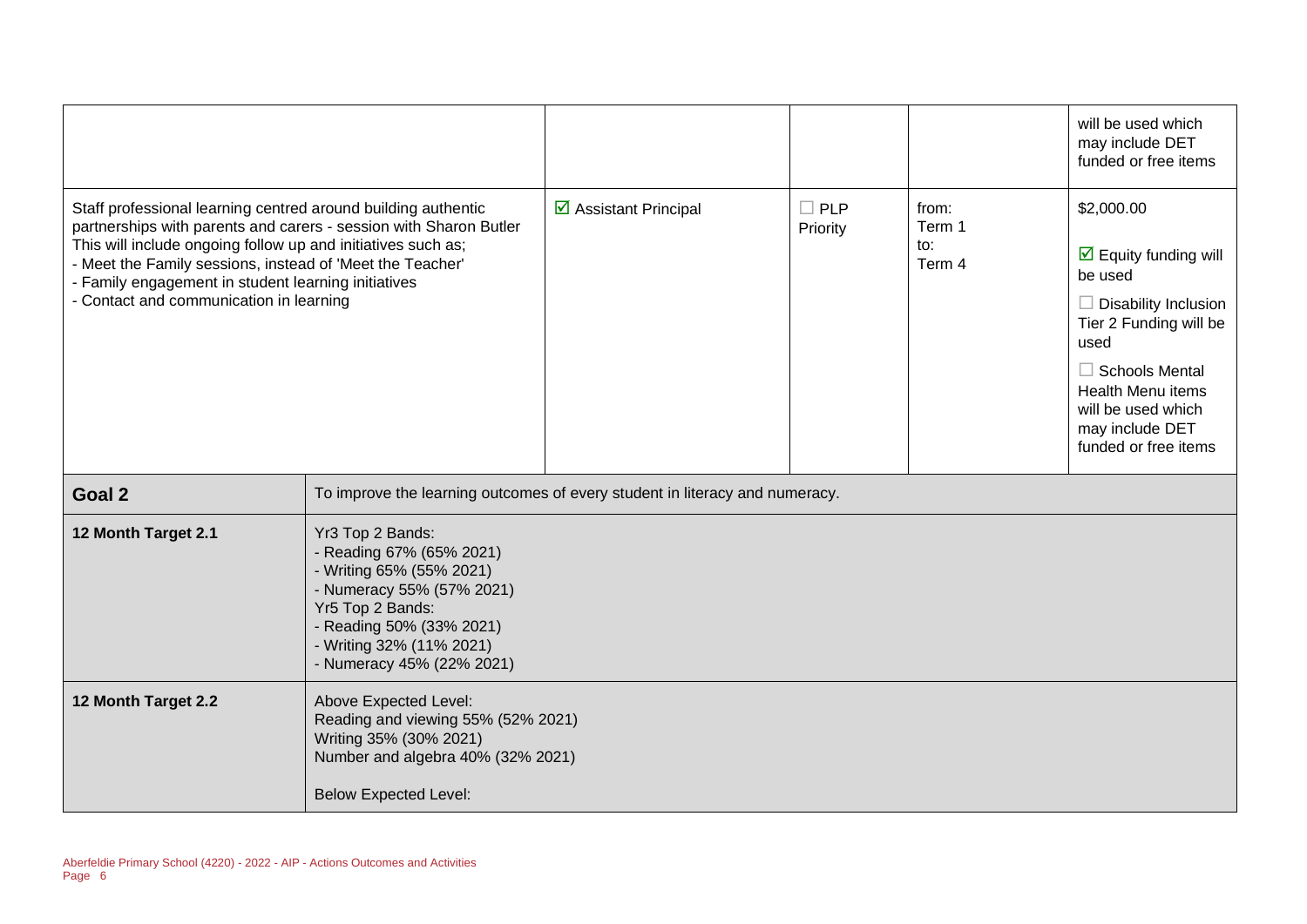|                                                                                                                                                                                                                                                                                                                                                                   |                                                                                                                                                                                                                |                                                                             |                        |                                  | will be used which<br>may include DET<br>funded or free items                                                                                                                                                                                |
|-------------------------------------------------------------------------------------------------------------------------------------------------------------------------------------------------------------------------------------------------------------------------------------------------------------------------------------------------------------------|----------------------------------------------------------------------------------------------------------------------------------------------------------------------------------------------------------------|-----------------------------------------------------------------------------|------------------------|----------------------------------|----------------------------------------------------------------------------------------------------------------------------------------------------------------------------------------------------------------------------------------------|
| Staff professional learning centred around building authentic<br>partnerships with parents and carers - session with Sharon Butler<br>This will include ongoing follow up and initiatives such as;<br>- Meet the Family sessions, instead of 'Meet the Teacher'<br>- Family engagement in student learning initiatives<br>- Contact and communication in learning |                                                                                                                                                                                                                | ☑ Assistant Principal                                                       | $\Box$ PLP<br>Priority | from:<br>Term 1<br>to:<br>Term 4 | \$2,000.00<br>$\triangledown$ Equity funding will<br>be used<br>$\Box$ Disability Inclusion<br>Tier 2 Funding will be<br>used<br>$\Box$ Schools Mental<br>Health Menu items<br>will be used which<br>may include DET<br>funded or free items |
| Goal 2                                                                                                                                                                                                                                                                                                                                                            |                                                                                                                                                                                                                | To improve the learning outcomes of every student in literacy and numeracy. |                        |                                  |                                                                                                                                                                                                                                              |
| 12 Month Target 2.1                                                                                                                                                                                                                                                                                                                                               | Yr3 Top 2 Bands:<br>- Reading 67% (65% 2021)<br>- Writing 65% (55% 2021)<br>- Numeracy 55% (57% 2021)<br>Yr5 Top 2 Bands:<br>- Reading 50% (33% 2021)<br>- Writing 32% (11% 2021)<br>- Numeracy 45% (22% 2021) |                                                                             |                        |                                  |                                                                                                                                                                                                                                              |
| 12 Month Target 2.2                                                                                                                                                                                                                                                                                                                                               | Above Expected Level:<br>Reading and viewing 55% (52% 2021)<br>Writing 35% (30% 2021)<br>Number and algebra 40% (32% 2021)<br><b>Below Expected Level:</b>                                                     |                                                                             |                        |                                  |                                                                                                                                                                                                                                              |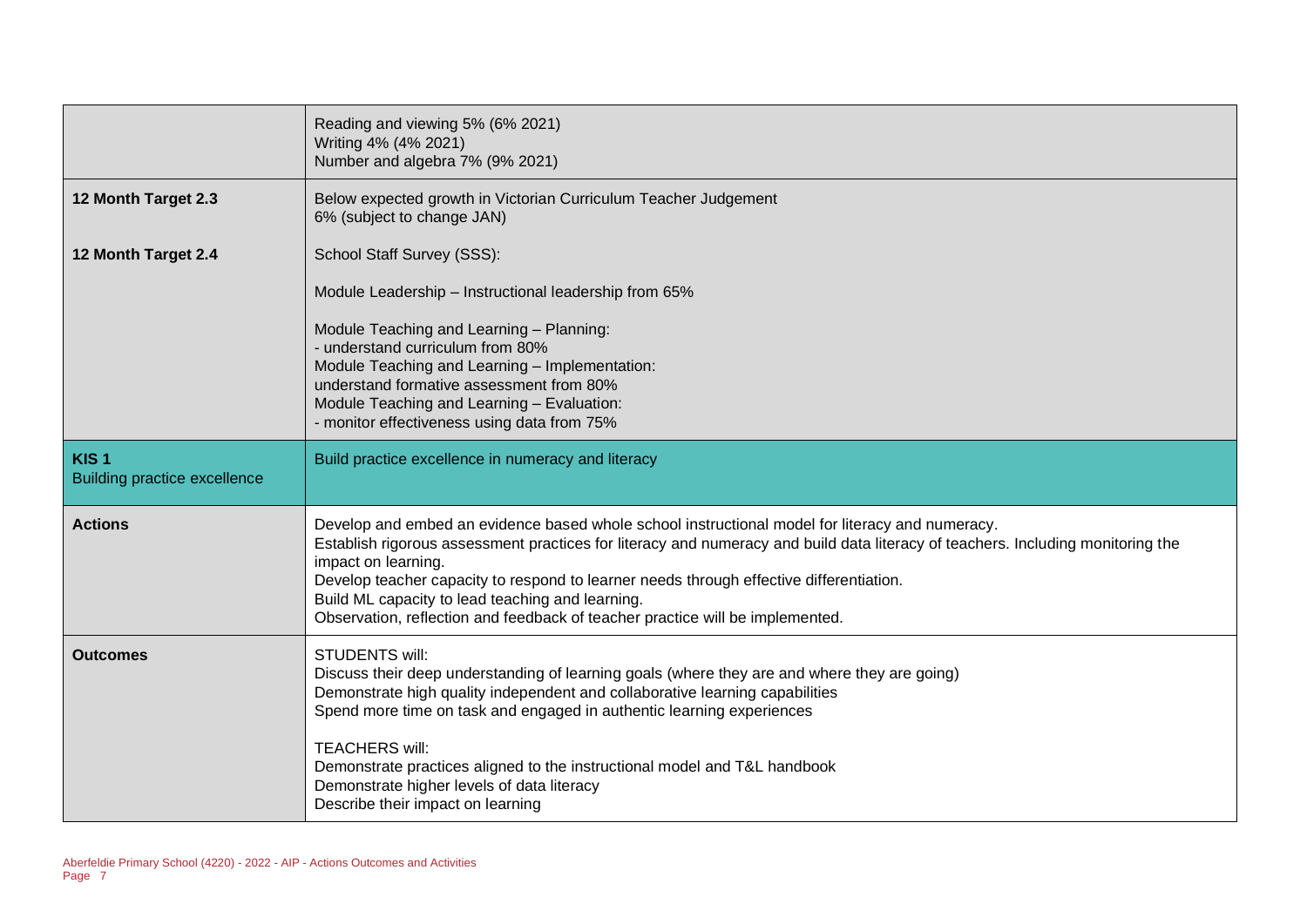|                                                         | Reading and viewing 5% (6% 2021)<br>Writing 4% (4% 2021)<br>Number and algebra 7% (9% 2021)                                                                                                                                                                                    |
|---------------------------------------------------------|--------------------------------------------------------------------------------------------------------------------------------------------------------------------------------------------------------------------------------------------------------------------------------|
| 12 Month Target 2.3                                     | Below expected growth in Victorian Curriculum Teacher Judgement<br>6% (subject to change JAN)                                                                                                                                                                                  |
| 12 Month Target 2.4                                     | School Staff Survey (SSS):                                                                                                                                                                                                                                                     |
|                                                         | Module Leadership - Instructional leadership from 65%                                                                                                                                                                                                                          |
|                                                         | Module Teaching and Learning - Planning:<br>- understand curriculum from 80%                                                                                                                                                                                                   |
|                                                         | Module Teaching and Learning - Implementation:<br>understand formative assessment from 80%                                                                                                                                                                                     |
|                                                         | Module Teaching and Learning - Evaluation:<br>- monitor effectiveness using data from 75%                                                                                                                                                                                      |
| KIS <sub>1</sub><br><b>Building practice excellence</b> | Build practice excellence in numeracy and literacy                                                                                                                                                                                                                             |
| <b>Actions</b>                                          | Develop and embed an evidence based whole school instructional model for literacy and numeracy.<br>Establish rigorous assessment practices for literacy and numeracy and build data literacy of teachers. Including monitoring the<br>impact on learning.                      |
|                                                         | Develop teacher capacity to respond to learner needs through effective differentiation.<br>Build ML capacity to lead teaching and learning.                                                                                                                                    |
|                                                         | Observation, reflection and feedback of teacher practice will be implemented.                                                                                                                                                                                                  |
| Outcomes                                                | <b>STUDENTS will:</b><br>Discuss their deep understanding of learning goals (where they are and where they are going)<br>Demonstrate high quality independent and collaborative learning capabilities<br>Spend more time on task and engaged in authentic learning experiences |
|                                                         | <b>TEACHERS will:</b><br>Demonstrate practices aligned to the instructional model and T&L handbook<br>Demonstrate higher levels of data literacy<br>Describe their impact on learning                                                                                          |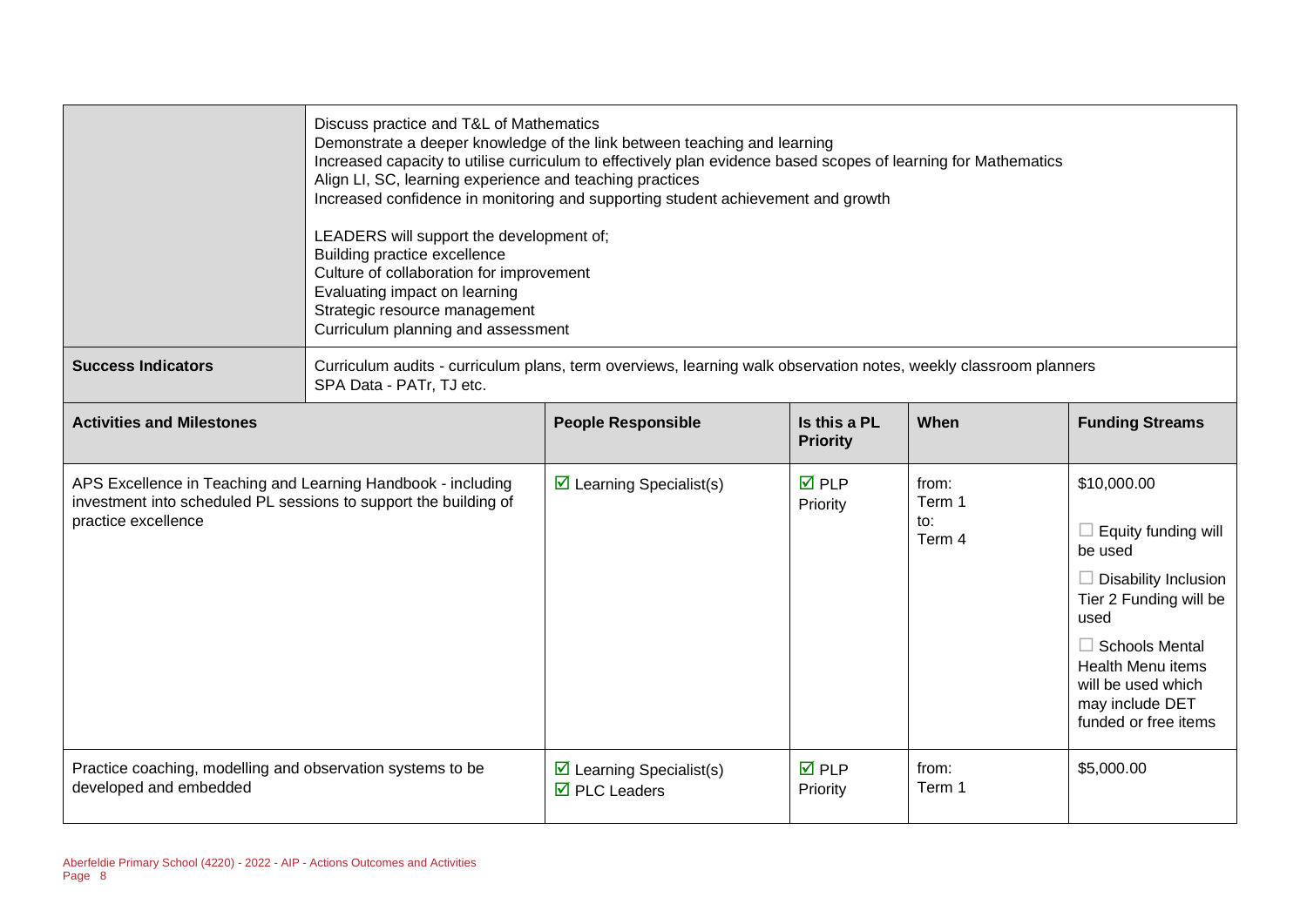|                                                                                                                                                         | Discuss practice and T&L of Mathematics<br>Demonstrate a deeper knowledge of the link between teaching and learning<br>Increased capacity to utilise curriculum to effectively plan evidence based scopes of learning for Mathematics<br>Align LI, SC, learning experience and teaching practices<br>Increased confidence in monitoring and supporting student achievement and growth<br>LEADERS will support the development of;<br>Building practice excellence<br>Culture of collaboration for improvement<br>Evaluating impact on learning<br>Strategic resource management<br>Curriculum planning and assessment |                                                                               |                                 |                                  |                                                                                                                                                                                                                                      |
|---------------------------------------------------------------------------------------------------------------------------------------------------------|-----------------------------------------------------------------------------------------------------------------------------------------------------------------------------------------------------------------------------------------------------------------------------------------------------------------------------------------------------------------------------------------------------------------------------------------------------------------------------------------------------------------------------------------------------------------------------------------------------------------------|-------------------------------------------------------------------------------|---------------------------------|----------------------------------|--------------------------------------------------------------------------------------------------------------------------------------------------------------------------------------------------------------------------------------|
| <b>Success Indicators</b>                                                                                                                               | Curriculum audits - curriculum plans, term overviews, learning walk observation notes, weekly classroom planners<br>SPA Data - PATr, TJ etc.                                                                                                                                                                                                                                                                                                                                                                                                                                                                          |                                                                               |                                 |                                  |                                                                                                                                                                                                                                      |
| <b>Activities and Milestones</b>                                                                                                                        |                                                                                                                                                                                                                                                                                                                                                                                                                                                                                                                                                                                                                       | <b>People Responsible</b>                                                     | Is this a PL<br><b>Priority</b> | When                             | <b>Funding Streams</b>                                                                                                                                                                                                               |
| APS Excellence in Teaching and Learning Handbook - including<br>investment into scheduled PL sessions to support the building of<br>practice excellence |                                                                                                                                                                                                                                                                                                                                                                                                                                                                                                                                                                                                                       | $\triangleright$ Learning Specialist(s)                                       | $\overline{M}$ PLP<br>Priority  | from:<br>Term 1<br>to:<br>Term 4 | \$10,000.00<br>Equity funding will<br>be used<br><b>Disability Inclusion</b><br>Tier 2 Funding will be<br>used<br>$\Box$ Schools Mental<br><b>Health Menu items</b><br>will be used which<br>may include DET<br>funded or free items |
| Practice coaching, modelling and observation systems to be<br>developed and embedded                                                                    |                                                                                                                                                                                                                                                                                                                                                                                                                                                                                                                                                                                                                       | $\triangleright$ Learning Specialist(s)<br>$\overline{\boxtimes}$ PLC Leaders | $\overline{M}$ PLP<br>Priority  | from:<br>Term 1                  | \$5,000.00                                                                                                                                                                                                                           |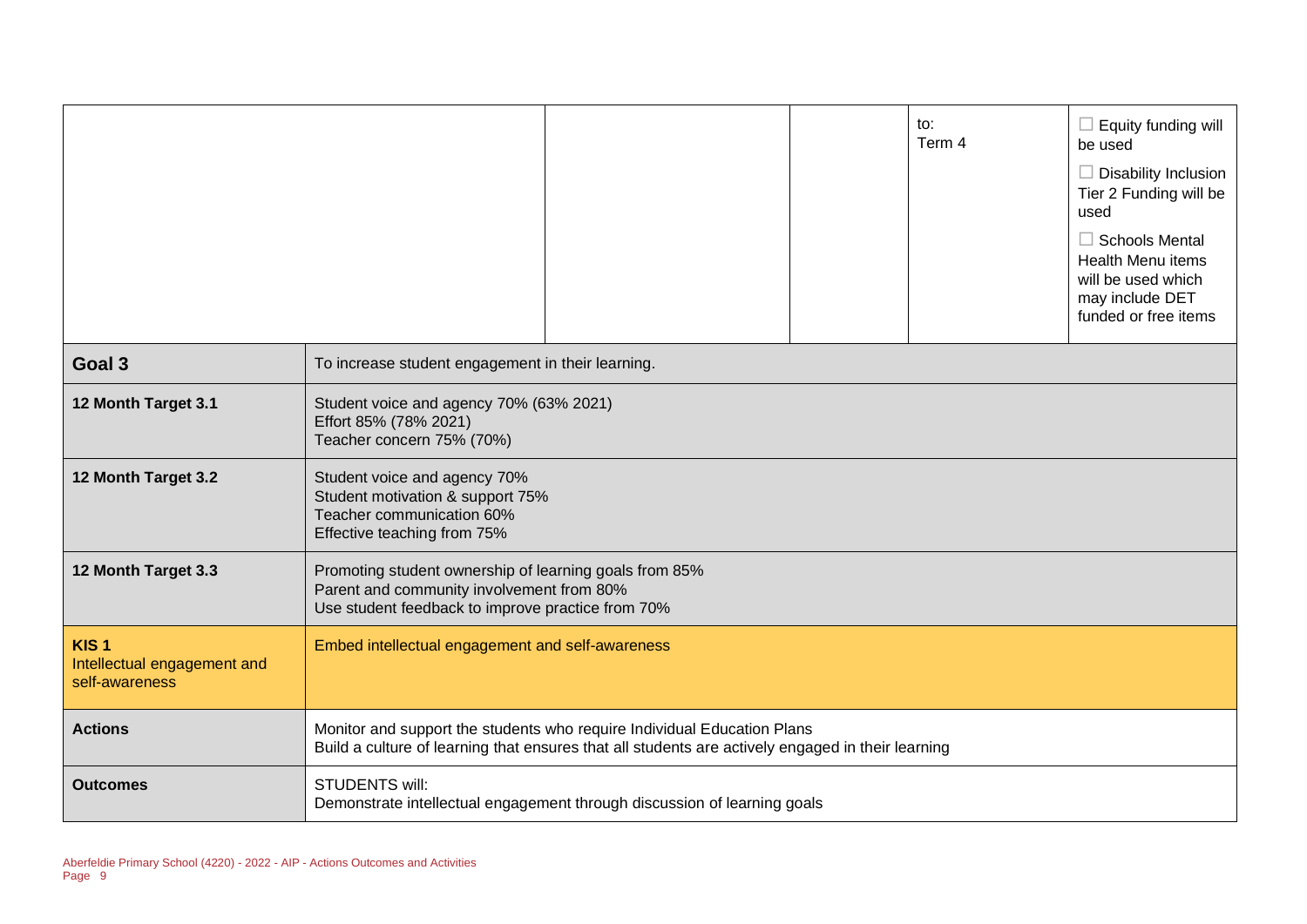|                                                                   |                                                                                                                                                                              | to:<br>Term 4 | $\Box$ Equity funding will<br>be used<br>$\Box$ Disability Inclusion<br>Tier 2 Funding will be<br>used<br>$\Box$ Schools Mental<br><b>Health Menu items</b><br>will be used which<br>may include DET<br>funded or free items |  |  |
|-------------------------------------------------------------------|------------------------------------------------------------------------------------------------------------------------------------------------------------------------------|---------------|------------------------------------------------------------------------------------------------------------------------------------------------------------------------------------------------------------------------------|--|--|
| Goal 3                                                            | To increase student engagement in their learning.                                                                                                                            |               |                                                                                                                                                                                                                              |  |  |
| 12 Month Target 3.1                                               | Student voice and agency 70% (63% 2021)<br>Effort 85% (78% 2021)<br>Teacher concern 75% (70%)                                                                                |               |                                                                                                                                                                                                                              |  |  |
| 12 Month Target 3.2                                               | Student voice and agency 70%<br>Student motivation & support 75%<br>Teacher communication 60%<br>Effective teaching from 75%                                                 |               |                                                                                                                                                                                                                              |  |  |
| 12 Month Target 3.3                                               | Promoting student ownership of learning goals from 85%<br>Parent and community involvement from 80%<br>Use student feedback to improve practice from 70%                     |               |                                                                                                                                                                                                                              |  |  |
| KIS <sub>1</sub><br>Intellectual engagement and<br>self-awareness | Embed intellectual engagement and self-awareness                                                                                                                             |               |                                                                                                                                                                                                                              |  |  |
| <b>Actions</b>                                                    | Monitor and support the students who require Individual Education Plans<br>Build a culture of learning that ensures that all students are actively engaged in their learning |               |                                                                                                                                                                                                                              |  |  |
| <b>Outcomes</b>                                                   | <b>STUDENTS will:</b><br>Demonstrate intellectual engagement through discussion of learning goals                                                                            |               |                                                                                                                                                                                                                              |  |  |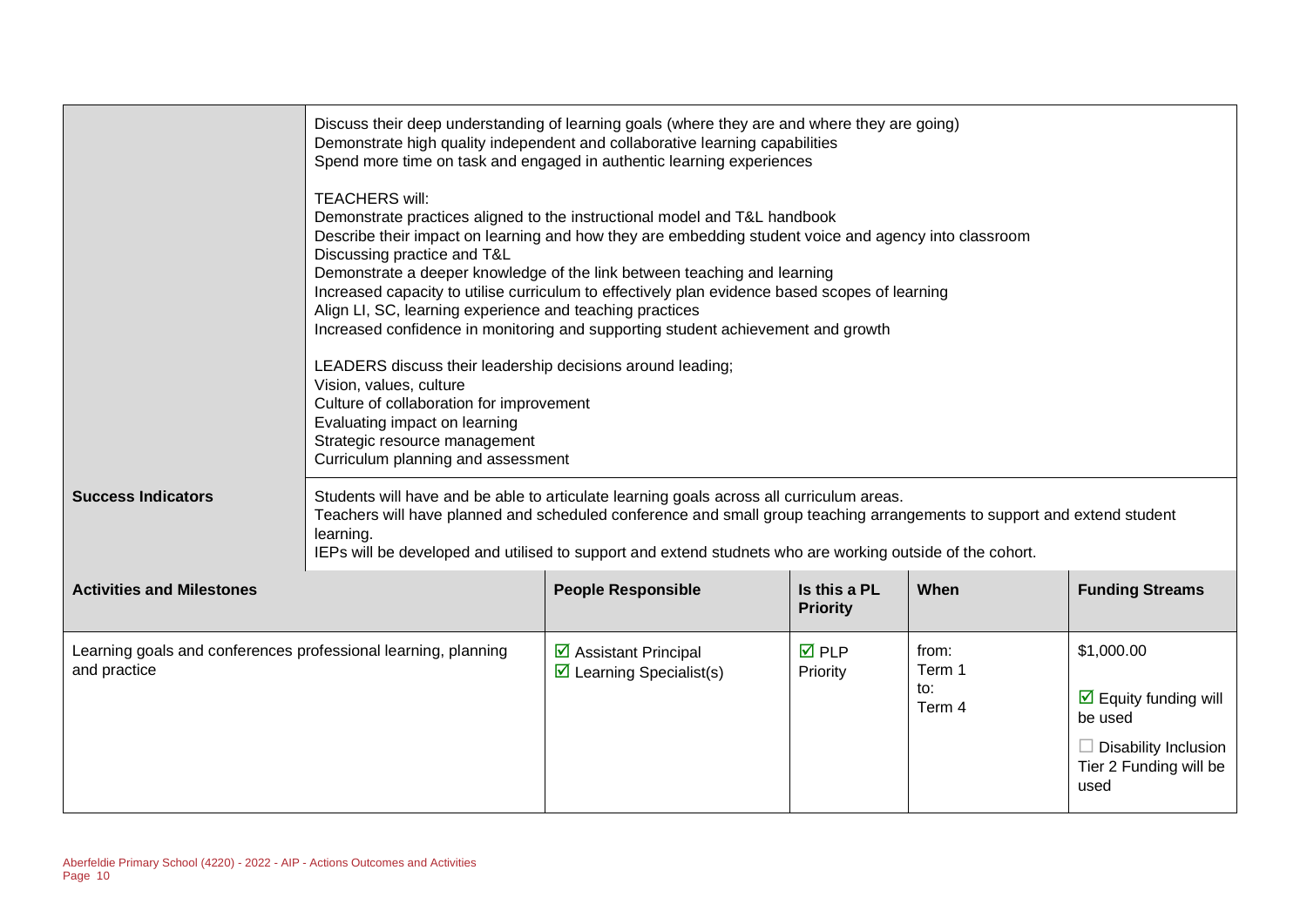| <b>Success Indicators</b>                                                                                | Discuss their deep understanding of learning goals (where they are and where they are going)<br>Demonstrate high quality independent and collaborative learning capabilities<br>Spend more time on task and engaged in authentic learning experiences<br><b>TEACHERS will:</b><br>Demonstrate practices aligned to the instructional model and T&L handbook<br>Describe their impact on learning and how they are embedding student voice and agency into classroom<br>Discussing practice and T&L<br>Demonstrate a deeper knowledge of the link between teaching and learning<br>Increased capacity to utilise curriculum to effectively plan evidence based scopes of learning<br>Align LI, SC, learning experience and teaching practices<br>Increased confidence in monitoring and supporting student achievement and growth<br>LEADERS discuss their leadership decisions around leading;<br>Vision, values, culture<br>Culture of collaboration for improvement<br>Evaluating impact on learning<br>Strategic resource management<br>Curriculum planning and assessment<br>Students will have and be able to articulate learning goals across all curriculum areas.<br>Teachers will have planned and scheduled conference and small group teaching arrangements to support and extend student |                                                                  |                         |                                  |                                                                                                                                |
|----------------------------------------------------------------------------------------------------------|------------------------------------------------------------------------------------------------------------------------------------------------------------------------------------------------------------------------------------------------------------------------------------------------------------------------------------------------------------------------------------------------------------------------------------------------------------------------------------------------------------------------------------------------------------------------------------------------------------------------------------------------------------------------------------------------------------------------------------------------------------------------------------------------------------------------------------------------------------------------------------------------------------------------------------------------------------------------------------------------------------------------------------------------------------------------------------------------------------------------------------------------------------------------------------------------------------------------------------------------------------------------------------------------------|------------------------------------------------------------------|-------------------------|----------------------------------|--------------------------------------------------------------------------------------------------------------------------------|
|                                                                                                          | learning.<br>IEPs will be developed and utilised to support and extend studnets who are working outside of the cohort.                                                                                                                                                                                                                                                                                                                                                                                                                                                                                                                                                                                                                                                                                                                                                                                                                                                                                                                                                                                                                                                                                                                                                                               |                                                                  |                         |                                  |                                                                                                                                |
| <b>People Responsible</b><br><b>Activities and Milestones</b><br>Is this a PL<br>When<br><b>Priority</b> |                                                                                                                                                                                                                                                                                                                                                                                                                                                                                                                                                                                                                                                                                                                                                                                                                                                                                                                                                                                                                                                                                                                                                                                                                                                                                                      |                                                                  | <b>Funding Streams</b>  |                                  |                                                                                                                                |
| Learning goals and conferences professional learning, planning<br>and practice                           |                                                                                                                                                                                                                                                                                                                                                                                                                                                                                                                                                                                                                                                                                                                                                                                                                                                                                                                                                                                                                                                                                                                                                                                                                                                                                                      | ☑ Assistant Principal<br>$\triangleright$ Learning Specialist(s) | <b>ØPLP</b><br>Priority | from:<br>Term 1<br>to:<br>Term 4 | \$1,000.00<br>$\triangleright$ Equity funding will<br>be used<br>$\Box$ Disability Inclusion<br>Tier 2 Funding will be<br>used |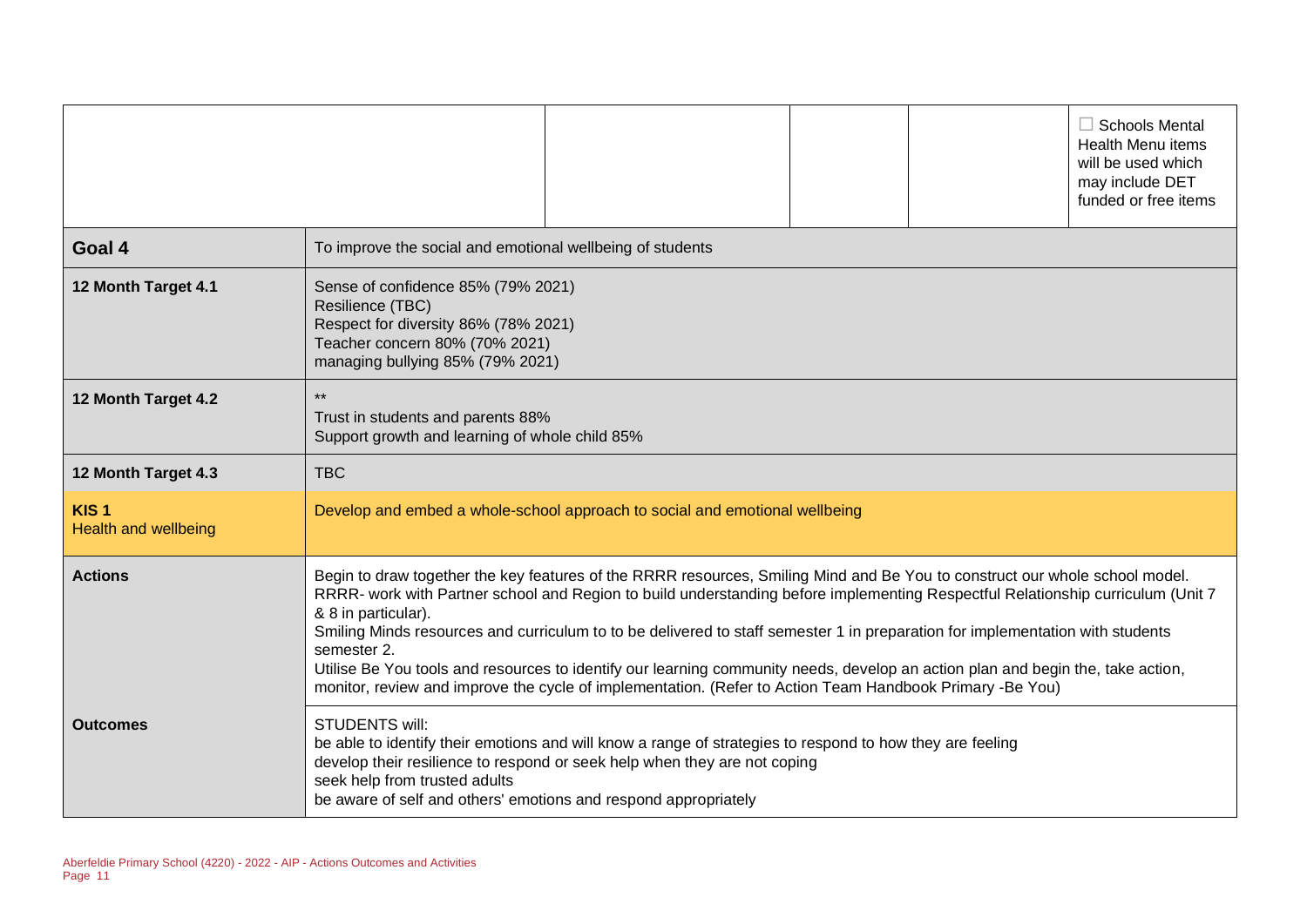|                                                 | $\Box$ Schools Mental<br><b>Health Menu items</b><br>will be used which<br>may include DET<br>funded or free items                                                                                                                                                                                                                                                                                                                                                                                                                                                                                                                                                                   |  |  |  |  |
|-------------------------------------------------|--------------------------------------------------------------------------------------------------------------------------------------------------------------------------------------------------------------------------------------------------------------------------------------------------------------------------------------------------------------------------------------------------------------------------------------------------------------------------------------------------------------------------------------------------------------------------------------------------------------------------------------------------------------------------------------|--|--|--|--|
| Goal 4                                          | To improve the social and emotional wellbeing of students                                                                                                                                                                                                                                                                                                                                                                                                                                                                                                                                                                                                                            |  |  |  |  |
| 12 Month Target 4.1                             | Sense of confidence 85% (79% 2021)<br>Resilience (TBC)<br>Respect for diversity 86% (78% 2021)<br>Teacher concern 80% (70% 2021)<br>managing bullying 85% (79% 2021)                                                                                                                                                                                                                                                                                                                                                                                                                                                                                                                 |  |  |  |  |
| 12 Month Target 4.2                             | $***$<br>Trust in students and parents 88%<br>Support growth and learning of whole child 85%                                                                                                                                                                                                                                                                                                                                                                                                                                                                                                                                                                                         |  |  |  |  |
| 12 Month Target 4.3                             | <b>TBC</b>                                                                                                                                                                                                                                                                                                                                                                                                                                                                                                                                                                                                                                                                           |  |  |  |  |
| KIS <sub>1</sub><br><b>Health and wellbeing</b> | Develop and embed a whole-school approach to social and emotional wellbeing                                                                                                                                                                                                                                                                                                                                                                                                                                                                                                                                                                                                          |  |  |  |  |
| <b>Actions</b>                                  | Begin to draw together the key features of the RRRR resources, Smiling Mind and Be You to construct our whole school model.<br>RRRR- work with Partner school and Region to build understanding before implementing Respectful Relationship curriculum (Unit 7<br>& 8 in particular).<br>Smiling Minds resources and curriculum to to be delivered to staff semester 1 in preparation for implementation with students<br>semester 2.<br>Utilise Be You tools and resources to identify our learning community needs, develop an action plan and begin the, take action,<br>monitor, review and improve the cycle of implementation. (Refer to Action Team Handbook Primary -Be You) |  |  |  |  |
| <b>Outcomes</b>                                 | <b>STUDENTS will:</b><br>be able to identify their emotions and will know a range of strategies to respond to how they are feeling<br>develop their resilience to respond or seek help when they are not coping<br>seek help from trusted adults<br>be aware of self and others' emotions and respond appropriately                                                                                                                                                                                                                                                                                                                                                                  |  |  |  |  |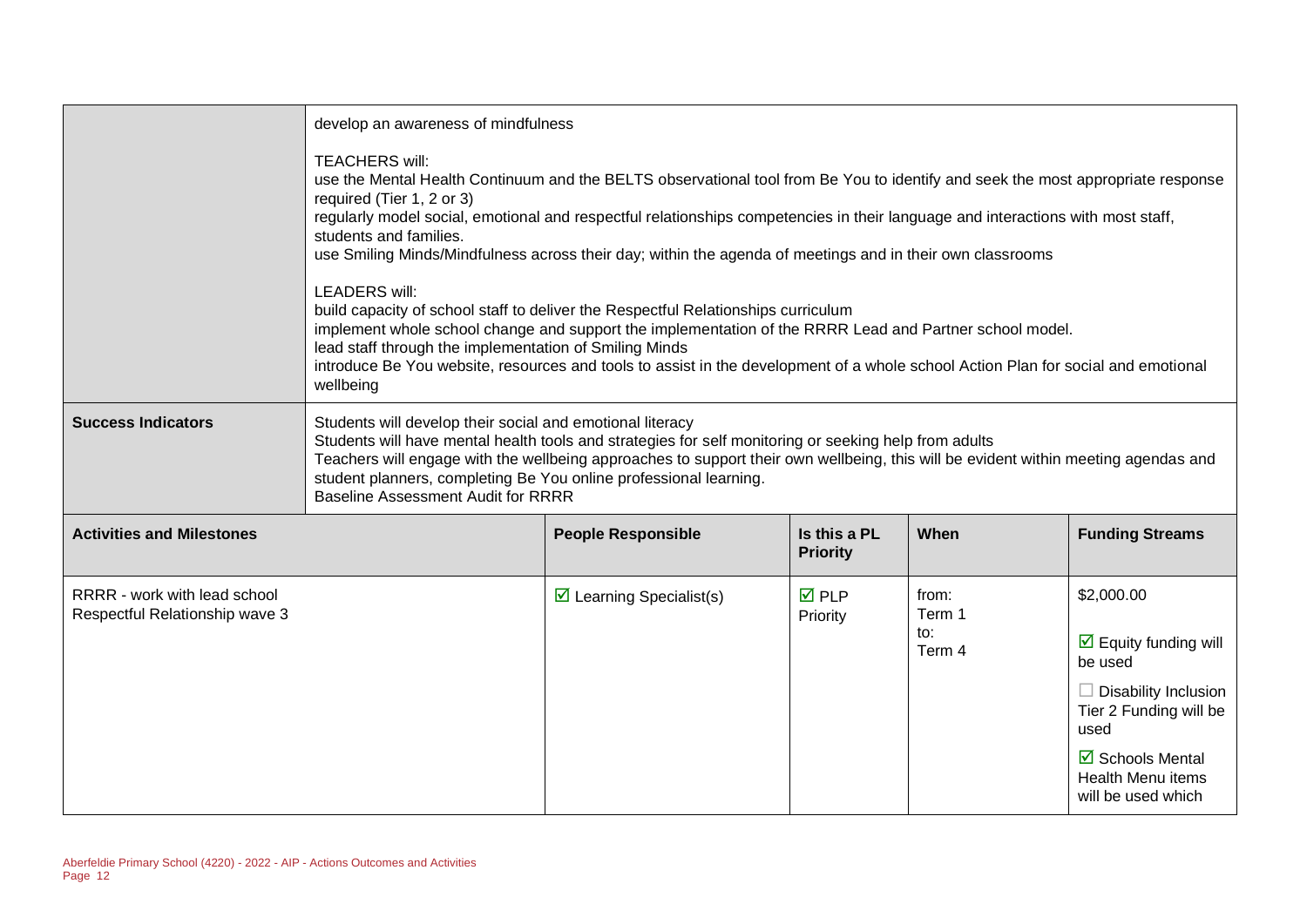|                                                                | develop an awareness of mindfulness                                                                                                                                                                                                                                                                                                                                                                                                                                                                                                                                                                                                                                                                                                                                                                                                                                                                 |                                         |                                 |                                  |                                                                                                                                                                                                                |
|----------------------------------------------------------------|-----------------------------------------------------------------------------------------------------------------------------------------------------------------------------------------------------------------------------------------------------------------------------------------------------------------------------------------------------------------------------------------------------------------------------------------------------------------------------------------------------------------------------------------------------------------------------------------------------------------------------------------------------------------------------------------------------------------------------------------------------------------------------------------------------------------------------------------------------------------------------------------------------|-----------------------------------------|---------------------------------|----------------------------------|----------------------------------------------------------------------------------------------------------------------------------------------------------------------------------------------------------------|
|                                                                | <b>TEACHERS will:</b><br>use the Mental Health Continuum and the BELTS observational tool from Be You to identify and seek the most appropriate response<br>required (Tier 1, 2 or 3)<br>regularly model social, emotional and respectful relationships competencies in their language and interactions with most staff,<br>students and families.<br>use Smiling Minds/Mindfulness across their day; within the agenda of meetings and in their own classrooms<br><b>LEADERS will:</b><br>build capacity of school staff to deliver the Respectful Relationships curriculum<br>implement whole school change and support the implementation of the RRRR Lead and Partner school model.<br>lead staff through the implementation of Smiling Minds<br>introduce Be You website, resources and tools to assist in the development of a whole school Action Plan for social and emotional<br>wellbeing |                                         |                                 |                                  |                                                                                                                                                                                                                |
| <b>Success Indicators</b>                                      | Students will develop their social and emotional literacy<br>Students will have mental health tools and strategies for self monitoring or seeking help from adults<br>Teachers will engage with the wellbeing approaches to support their own wellbeing, this will be evident within meeting agendas and<br>student planners, completing Be You online professional learning.<br><b>Baseline Assessment Audit for RRRR</b>                                                                                                                                                                                                                                                                                                                                                                                                                                                                          |                                         |                                 |                                  |                                                                                                                                                                                                                |
| <b>Activities and Milestones</b>                               |                                                                                                                                                                                                                                                                                                                                                                                                                                                                                                                                                                                                                                                                                                                                                                                                                                                                                                     | <b>People Responsible</b>               | Is this a PL<br><b>Priority</b> | When                             | <b>Funding Streams</b>                                                                                                                                                                                         |
| RRRR - work with lead school<br>Respectful Relationship wave 3 |                                                                                                                                                                                                                                                                                                                                                                                                                                                                                                                                                                                                                                                                                                                                                                                                                                                                                                     | $\triangleright$ Learning Specialist(s) | <b>☑</b> PLP<br>Priority        | from:<br>Term 1<br>to:<br>Term 4 | \$2,000.00<br>$\triangleright$ Equity funding will<br>be used<br>$\Box$ Disability Inclusion<br>Tier 2 Funding will be<br>used<br>$\boxtimes$ Schools Mental<br><b>Health Menu items</b><br>will be used which |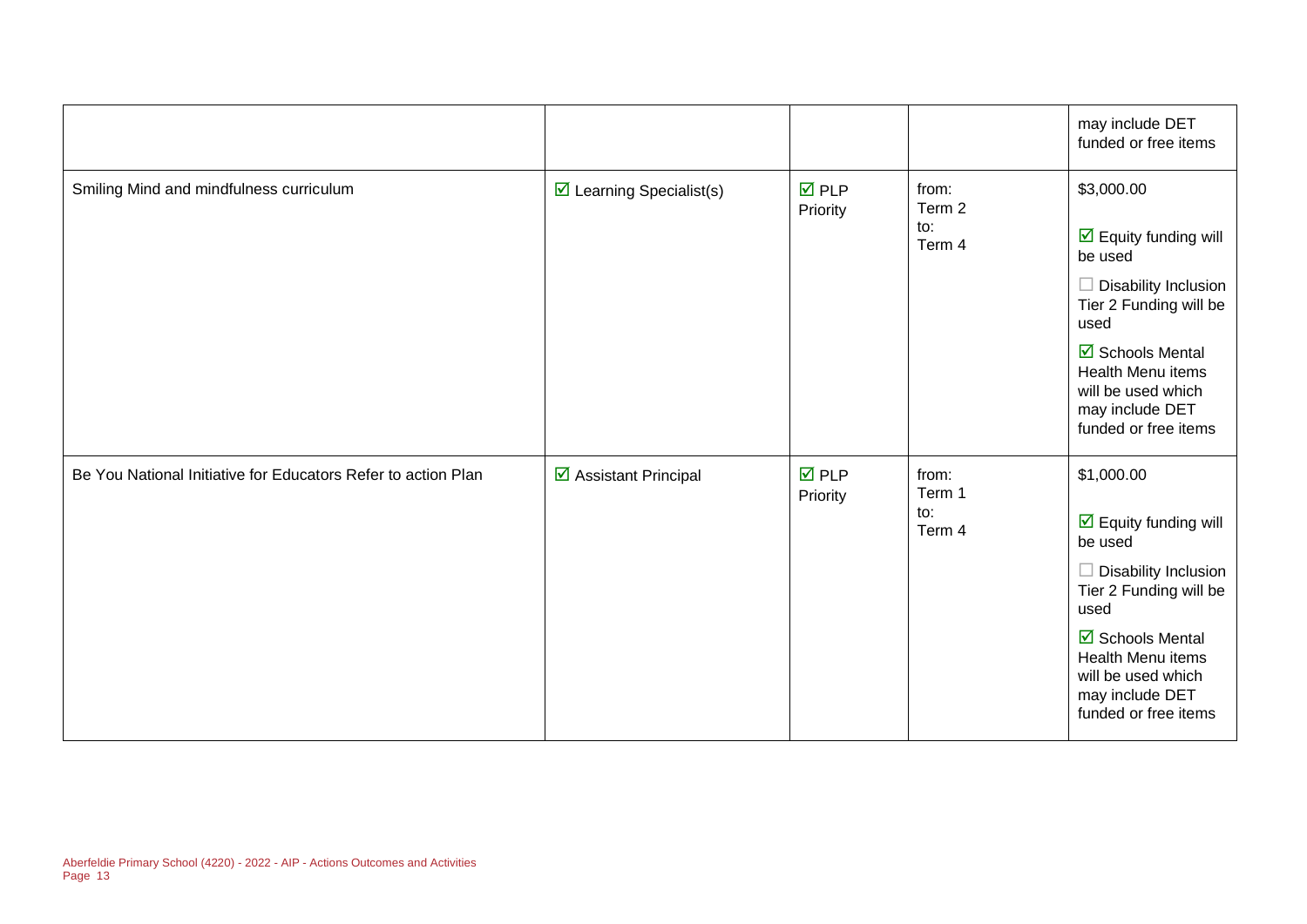|                                                               |                                         |                                |                                  | may include DET<br>funded or free items                                                                                                                                                                                                         |
|---------------------------------------------------------------|-----------------------------------------|--------------------------------|----------------------------------|-------------------------------------------------------------------------------------------------------------------------------------------------------------------------------------------------------------------------------------------------|
| Smiling Mind and mindfulness curriculum                       | $\triangleright$ Learning Specialist(s) | $\overline{M}$ PLP<br>Priority | from:<br>Term 2<br>to:<br>Term 4 | \$3,000.00<br>$\overline{\mathbf{y}}$ Equity funding will<br>be used<br>Disability Inclusion<br>Tier 2 Funding will be<br>used<br>☑ Schools Mental<br>Health Menu items<br>will be used which<br>may include DET<br>funded or free items        |
| Be You National Initiative for Educators Refer to action Plan | ☑ Assistant Principal                   | $\overline{M}$ PLP<br>Priority | from:<br>Term 1<br>to:<br>Term 4 | \$1,000.00<br>$\overline{\mathbf{y}}$ Equity funding will<br>be used<br>Disability Inclusion<br>Tier 2 Funding will be<br>used<br><b>Ø</b> Schools Mental<br>Health Menu items<br>will be used which<br>may include DET<br>funded or free items |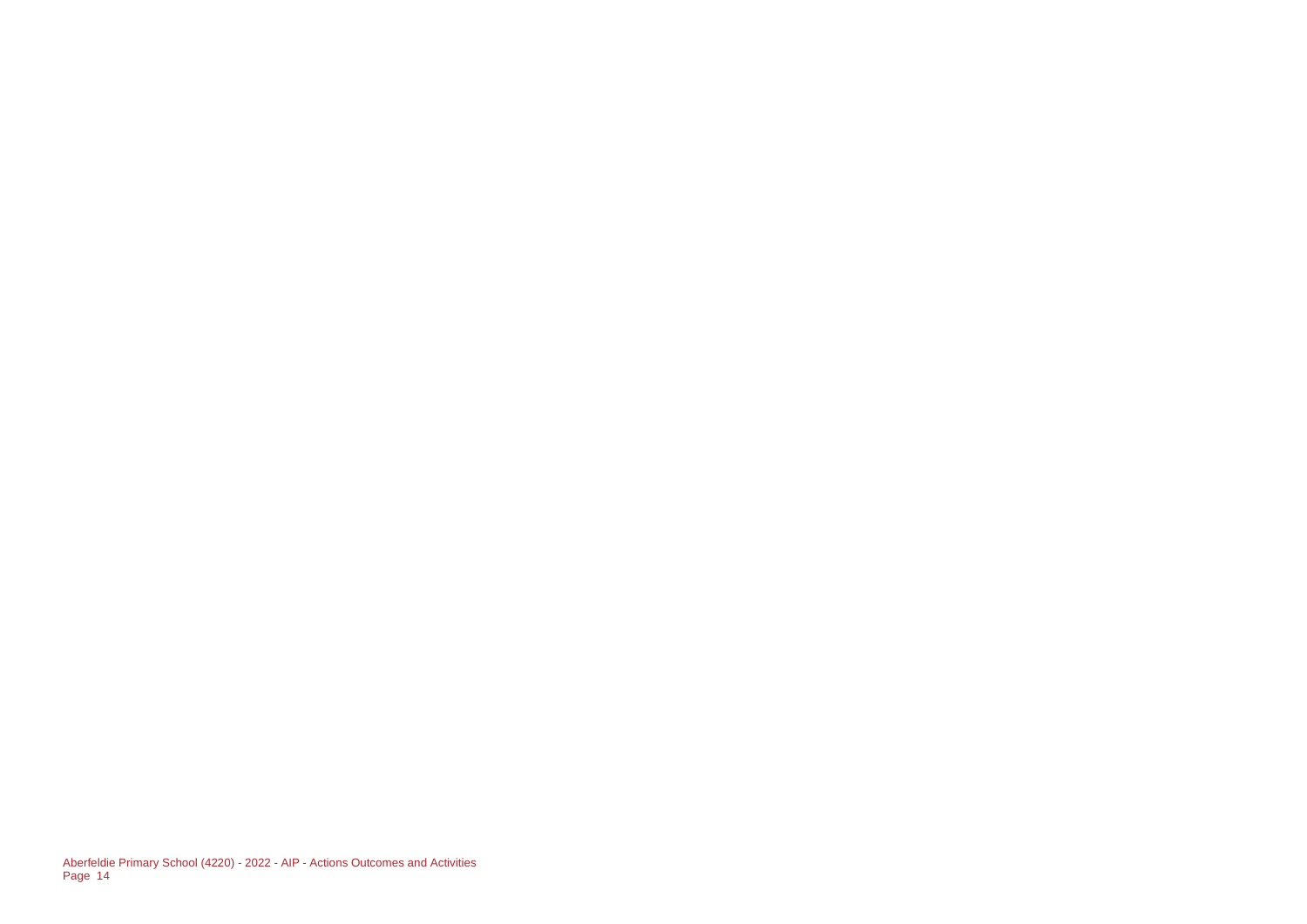Aberfeldie Primary School (4220) - 2022 - AIP - Actions Outcomes and Activities Page 14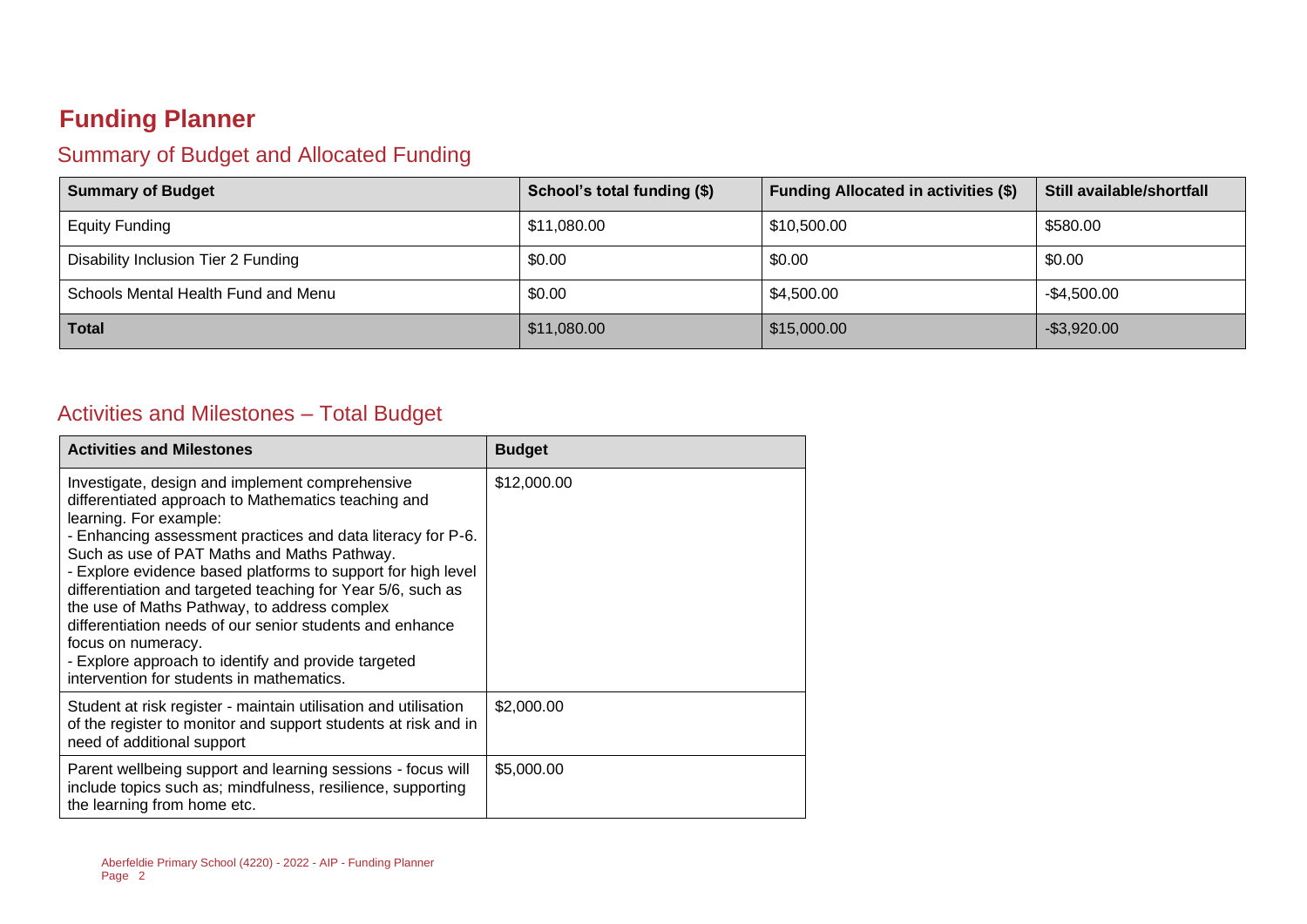## **Funding Planner**

#### Summary of Budget and Allocated Funding

| <b>Summary of Budget</b>            | School's total funding (\$) | <b>Funding Allocated in activities (\$)</b> | Still available/shortfall |
|-------------------------------------|-----------------------------|---------------------------------------------|---------------------------|
| <b>Equity Funding</b>               | \$11,080.00                 | \$10,500.00                                 | \$580.00                  |
| Disability Inclusion Tier 2 Funding | \$0.00                      | \$0.00                                      | \$0.00                    |
| Schools Mental Health Fund and Menu | \$0.00                      | \$4,500.00                                  | $-$4,500.00$              |
| <b>Total</b>                        | \$11,080.00                 | \$15,000.00                                 | $-$ \$3,920.00            |

#### Activities and Milestones – Total Budget

| <b>Activities and Milestones</b>                                                                                                                                                                                                                                                                                                                                                                                                                                                                                                                                                                                    | <b>Budget</b> |
|---------------------------------------------------------------------------------------------------------------------------------------------------------------------------------------------------------------------------------------------------------------------------------------------------------------------------------------------------------------------------------------------------------------------------------------------------------------------------------------------------------------------------------------------------------------------------------------------------------------------|---------------|
| Investigate, design and implement comprehensive<br>differentiated approach to Mathematics teaching and<br>learning. For example:<br>- Enhancing assessment practices and data literacy for P-6.<br>Such as use of PAT Maths and Maths Pathway.<br>- Explore evidence based platforms to support for high level<br>differentiation and targeted teaching for Year 5/6, such as<br>the use of Maths Pathway, to address complex<br>differentiation needs of our senior students and enhance<br>focus on numeracy.<br>- Explore approach to identify and provide targeted<br>intervention for students in mathematics. | \$12,000.00   |
| Student at risk register - maintain utilisation and utilisation<br>of the register to monitor and support students at risk and in<br>need of additional support                                                                                                                                                                                                                                                                                                                                                                                                                                                     | \$2,000.00    |
| Parent wellbeing support and learning sessions - focus will<br>include topics such as; mindfulness, resilience, supporting<br>the learning from home etc.                                                                                                                                                                                                                                                                                                                                                                                                                                                           | \$5,000.00    |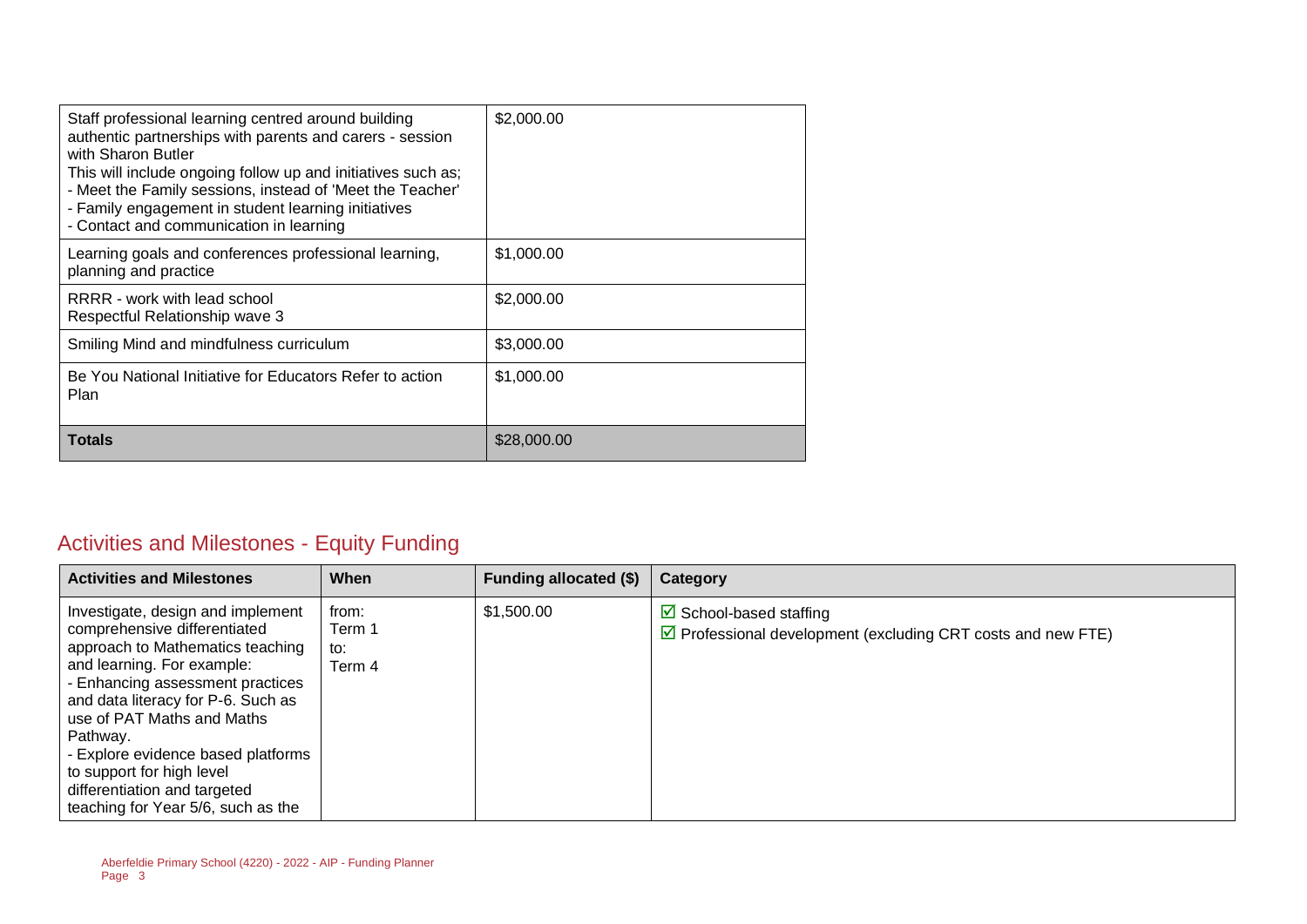| Staff professional learning centred around building<br>authentic partnerships with parents and carers - session<br>with Sharon Butler<br>This will include ongoing follow up and initiatives such as;<br>- Meet the Family sessions, instead of 'Meet the Teacher'<br>- Family engagement in student learning initiatives<br>- Contact and communication in learning | \$2,000.00  |
|----------------------------------------------------------------------------------------------------------------------------------------------------------------------------------------------------------------------------------------------------------------------------------------------------------------------------------------------------------------------|-------------|
| Learning goals and conferences professional learning,<br>planning and practice                                                                                                                                                                                                                                                                                       | \$1,000.00  |
| RRRR - work with lead school<br>Respectful Relationship wave 3                                                                                                                                                                                                                                                                                                       | \$2,000.00  |
| Smiling Mind and mindfulness curriculum                                                                                                                                                                                                                                                                                                                              | \$3,000.00  |
| Be You National Initiative for Educators Refer to action<br>Plan                                                                                                                                                                                                                                                                                                     | \$1,000.00  |
| <b>Totals</b>                                                                                                                                                                                                                                                                                                                                                        | \$28,000.00 |

## Activities and Milestones - Equity Funding

| <b>Activities and Milestones</b>                                                                                                                                                                                                                                                                                                                                                                 | When                             | Funding allocated (\$) | Category                                                                                                        |
|--------------------------------------------------------------------------------------------------------------------------------------------------------------------------------------------------------------------------------------------------------------------------------------------------------------------------------------------------------------------------------------------------|----------------------------------|------------------------|-----------------------------------------------------------------------------------------------------------------|
| Investigate, design and implement<br>comprehensive differentiated<br>approach to Mathematics teaching<br>and learning. For example:<br>- Enhancing assessment practices<br>and data literacy for P-6. Such as<br>use of PAT Maths and Maths<br>Pathway.<br>- Explore evidence based platforms<br>to support for high level<br>differentiation and targeted<br>teaching for Year 5/6, such as the | from:<br>Term 1<br>to:<br>Term 4 | \$1,500.00             | $\boxtimes$ School-based staffing<br>$\triangledown$ Professional development (excluding CRT costs and new FTE) |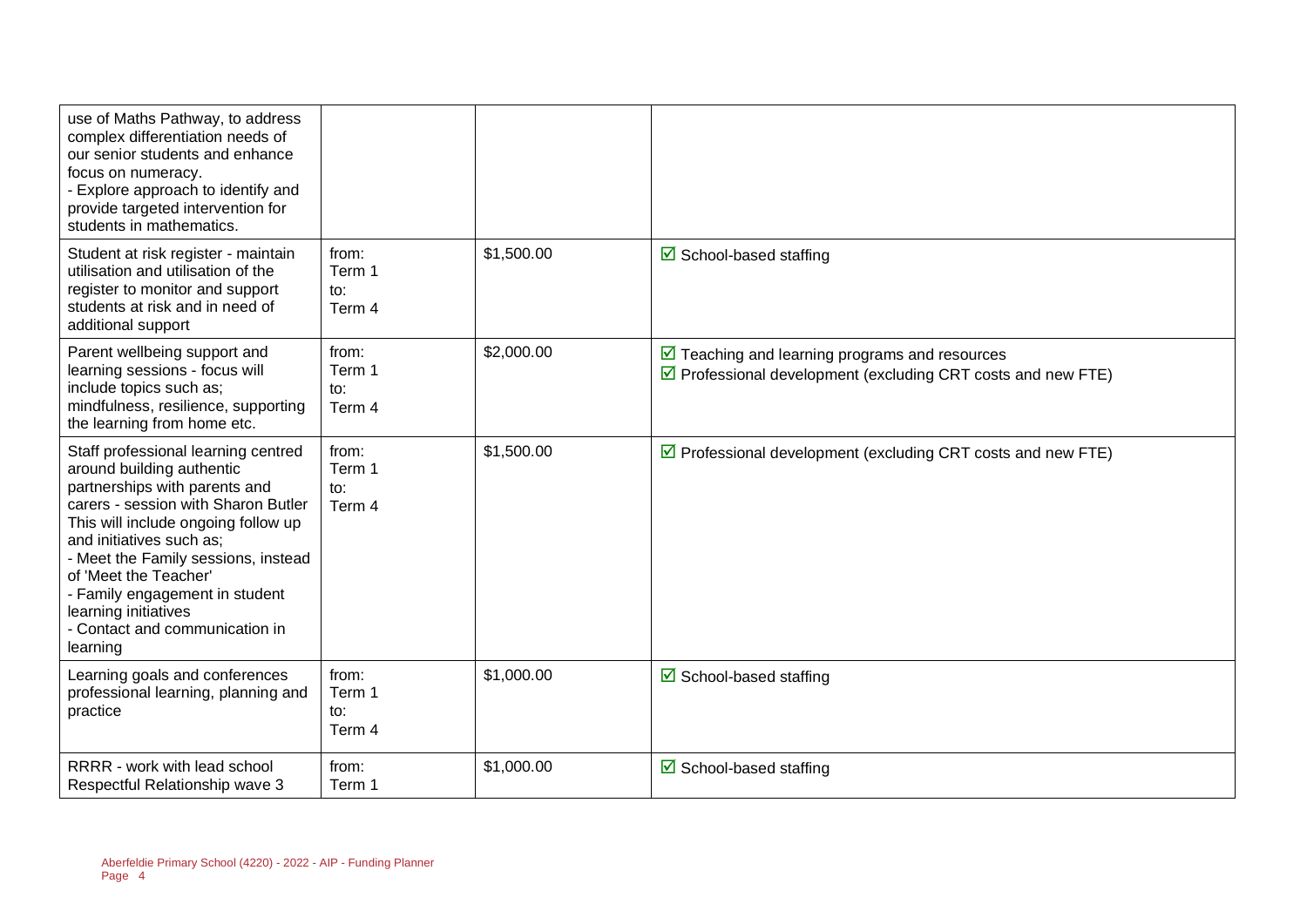| use of Maths Pathway, to address<br>complex differentiation needs of<br>our senior students and enhance<br>focus on numeracy.<br>- Explore approach to identify and<br>provide targeted intervention for<br>students in mathematics.                                                                                                                                                |                                  |            |                                                                                                                                             |
|-------------------------------------------------------------------------------------------------------------------------------------------------------------------------------------------------------------------------------------------------------------------------------------------------------------------------------------------------------------------------------------|----------------------------------|------------|---------------------------------------------------------------------------------------------------------------------------------------------|
| Student at risk register - maintain<br>utilisation and utilisation of the<br>register to monitor and support<br>students at risk and in need of<br>additional support                                                                                                                                                                                                               | from:<br>Term 1<br>to:<br>Term 4 | \$1,500.00 | $\boxtimes$ School-based staffing                                                                                                           |
| Parent wellbeing support and<br>learning sessions - focus will<br>include topics such as;<br>mindfulness, resilience, supporting<br>the learning from home etc.                                                                                                                                                                                                                     | from:<br>Term 1<br>to:<br>Term 4 | \$2,000.00 | $\triangleright$ Teaching and learning programs and resources<br>$\triangledown$ Professional development (excluding CRT costs and new FTE) |
| Staff professional learning centred<br>around building authentic<br>partnerships with parents and<br>carers - session with Sharon Butler<br>This will include ongoing follow up<br>and initiatives such as;<br>- Meet the Family sessions, instead<br>of 'Meet the Teacher'<br>- Family engagement in student<br>learning initiatives<br>- Contact and communication in<br>learning | from:<br>Term 1<br>to:<br>Term 4 | \$1,500.00 | $\triangledown$ Professional development (excluding CRT costs and new FTE)                                                                  |
| Learning goals and conferences<br>professional learning, planning and<br>practice                                                                                                                                                                                                                                                                                                   | from:<br>Term 1<br>to:<br>Term 4 | \$1,000.00 | $\triangleright$ School-based staffing                                                                                                      |
| RRRR - work with lead school<br>Respectful Relationship wave 3                                                                                                                                                                                                                                                                                                                      | from:<br>Term 1                  | \$1,000.00 | $\boxtimes$ School-based staffing                                                                                                           |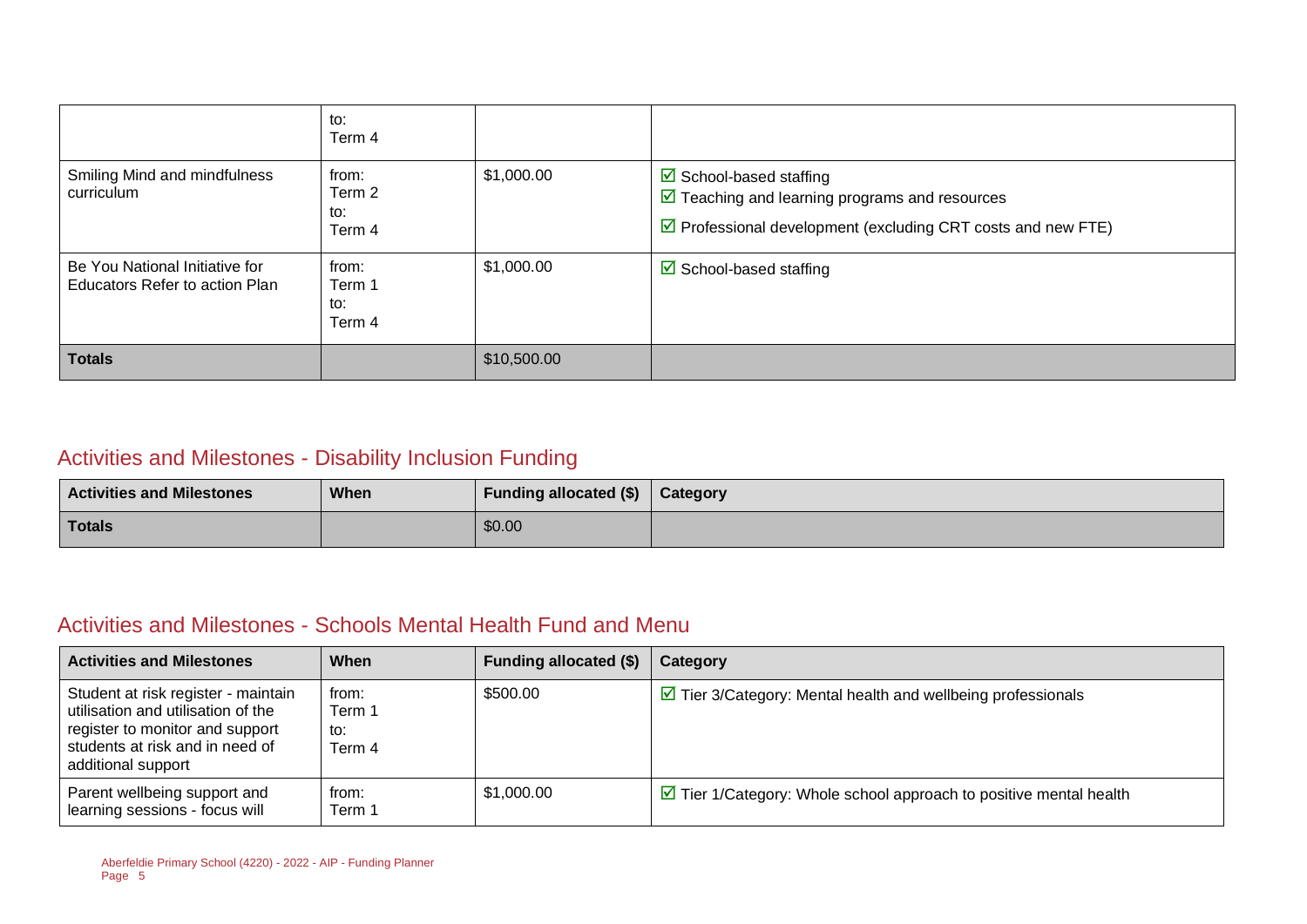|                                                                  | to:<br>Term 4                    |             |                                                                                                                                                                         |
|------------------------------------------------------------------|----------------------------------|-------------|-------------------------------------------------------------------------------------------------------------------------------------------------------------------------|
| Smiling Mind and mindfulness<br>curriculum                       | from:<br>Term 2<br>to:<br>Term 4 | \$1,000.00  | School-based staffing<br>$\boxed{\triangle}$ Teaching and learning programs and resources<br>$\triangledown$ Professional development (excluding CRT costs and new FTE) |
| Be You National Initiative for<br>Educators Refer to action Plan | from:<br>Term 1<br>to:<br>Term 4 | \$1,000.00  | School-based staffing                                                                                                                                                   |
| <b>Totals</b>                                                    |                                  | \$10,500.00 |                                                                                                                                                                         |

#### Activities and Milestones - Disability Inclusion Funding

| <b>Activities and Milestones</b> | When | <b>Funding allocated (\$)</b> | Category |
|----------------------------------|------|-------------------------------|----------|
| Totals                           |      | \$0.00                        |          |

#### Activities and Milestones - Schools Mental Health Fund and Menu

| <b>Activities and Milestones</b>                                                                                                                                      | When                             | <b>Funding allocated (\$)</b> | Category                                                                          |
|-----------------------------------------------------------------------------------------------------------------------------------------------------------------------|----------------------------------|-------------------------------|-----------------------------------------------------------------------------------|
| Student at risk register - maintain<br>utilisation and utilisation of the<br>register to monitor and support<br>students at risk and in need of<br>additional support | from:<br>Term 1<br>to:<br>Term 4 | \$500.00                      | $\triangleright$ Tier 3/Category: Mental health and wellbeing professionals       |
| Parent wellbeing support and<br>learning sessions - focus will                                                                                                        | from:<br>Term 1                  | \$1,000.00                    | $\triangleright$ Tier 1/Category: Whole school approach to positive mental health |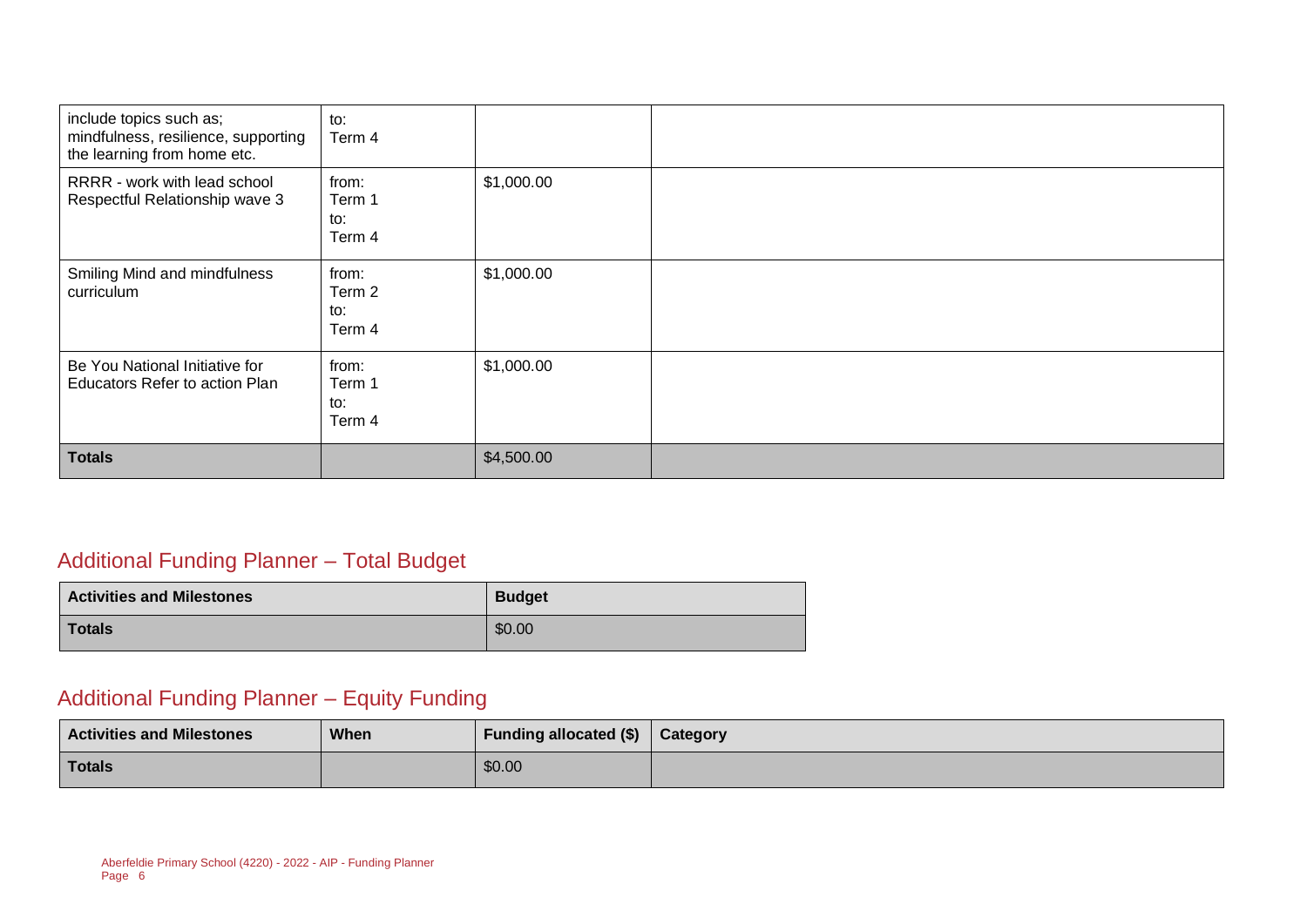| include topics such as;<br>mindfulness, resilience, supporting<br>the learning from home etc. | to:<br>Term 4                    |            |  |
|-----------------------------------------------------------------------------------------------|----------------------------------|------------|--|
| RRRR - work with lead school<br>Respectful Relationship wave 3                                | from:<br>Term 1<br>to:<br>Term 4 | \$1,000.00 |  |
| Smiling Mind and mindfulness<br>curriculum                                                    | from:<br>Term 2<br>to:<br>Term 4 | \$1,000.00 |  |
| Be You National Initiative for<br>Educators Refer to action Plan                              | from:<br>Term 1<br>to:<br>Term 4 | \$1,000.00 |  |
| <b>Totals</b>                                                                                 |                                  | \$4,500.00 |  |

## Additional Funding Planner – Total Budget

| <b>Activities and Milestones</b> | <b>Budget</b> |
|----------------------------------|---------------|
| <b>Totals</b>                    | \$0.00        |

## Additional Funding Planner – Equity Funding

| <b>Activities and Milestones</b> | When | <b>Funding allocated (\$)</b> | <b>Category</b> |
|----------------------------------|------|-------------------------------|-----------------|
| Totals                           |      | \$0.00                        |                 |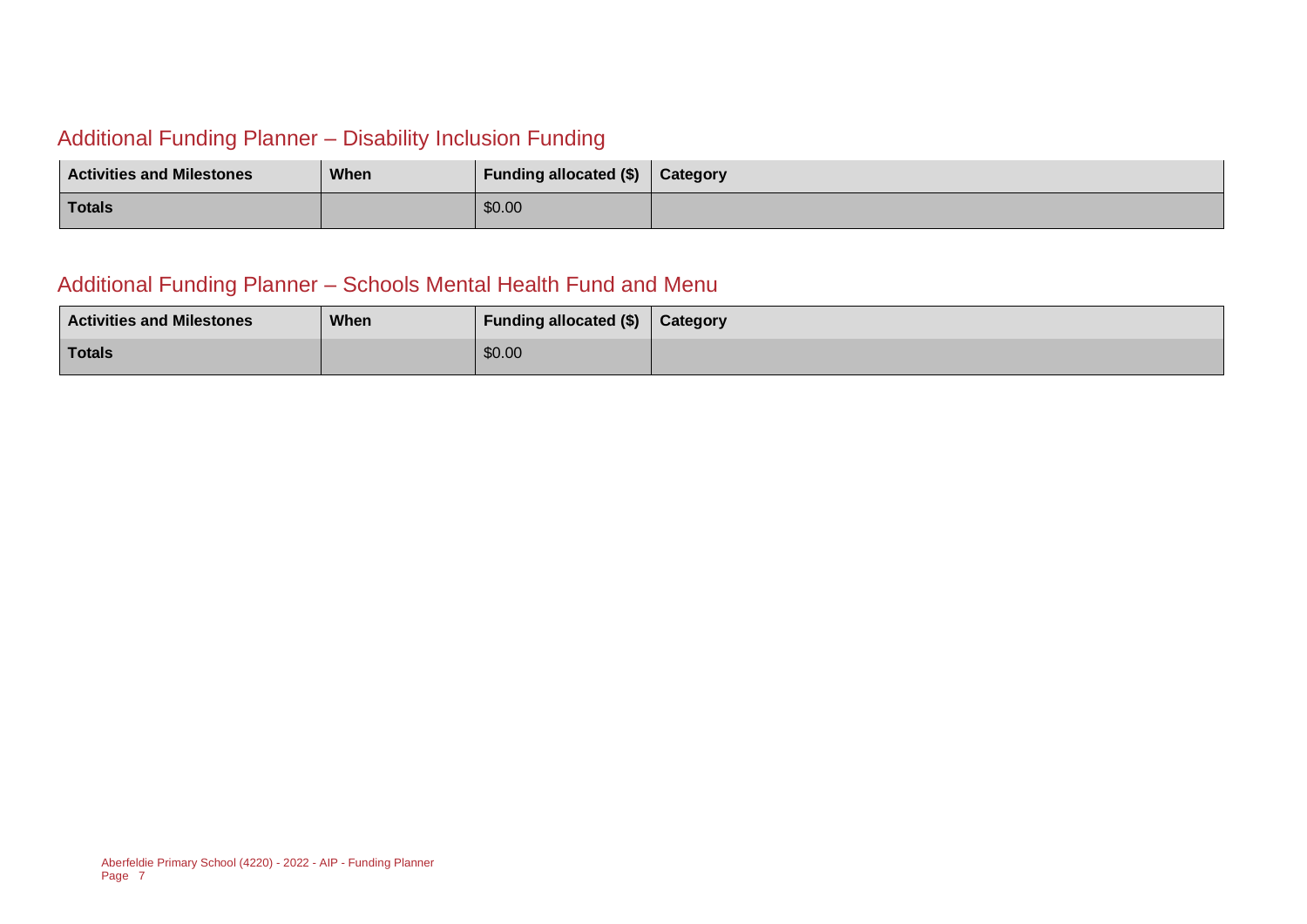### Additional Funding Planner – Disability Inclusion Funding

| <b>Activities and Milestones</b> | When | <b>Funding allocated (\$) Category</b> |  |
|----------------------------------|------|----------------------------------------|--|
| Totals                           |      | \$0.00                                 |  |

### Additional Funding Planner – Schools Mental Health Fund and Menu

| <b>Activities and Milestones</b> | When | Funding allocated $(\$)$   Category |  |
|----------------------------------|------|-------------------------------------|--|
| <b>Totals</b>                    |      | \$0.00                              |  |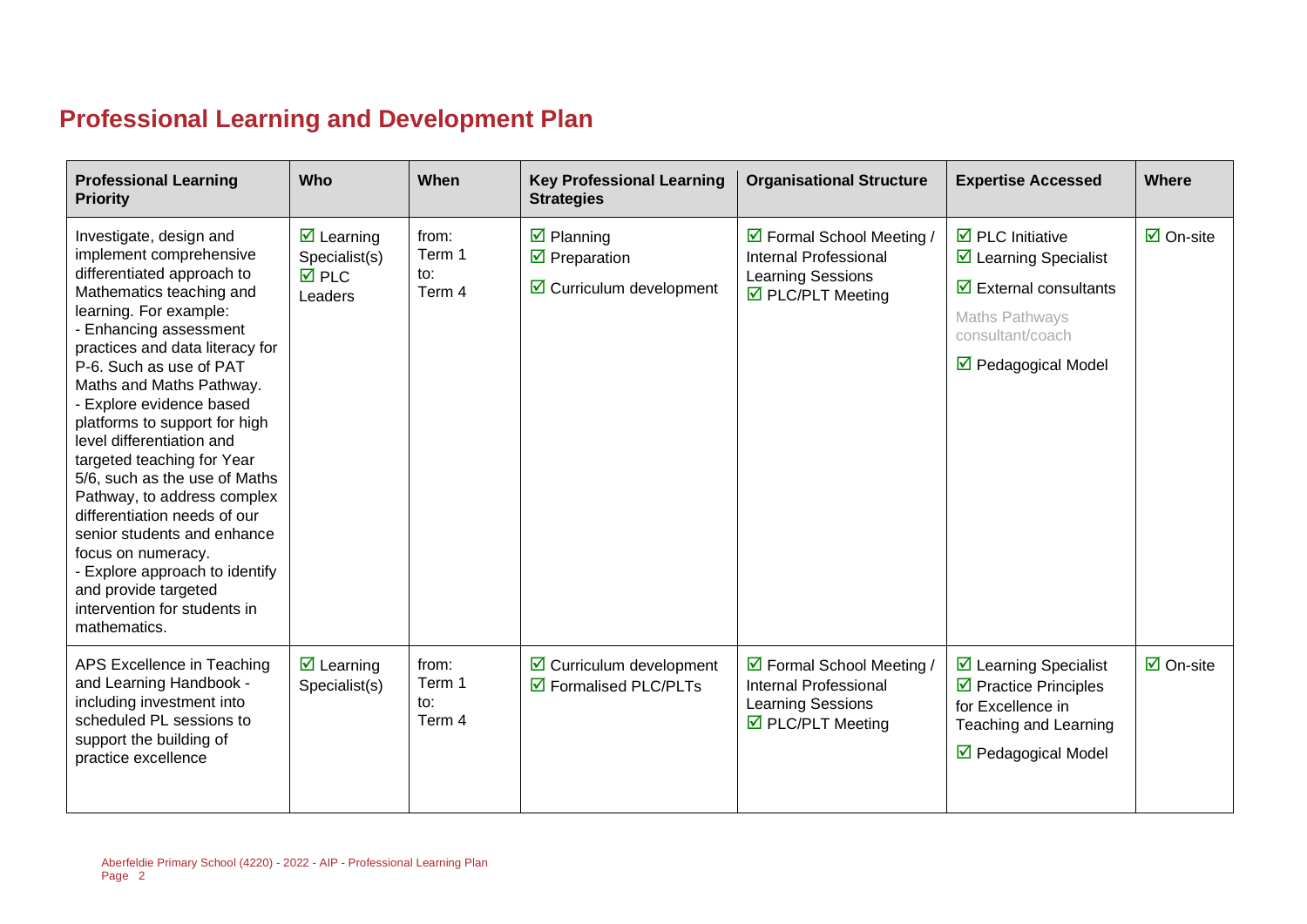## **Professional Learning and Development Plan**

| <b>Professional Learning</b><br><b>Priority</b>                                                                                                                                                                                                                                                                                                                                                                                                                                                                                                                                                                                                   | Who                                                                                | When                             | <b>Key Professional Learning</b><br><b>Strategies</b>                                                       | <b>Organisational Structure</b>                                                                     | <b>Expertise Accessed</b>                                                                                                                                                              | <b>Where</b>                    |
|---------------------------------------------------------------------------------------------------------------------------------------------------------------------------------------------------------------------------------------------------------------------------------------------------------------------------------------------------------------------------------------------------------------------------------------------------------------------------------------------------------------------------------------------------------------------------------------------------------------------------------------------------|------------------------------------------------------------------------------------|----------------------------------|-------------------------------------------------------------------------------------------------------------|-----------------------------------------------------------------------------------------------------|----------------------------------------------------------------------------------------------------------------------------------------------------------------------------------------|---------------------------------|
| Investigate, design and<br>implement comprehensive<br>differentiated approach to<br>Mathematics teaching and<br>learning. For example:<br>- Enhancing assessment<br>practices and data literacy for<br>P-6. Such as use of PAT<br>Maths and Maths Pathway.<br>- Explore evidence based<br>platforms to support for high<br>level differentiation and<br>targeted teaching for Year<br>5/6, such as the use of Maths<br>Pathway, to address complex<br>differentiation needs of our<br>senior students and enhance<br>focus on numeracy.<br>- Explore approach to identify<br>and provide targeted<br>intervention for students in<br>mathematics. | $\overline{\mathbf{z}}$ Learning<br>Specialist(s)<br>$\overline{M}$ PLC<br>Leaders | from:<br>Term 1<br>to:<br>Term 4 | $\overline{\mathbf{z}}$ Planning<br>$\overline{\mathbf{y}}$ Preparation<br>$\boxdot$ Curriculum development | ☑ Formal School Meeting /<br>Internal Professional<br>Learning Sessions<br>☑ PLC/PLT Meeting        | $\overline{\mathbf{2}}$ PLC Initiative<br>$\boxtimes$ Learning Specialist<br>$\overline{\mathbf{z}}$ External consultants<br>Maths Pathways<br>consultant/coach<br>☑ Pedagogical Model | $\overline{\mathsf{M}}$ On-site |
| APS Excellence in Teaching<br>and Learning Handbook -<br>including investment into<br>scheduled PL sessions to<br>support the building of<br>practice excellence                                                                                                                                                                                                                                                                                                                                                                                                                                                                                  | $\overline{\mathbf{y}}$ Learning<br>Specialist(s)                                  | from:<br>Term 1<br>to:<br>Term 4 | $\boxdot$ Curriculum development<br>$\overline{\mathbf{2}}$ Formalised PLC/PLTs                             | ☑ Formal School Meeting /<br>Internal Professional<br><b>Learning Sessions</b><br>☑ PLC/PLT Meeting | $\triangleright$ Learning Specialist<br>$\triangleright$ Practice Principles<br>for Excellence in<br>Teaching and Learning<br>$\triangledown$ Pedagogical Model                        | $\overline{\mathsf{M}}$ On-site |